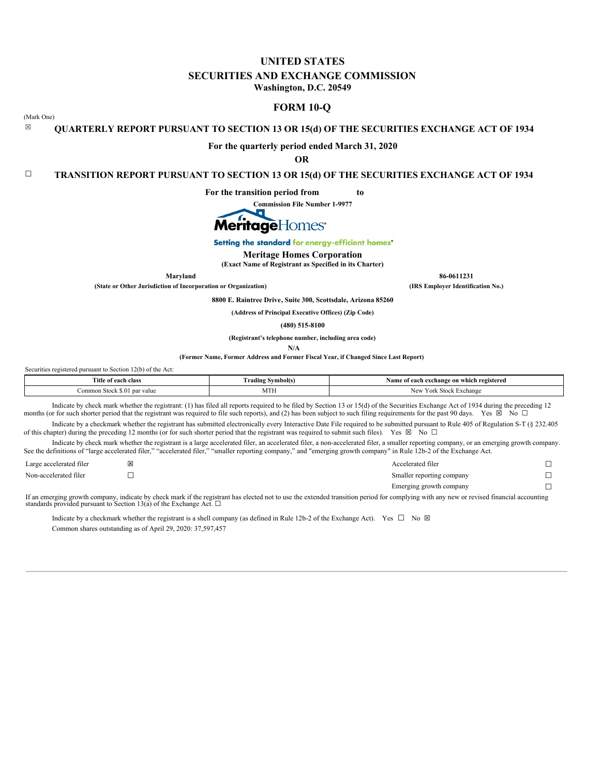# **UNITED STATES SECURITIES AND EXCHANGE COMMISSION**

**Washington, D.C. 20549**

## **FORM 10-Q**

(Mark One)

☒ **QUARTERLY REPORT PURSUANT TO SECTION 13 OR 15(d) OF THE SECURITIES EXCHANGE ACT OF 1934**

### **For the quarterly period ended March 31, 2020**

**OR**

# ☐ **TRANSITION REPORT PURSUANT TO SECTION 13 OR 15(d) OF THE SECURITIES EXCHANGE ACT OF 1934**

**For the transition period from to**

**Commission File Number 1-9977**



### Setting the standard for energy-efficient homes®

**Meritage Homes Corporation**

**(Exact Name of Registrant as Specified in its Charter)**

**(State or Other Jurisdiction of Incorporation or Organization) (IRS Employer Identification No.)**

**Maryland 86-0611231**

**8800 E. Raintree Drive, Suite 300, Scottsdale, Arizona 85260**

**(Address of Principal Executive Offices) (Zip Code)**

**(480) 515-8100**

**(Registrant's telephone number, including area code)**

**(Former Name, Former Address and Former Fiscal Year, if Changed Since Last Report)**

Securities registered pursuant to Section 12(b) of the Act:

| Title of<br>clas:                             | (Symbol(s)<br>. rading           | ach exchange on which registered<br>Vame<br>nt e<br>$\overline{ }$<br>-<br>. |
|-----------------------------------------------|----------------------------------|------------------------------------------------------------------------------|
| <b>S.O</b><br>ommo<br>par value<br>Stock<br>. | $F^{\prime}$<br><b>IAT T T T</b> | Exchang<br>New<br>Stoc<br>∴ork                                               |

**N/A**

Indicate by check mark whether the registrant: (1) has filed all reports required to be filed by Section 13 or 15(d) of the Securities Exchange Act of 1934 during the preceding 12 months (or for such shorter period that the registrant was required to file such reports), and (2) has been subject to such filing requirements for the past 90 days. Yes  $\boxtimes$  No  $\Box$ 

Indicate by a checkmark whether the registrant has submitted electronically every Interactive Date File required to be submitted pursuant to Rule 405 of Regulation S-T (§ 232.405 of this chapter) during the preceding 12 months (or for such shorter period that the registrant was required to submit such files). Yes  $\boxtimes \bullet$  No  $\square$ 

Indicate by check mark whether the registrant is a large accelerated filer, an accelerated filer, a non-accelerated filer, a smaller reporting company, or an emerging growth company. See the definitions of "large accelerated filer," "accelerated filer," "smaller reporting company," and "emerging growth company" in Rule 12b-2 of the Exchange Act.

| Large accelerated filer | Accelerated filer         |  |
|-------------------------|---------------------------|--|
| Non-accelerated filer   | Smaller reporting company |  |
|                         | Emerging growth company   |  |

If an emerging growth company, indicate by check mark if the registrant has elected not to use the extended transition period for complying with any new or revised financial accounting standards provided pursuant to Secti

Indicate by a checkmark whether the registrant is a shell company (as defined in Rule 12b-2 of the Exchange Act). Yes  $\Box$  No  $\boxtimes$ Common shares outstanding as of April 29, 2020: 37,597,457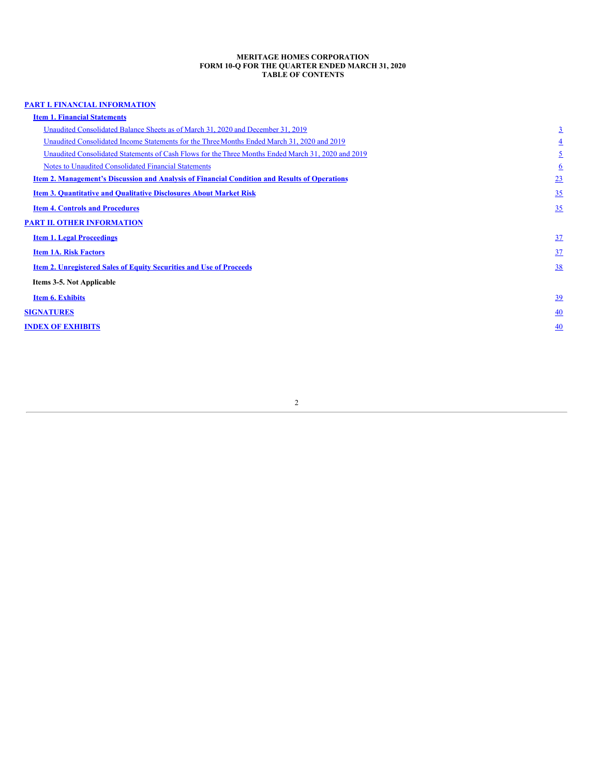### **MERITAGE HOMES CORPORATION FORM 10-Q FOR THE QUARTER ENDED MARCH 31, 2020 TABLE OF CONTENTS**

# **PART I. FINANCIAL [INFORMATION](#page-2-0)**

| <b>Item 1. Financial Statements</b>                                                                  |                  |
|------------------------------------------------------------------------------------------------------|------------------|
| Unaudited Consolidated Balance Sheets as of March 31, 2020 and December 31, 2019                     | $\overline{3}$   |
| Unaudited Consolidated Income Statements for the Three Months Ended March 31, 2020 and 2019          | $\overline{4}$   |
| Unaudited Consolidated Statements of Cash Flows for the Three Months Ended March 31, 2020 and 2019   | <u>5</u>         |
| Notes to Unaudited Consolidated Financial Statements                                                 | $6\overline{6}$  |
| <u>Item 2. Management's Discussion and Analysis of Financial Condition and Results of Operations</u> | 23               |
| <b>Item 3. Quantitative and Qualitative Disclosures About Market Risk</b>                            | 35               |
| <b>Item 4. Controls and Procedures</b>                                                               | 35               |
| <b>PART II. OTHER INFORMATION</b>                                                                    |                  |
| <b>Item 1. Legal Proceedings</b>                                                                     | <u>37</u>        |
| <b>Item 1A. Risk Factors</b>                                                                         | $\frac{37}{2}$   |
| <b>Item 2. Unregistered Sales of Equity Securities and Use of Proceeds</b>                           | 38               |
| Items 3-5. Not Applicable                                                                            |                  |
| <b>Item 6. Exhibits</b>                                                                              | 39               |
| <b>SIGNATURES</b>                                                                                    | $\underline{40}$ |
| <b>INDEX OF EXHIBITS</b>                                                                             | $\overline{40}$  |
|                                                                                                      |                  |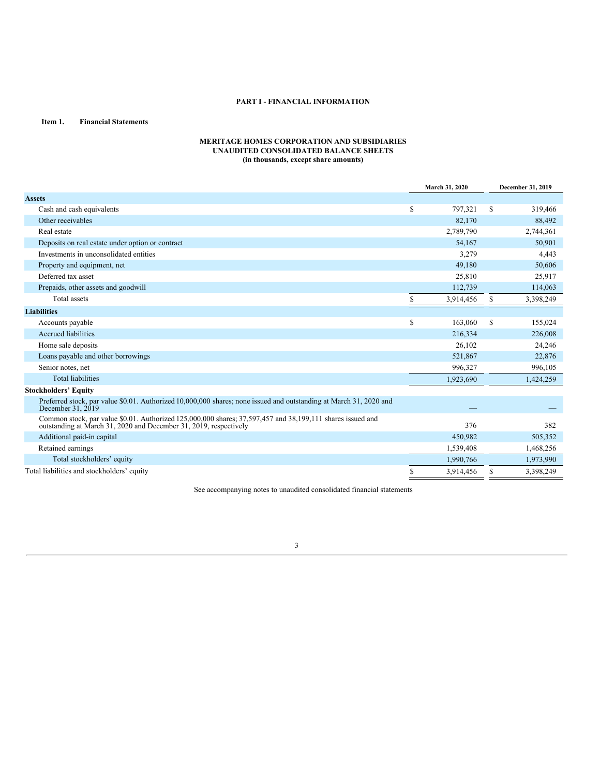### **PART I - FINANCIAL INFORMATION**

### <span id="page-2-2"></span><span id="page-2-1"></span><span id="page-2-0"></span>**Item 1. Financial Statements**

### **MERITAGE HOMES CORPORATION AND SUBSIDIARIES UNAUDITED CONSOLIDATED BALANCE SHEETS (in thousands, except share amounts)**

|                                                                                                                                                                                 |   | March 31, 2020 |    | December 31, 2019 |
|---------------------------------------------------------------------------------------------------------------------------------------------------------------------------------|---|----------------|----|-------------------|
| <b>Assets</b>                                                                                                                                                                   |   |                |    |                   |
| Cash and cash equivalents                                                                                                                                                       | S | 797,321        | S  | 319,466           |
| Other receivables                                                                                                                                                               |   | 82,170         |    | 88,492            |
| Real estate                                                                                                                                                                     |   | 2,789,790      |    | 2,744,361         |
| Deposits on real estate under option or contract                                                                                                                                |   | 54,167         |    | 50,901            |
| Investments in unconsolidated entities                                                                                                                                          |   | 3,279          |    | 4,443             |
| Property and equipment, net                                                                                                                                                     |   | 49,180         |    | 50,606            |
| Deferred tax asset                                                                                                                                                              |   | 25,810         |    | 25,917            |
| Prepaids, other assets and goodwill                                                                                                                                             |   | 112,739        |    | 114,063           |
| Total assets                                                                                                                                                                    | S | 3,914,456      | S  | 3,398,249         |
| <b>Liabilities</b>                                                                                                                                                              |   |                |    |                   |
| Accounts payable                                                                                                                                                                | S | 163,060        | \$ | 155,024           |
| <b>Accrued liabilities</b>                                                                                                                                                      |   | 216,334        |    | 226,008           |
| Home sale deposits                                                                                                                                                              |   | 26,102         |    | 24,246            |
| Loans payable and other borrowings                                                                                                                                              |   | 521,867        |    | 22,876            |
| Senior notes, net                                                                                                                                                               |   | 996,327        |    | 996,105           |
| <b>Total liabilities</b>                                                                                                                                                        |   | 1,923,690      |    | 1,424,259         |
| <b>Stockholders' Equity</b>                                                                                                                                                     |   |                |    |                   |
| Preferred stock, par value \$0.01. Authorized 10,000,000 shares; none issued and outstanding at March 31, 2020 and<br>December 31, 2019                                         |   |                |    |                   |
| Common stock, par value \$0.01. Authorized 125,000,000 shares; 37,597,457 and 38,199,111 shares issued and<br>outstanding at March 31, 2020 and December 31, 2019, respectively |   | 376            |    | 382               |
| Additional paid-in capital                                                                                                                                                      |   | 450,982        |    | 505,352           |
| Retained earnings                                                                                                                                                               |   | 1,539,408      |    | 1,468,256         |
| Total stockholders' equity                                                                                                                                                      |   | 1,990,766      |    | 1,973,990         |
| Total liabilities and stockholders' equity                                                                                                                                      | S | 3,914,456      | S  | 3,398,249         |

<span id="page-2-3"></span>See accompanying notes to unaudited consolidated financial statements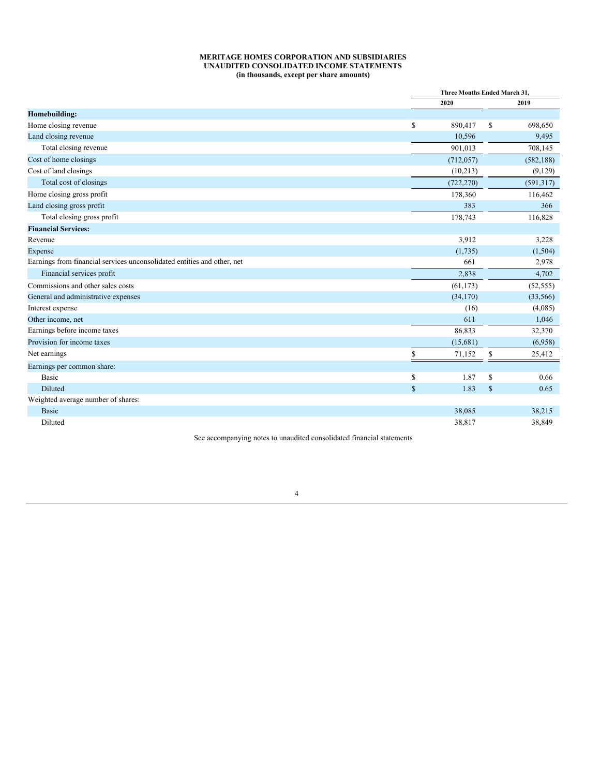### **MERITAGE HOMES CORPORATION AND SUBSIDIARIES UNAUDITED CONSOLIDATED INCOME STATEMENTS (in thousands, except per share amounts)**

|                                                                         |               | Three Months Ended March 31, |    |            |  |
|-------------------------------------------------------------------------|---------------|------------------------------|----|------------|--|
|                                                                         |               | 2020                         |    | 2019       |  |
| <b>Homebuilding:</b>                                                    |               |                              |    |            |  |
| Home closing revenue                                                    | \$            | 890,417                      | \$ | 698,650    |  |
| Land closing revenue                                                    |               | 10,596                       |    | 9,495      |  |
| Total closing revenue                                                   |               | 901,013                      |    | 708,145    |  |
| Cost of home closings                                                   |               | (712, 057)                   |    | (582, 188) |  |
| Cost of land closings                                                   |               | (10,213)                     |    | (9,129)    |  |
| Total cost of closings                                                  |               | (722, 270)                   |    | (591, 317) |  |
| Home closing gross profit                                               |               | 178,360                      |    | 116,462    |  |
| Land closing gross profit                                               |               | 383                          |    | 366        |  |
| Total closing gross profit                                              |               | 178,743                      |    | 116,828    |  |
| <b>Financial Services:</b>                                              |               |                              |    |            |  |
| Revenue                                                                 |               | 3,912                        |    | 3,228      |  |
| Expense                                                                 |               | (1,735)                      |    | (1,504)    |  |
| Earnings from financial services unconsolidated entities and other, net |               | 661                          |    | 2,978      |  |
| Financial services profit                                               |               | 2,838                        |    | 4,702      |  |
| Commissions and other sales costs                                       |               | (61, 173)                    |    | (52, 555)  |  |
| General and administrative expenses                                     |               | (34,170)                     |    | (33, 566)  |  |
| Interest expense                                                        |               | (16)                         |    | (4,085)    |  |
| Other income, net                                                       |               | 611                          |    | 1,046      |  |
| Earnings before income taxes                                            |               | 86,833                       |    | 32,370     |  |
| Provision for income taxes                                              |               | (15,681)                     |    | (6,958)    |  |
| Net earnings                                                            | \$            | 71,152                       | \$ | 25,412     |  |
| Earnings per common share:                                              |               |                              |    |            |  |
| Basic                                                                   | \$            | 1.87                         | S  | 0.66       |  |
| <b>Diluted</b>                                                          | $\mathsf{\$}$ | 1.83                         | \$ | 0.65       |  |
| Weighted average number of shares:                                      |               |                              |    |            |  |
| Basic                                                                   |               | 38,085                       |    | 38,215     |  |
| Diluted                                                                 |               | 38,817                       |    | 38,849     |  |

See accompanying notes to unaudited consolidated financial statements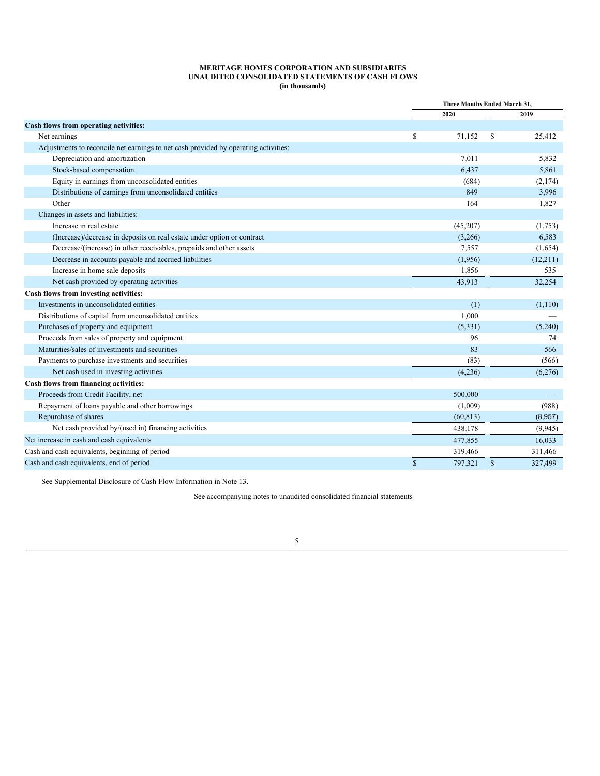#### **MERITAGE HOMES CORPORATION AND SUBSIDIARIES UNAUDITED CONSOLIDATED STATEMENTS OF CASH FLOWS (in thousands)**

<span id="page-4-0"></span>

|                                                                                     | Three Months Ended March 31, |           |              |          |
|-------------------------------------------------------------------------------------|------------------------------|-----------|--------------|----------|
|                                                                                     |                              | 2020      |              | 2019     |
| Cash flows from operating activities:                                               |                              |           |              |          |
| Net earnings                                                                        | S                            | 71,152    | \$           | 25,412   |
| Adjustments to reconcile net earnings to net cash provided by operating activities: |                              |           |              |          |
| Depreciation and amortization                                                       |                              | 7,011     |              | 5,832    |
| Stock-based compensation                                                            |                              | 6.437     |              | 5,861    |
| Equity in earnings from unconsolidated entities                                     |                              | (684)     |              | (2,174)  |
| Distributions of earnings from unconsolidated entities                              |                              | 849       |              | 3,996    |
| Other                                                                               |                              | 164       |              | 1,827    |
| Changes in assets and liabilities:                                                  |                              |           |              |          |
| Increase in real estate                                                             |                              | (45,207)  |              | (1,753)  |
| (Increase)/decrease in deposits on real estate under option or contract             |                              | (3,266)   |              | 6,583    |
| Decrease/(increase) in other receivables, prepaids and other assets                 |                              | 7,557     |              | (1,654)  |
| Decrease in accounts payable and accrued liabilities                                |                              | (1,956)   |              | (12,211) |
| Increase in home sale deposits                                                      |                              | 1,856     |              | 535      |
| Net cash provided by operating activities                                           |                              | 43,913    |              | 32,254   |
| Cash flows from investing activities:                                               |                              |           |              |          |
| Investments in unconsolidated entities                                              |                              | (1)       |              | (1,110)  |
| Distributions of capital from unconsolidated entities                               |                              | 1,000     |              |          |
| Purchases of property and equipment                                                 |                              | (5,331)   |              | (5,240)  |
| Proceeds from sales of property and equipment                                       |                              | 96        |              | 74       |
| Maturities/sales of investments and securities                                      |                              | 83        |              | 566      |
| Payments to purchase investments and securities                                     |                              | (83)      |              | (566)    |
| Net cash used in investing activities                                               |                              | (4,236)   |              | (6,276)  |
| Cash flows from financing activities:                                               |                              |           |              |          |
| Proceeds from Credit Facility, net                                                  |                              | 500,000   |              |          |
| Repayment of loans payable and other borrowings                                     |                              | (1,009)   |              | (988)    |
| Repurchase of shares                                                                |                              | (60, 813) |              | (8,957)  |
| Net cash provided by/(used in) financing activities                                 |                              | 438,178   |              | (9, 945) |
| Net increase in cash and cash equivalents                                           |                              | 477,855   |              | 16,033   |
| Cash and cash equivalents, beginning of period                                      |                              | 319,466   |              | 311,466  |
| Cash and cash equivalents, end of period                                            | $\mathbb{S}$                 | 797,321   | $\mathbb{S}$ | 327,499  |

<span id="page-4-1"></span>See Supplemental Disclosure of Cash Flow Information in Note 13.

See accompanying notes to unaudited consolidated financial statements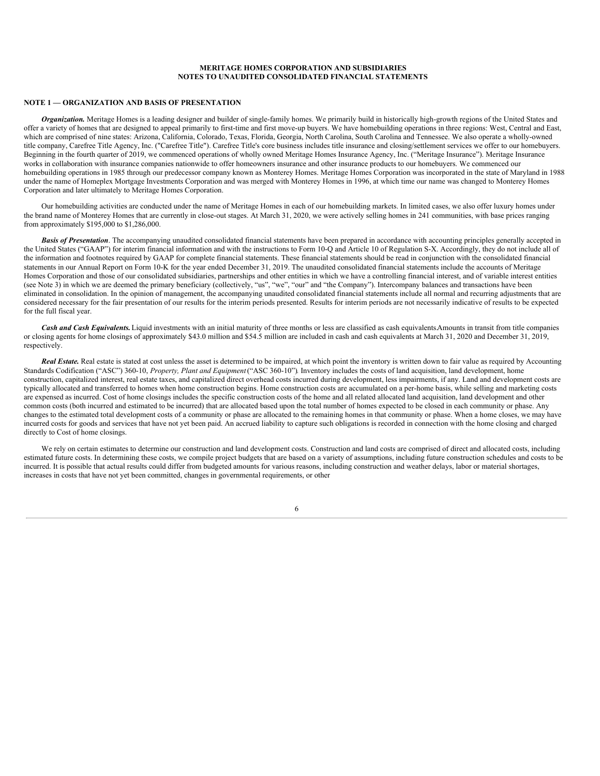### **MERITAGE HOMES CORPORATION AND SUBSIDIARIES NOTES TO UNAUDITED CONSOLIDATED FINANCIAL STATEMENTS**

#### **NOTE 1 — ORGANIZATION AND BASIS OF PRESENTATION**

*Organization.* Meritage Homes is a leading designer and builder of single-family homes. We primarily build in historically high-growth regions of the United States and offer a variety of homes that are designed to appeal primarily to first-time and first move-up buyers. We have homebuilding operations in three regions: West, Central and East, which are comprised of nine states: Arizona, California, Colorado, Texas, Florida, Georgia, North Carolina, South Carolina and Tennessee. We also operate a wholly-owned title company, Carefree Title Agency, Inc. ("Carefree Title"). Carefree Title's core business includes title insurance and closing/settlement services we offer to our homebuyers. Beginning in the fourth quarter of 2019, we commenced operations of wholly owned Meritage Homes Insurance Agency, Inc. ("Meritage Insurance"). Meritage Insurance works in collaboration with insurance companies nationwide to offer homeowners insurance and other insurance products to our homebuyers. We commenced our homebuilding operations in 1985 through our predecessor company known as Monterey Homes. Meritage Homes Corporation was incorporated in the state of Maryland in 1988 under the name of Homeplex Mortgage Investments Corporation and was merged with Monterey Homes in 1996, at which time our name was changed to Monterey Homes Corporation and later ultimately to Meritage Homes Corporation.

Our homebuilding activities are conducted under the name of Meritage Homes in each of our homebuilding markets. In limited cases, we also offer luxury homes under the brand name of Monterey Homes that are currently in close-out stages. At March 31, 2020, we were actively selling homes in 241 communities, with base prices ranging from approximately \$195,000 to \$1,286,000.

**Basis of Presentation**. The accompanying unaudited consolidated financial statements have been prepared in accordance with accounting principles generally accepted in the United States ("GAAP") for interim financial information and with the instructions to Form 10-Q and Article 10 of Regulation S-X. Accordingly, they do not include all of the information and footnotes required by GAAP for complete financial statements. These financial statements should be read in conjunction with the consolidated financial statements in our Annual Report on Form 10-K for the year ended December 31, 2019. The unaudited consolidated financial statements include the accounts of Meritage Homes Corporation and those of our consolidated subsidiaries, partnerships and other entities in which we have a controlling financial interest, and of variable interest entities (see Note 3) in which we are deemed the primary beneficiary (collectively, "us", "we", "our" and "the Company"). Intercompany balances and transactions have been eliminated in consolidation. In the opinion of management, the accompanying unaudited consolidated financial statements include all normal and recurring adjustments that are considered necessary for the fair presentation of our results for the interim periods presented. Results for interim periods are not necessarily indicative of results to be expected for the full fiscal year.

*Cash and Cash Equivalents.*Liquid investments with an initial maturity of three months or less are classified as cash equivalents.Amounts in transit from title companies or closing agents for home closings of approximately \$43.0 million and \$54.5 million are included in cash and cash equivalents at March 31, 2020 and December 31, 2019, respectively.

*Real Estate.* Real estate is stated at cost unless the asset is determined to be impaired, at which point the inventory is written down to fair value as required by Accounting Standards Codification ("ASC") 360-10, *Property, Plant and Equipment*("ASC 360-10")*.* Inventory includes the costs of land acquisition, land development, home construction, capitalized interest, real estate taxes, and capitalized direct overhead costs incurred during development, less impairments, if any. Land and development costs are typically allocated and transferred to homes when home construction begins. Home construction costs are accumulated on a per-home basis, while selling and marketing costs are expensed as incurred. Cost of home closings includes the specific construction costs of the home and all related allocated land acquisition, land development and other common costs (both incurred and estimated to be incurred) that are allocated based upon the total number of homes expected to be closed in each community or phase. Any changes to the estimated total development costs of a community or phase are allocated to the remaining homes in that community or phase. When a home closes, we may have incurred costs for goods and services that have not yet been paid. An accrued liability to capture such obligations is recorded in connection with the home closing and charged directly to Cost of home closings.

We rely on certain estimates to determine our construction and land development costs. Construction and land costs are comprised of direct and allocated costs, including estimated future costs. In determining these costs, we compile project budgets that are based on a variety of assumptions, including future construction schedules and costs to be incurred. It is possible that actual results could differ from budgeted amounts for various reasons, including construction and weather delays, labor or material shortages, increases in costs that have not yet been committed, changes in governmental requirements, or other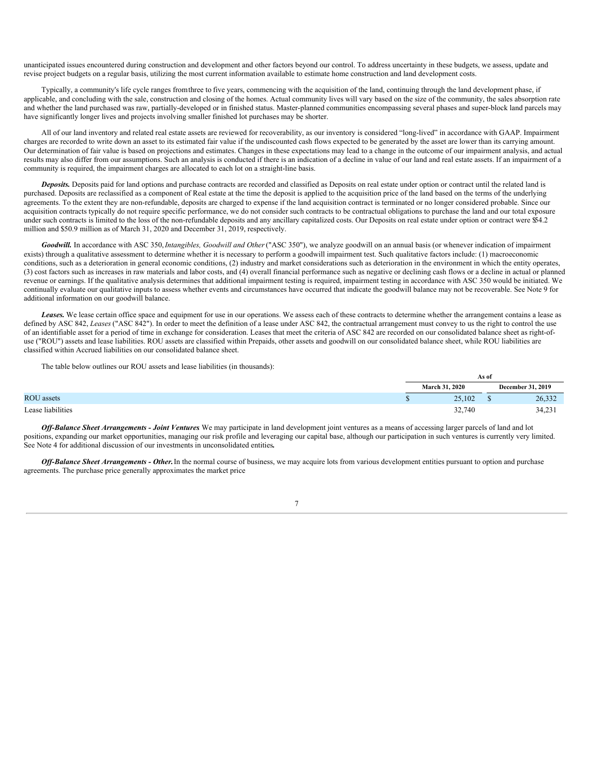unanticipated issues encountered during construction and development and other factors beyond our control. To address uncertainty in these budgets, we assess, update and revise project budgets on a regular basis, utilizing the most current information available to estimate home construction and land development costs.

Typically, a community's life cycle ranges fromthree to five years, commencing with the acquisition of the land, continuing through the land development phase, if applicable, and concluding with the sale, construction and closing of the homes. Actual community lives will vary based on the size of the community, the sales absorption rate and whether the land purchased was raw, partially-developed or in finished status. Master-planned communities encompassing several phases and super-block land parcels may have significantly longer lives and projects involving smaller finished lot purchases may be shorter.

All of our land inventory and related real estate assets are reviewed for recoverability, as our inventory is considered "long-lived" in accordance with GAAP. Impairment charges are recorded to write down an asset to its estimated fair value if the undiscounted cash flows expected to be generated by the asset are lower than its carrying amount. Our determination of fair value is based on projections and estimates. Changes in these expectations may lead to a change in the outcome of our impairment analysis, and actual results may also differ from our assumptions. Such an analysis is conducted if there is an indication of a decline in value of our land and real estate assets. If an impairment of a community is required, the impairment charges are allocated to each lot on a straight-line basis.

*Deposits.* Deposits paid for land options and purchase contracts are recorded and classified as Deposits on real estate under option or contract until the related land is purchased. Deposits are reclassified as a component of Real estate at the time the deposit is applied to the acquisition price of the land based on the terms of the underlying agreements. To the extent they are non-refundable, deposits are charged to expense if the land acquisition contract is terminated or no longer considered probable. Since our acquisition contracts typically do not require specific performance, we do not consider such contracts to be contractual obligations to purchase the land and our total exposure under such contracts is limited to the loss of the non-refundable deposits and any ancillary capitalized costs. Our Deposits on real estate under option or contract were \$4.2 million and \$50.9 million as of March 31, 2020 and December 31, 2019, respectively.

*Goodwill.* In accordance with ASC 350,*Intangibles, Goodwill and Other*("ASC 350"), we analyze goodwill on an annual basis (or whenever indication of impairment exists) through a qualitative assessment to determine whether it is necessary to perform a goodwill impairment test. Such qualitative factors include: (1) macroeconomic conditions, such as a deterioration in general economic conditions, (2) industry and market considerations such as deterioration in the environment in which the entity operates, (3) cost factors such as increases in raw materials and labor costs, and (4) overall financial performance such as negative or declining cash flows or a decline in actual or planned revenue or earnings. If the qualitative analysis determines that additional impairment testing is required, impairment testing in accordance with ASC 350 would be initiated. We continually evaluate our qualitative inputs to assess whether events and circumstances have occurred that indicate the goodwill balance may not be recoverable. See Note 9 for additional information on our goodwill balance.

Leases. We lease certain office space and equipment for use in our operations. We assess each of these contracts to determine whether the arrangement contains a lease as defined by ASC 842, *Leases* ("ASC 842"). In order to meet the definition of a lease under ASC 842, the contractual arrangement must convey to us the right to control the use of an identifiable asset for a period of time in exchange for consideration. Leases that meet the criteria of ASC 842 are recorded on our consolidated balance sheet as right-ofuse ("ROU") assets and lease liabilities. ROU assets are classified within Prepaids, other assets and goodwill on our consolidated balance sheet, while ROU liabilities are classified within Accrued liabilities on our consolidated balance sheet.

The table below outlines our ROU assets and lease liabilities (in thousands):

|                   |                       | As of |                   |
|-------------------|-----------------------|-------|-------------------|
|                   | <b>March 31, 2020</b> |       | December 31, 2019 |
| <b>ROU</b> assets | 25,102                | ۰υ    | 26,332            |
| Lease liabilities | 32,740                |       | 34,231            |

*Of -Balance Sheet Arrangements - Joint Ventures*. We may participate in land development joint ventures as a means of accessing larger parcels of land and lot positions, expanding our market opportunities, managing our risk profile and leveraging our capital base, although our participation in such ventures is currently very limited. See Note 4 for additional discussion of our investments in unconsolidated entities*.*

Off-Balance Sheet Arrangements - Other. In the normal course of business, we may acquire lots from various development entities pursuant to option and purchase agreements. The purchase price generally approximates the market price

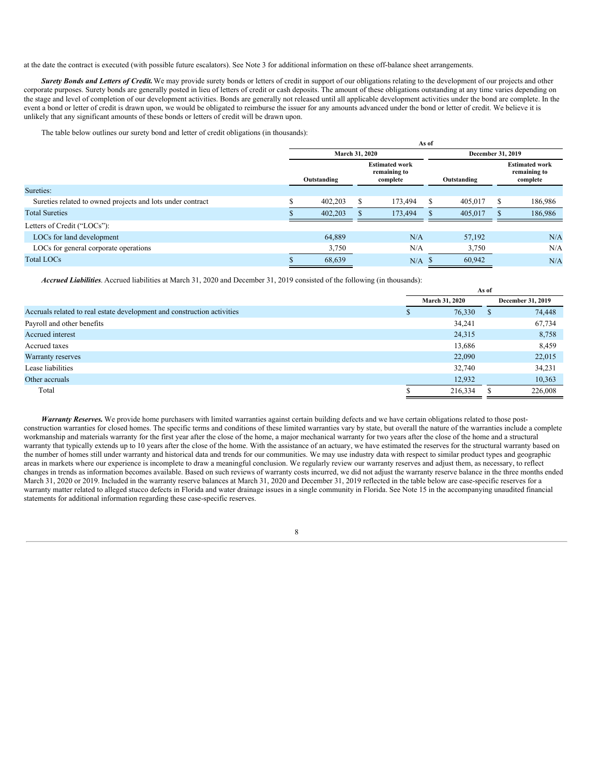at the date the contract is executed (with possible future escalators). See Note 3 for additional information on these off-balance sheet arrangements.

*Surety Bonds and Letters of Credit.*We may provide surety bonds or letters of credit in support of our obligations relating to the development of our projects and other corporate purposes. Surety bonds are generally posted in lieu of letters of credit or cash deposits. The amount of these obligations outstanding at any time varies depending on the stage and level of completion of our development activities. Bonds are generally not released until all applicable development activities under the bond are complete. In the event a bond or letter of credit is drawn upon, we would be obligated to reimburse the issuer for any amounts advanced under the bond or letter of credit. We believe it is unlikely that any significant amounts of these bonds or letters of credit will be drawn upon.

**As of**

**As of**

The table below outlines our surety bond and letter of credit obligations (in thousands):

|                                                            | AS VI          |   |                                                   |   |                   |   |                                                   |
|------------------------------------------------------------|----------------|---|---------------------------------------------------|---|-------------------|---|---------------------------------------------------|
|                                                            | March 31, 2020 |   |                                                   |   | December 31, 2019 |   |                                                   |
|                                                            | Outstanding    |   | <b>Estimated work</b><br>remaining to<br>complete |   | Outstanding       |   | <b>Estimated work</b><br>remaining to<br>complete |
| Sureties:                                                  |                |   |                                                   |   |                   |   |                                                   |
| Sureties related to owned projects and lots under contract | 402,203        | S | 173,494                                           | S | 405,017           | S | 186,986                                           |
| <b>Total Sureties</b>                                      | 402,203        |   | 173,494                                           |   | 405,017           |   | 186,986                                           |
| Letters of Credit ("LOCs"):                                |                |   |                                                   |   |                   |   |                                                   |
| LOCs for land development                                  | 64,889         |   | N/A                                               |   | 57,192            |   | N/A                                               |
| LOCs for general corporate operations                      | 3,750          |   | N/A                                               |   | 3,750             |   | N/A                                               |
| <b>Total LOCs</b>                                          | 68,639         |   | $N/A$ \$                                          |   | 60,942            |   | N/A                                               |

*Accrued Liabilities*. Accrued liabilities at March 31, 2020 and December 31, 2019 consisted of the following (in thousands):

|                                                                         | AS VI |                       |   |                   |
|-------------------------------------------------------------------------|-------|-----------------------|---|-------------------|
|                                                                         |       | <b>March 31, 2020</b> |   | December 31, 2019 |
| Accruals related to real estate development and construction activities |       | 76,330                | S | 74,448            |
| Payroll and other benefits                                              |       | 34,241                |   | 67,734            |
| Accrued interest                                                        |       | 24,315                |   | 8,758             |
| Accrued taxes                                                           |       | 13,686                |   | 8,459             |
| Warranty reserves                                                       |       | 22,090                |   | 22,015            |
| Lease liabilities                                                       |       | 32,740                |   | 34,231            |
| Other accruals                                                          |       | 12,932                |   | 10,363            |
| Total                                                                   |       | 216,334               |   | 226,008           |
|                                                                         |       |                       |   |                   |

*Warranty Reserves.* We provide home purchasers with limited warranties against certain building defects and we have certain obligations related to those postconstruction warranties for closed homes. The specific terms and conditions of these limited warranties vary by state, but overall the nature of the warranties include a complete workmanship and materials warranty for the first year after the close of the home, a major mechanical warranty for two years after the close of the home and a structural warranty that typically extends up to 10 years after the close of the home. With the assistance of an actuary, we have estimated the reserves for the structural warranty based on the number of homes still under warranty and historical data and trends for our communities. We may use industry data with respect to similar product types and geographic areas in markets where our experience is incomplete to draw a meaningful conclusion. We regularly review our warranty reserves and adjust them, as necessary, to reflect changes in trends as information becomes available. Based on such reviews of warranty costs incurred, we did not adjust the warranty reserve balance in the three months ended March 31, 2020 or 2019. Included in the warranty reserve balances at March 31, 2020 and December 31, 2019 reflected in the table below are case-specific reserves for a warranty matter related to alleged stucco defects in Florida and water drainage issues in a single community in Florida. See Note 15 in the accompanying unaudited financial statements for additional information regarding these case-specific reserves.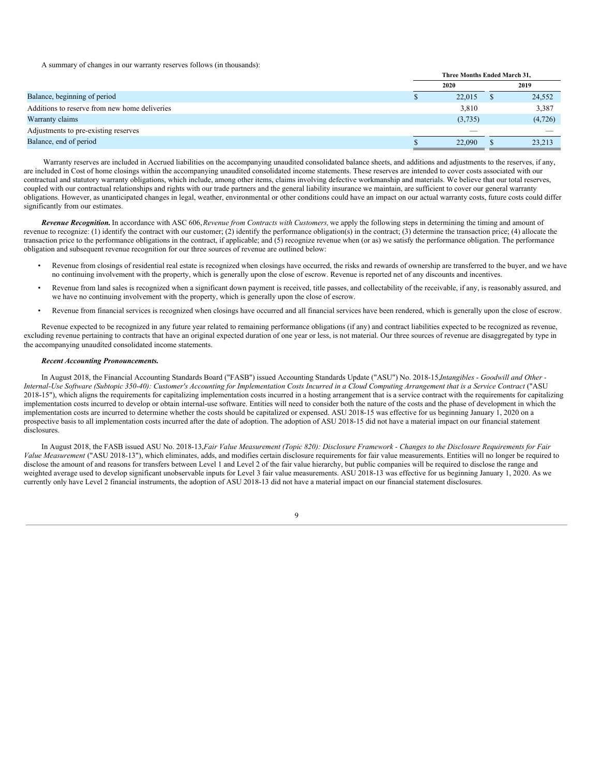A summary of changes in our warranty reserves follows (in thousands):

|                                               | Three Months Ended March 31. |         |  |         |
|-----------------------------------------------|------------------------------|---------|--|---------|
|                                               |                              | 2020    |  | 2019    |
| Balance, beginning of period                  |                              | 22,015  |  | 24,552  |
| Additions to reserve from new home deliveries |                              | 3,810   |  | 3,387   |
| Warranty claims                               |                              | (3,735) |  | (4,726) |
| Adjustments to pre-existing reserves          |                              | $\sim$  |  | $-$     |
| Balance, end of period                        |                              | 22,090  |  | 23,213  |

Warranty reserves are included in Accrued liabilities on the accompanying unaudited consolidated balance sheets, and additions and adjustments to the reserves, if any, are included in Cost of home closings within the accompanying unaudited consolidated income statements. These reserves are intended to cover costs associated with our contractual and statutory warranty obligations, which include, among other items, claims involving defective workmanship and materials. We believe that our total reserves, coupled with our contractual relationships and rights with our trade partners and the general liability insurance we maintain, are sufficient to cover our general warranty obligations. However, as unanticipated changes in legal, weather, environmental or other conditions could have an impact on our actual warranty costs, future costs could differ significantly from our estimates.

*Revenue Recognition.* In accordance with ASC 606,*Revenue from Contracts with Customers,* we apply the following steps in determining the timing and amount of revenue to recognize: (1) identify the contract with our customer; (2) identify the performance obligation(s) in the contract; (3) determine the transaction price; (4) allocate the transaction price to the performance obligations in the contract, if applicable; and (5) recognize revenue when (or as) we satisfy the performance obligation. The performance obligation and subsequent revenue recognition for our three sources of revenue are outlined below:

- Revenue from closings of residential real estate is recognized when closings have occurred, the risks and rewards of ownership are transferred to the buyer, and we have no continuing involvement with the property, which is generally upon the close of escrow. Revenue is reported net of any discounts and incentives.
- Revenue from land sales is recognized when a significant down payment is received, title passes, and collectability of the receivable, if any, is reasonably assured, and we have no continuing involvement with the property, which is generally upon the close of escrow.
- Revenue from financial services is recognized when closings have occurred and all financial services have been rendered, which is generally upon the close of escrow.

Revenue expected to be recognized in any future year related to remaining performance obligations (if any) and contract liabilities expected to be recognized as revenue, excluding revenue pertaining to contracts that have an original expected duration of one year or less, is not material. Our three sources of revenue are disaggregated by type in the accompanying unaudited consolidated income statements.

#### *Recent Accounting Pronouncements.*

In August 2018, the Financial Accounting Standards Board ("FASB") issued Accounting Standards Update ("ASU") No. 2018-15,*Intangibles - Goodwill and Other -* Internal-Use Software (Subtopic 350-40): Customer's Accounting for Implementation Costs Incurred in a Cloud Computing Arrangement that is a Service Contract ("ASU 2018-15"), which aligns the requirements for capitalizing implementation costs incurred in a hosting arrangement that is a service contract with the requirements for capitalizing implementation costs incurred to develop or obtain internal-use software. Entities will need to consider both the nature of the costs and the phase of development in which the implementation costs are incurred to determine whether the costs should be capitalized or expensed. ASU 2018-15 was effective for us beginning January 1, 2020 on a prospective basis to all implementation costs incurred after the date of adoption. The adoption of ASU 2018-15 did not have a material impact on our financial statement disclosures.

In August 2018, the FASB issued ASU No. 2018-13, Fair Value Measurement (Topic 820): Disclosure Framework - Changes to the Disclosure Requirements for Fair *Value Measurement* ("ASU 2018-13"), which eliminates, adds, and modifies certain disclosure requirements for fair value measurements. Entities will no longer be required to disclose the amount of and reasons for transfers between Level 1 and Level 2 of the fair value hierarchy, but public companies will be required to disclose the range and weighted average used to develop significant unobservable inputs for Level 3 fair value measurements. ASU 2018-13 was effective for us beginning January 1, 2020. As we currently only have Level 2 financial instruments, the adoption of ASU 2018-13 did not have a material impact on our financial statement disclosures.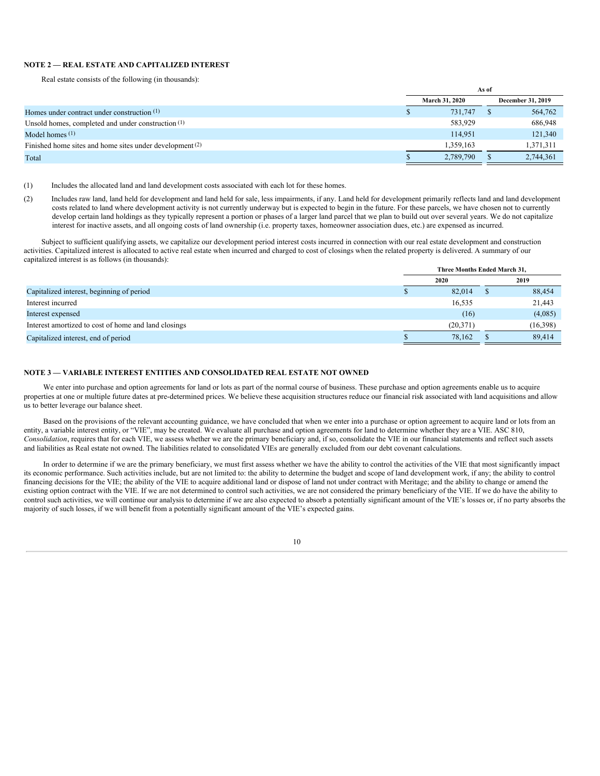### **NOTE 2 — REAL ESTATE AND CAPITALIZED INTEREST**

Real estate consists of the following (in thousands):

|                                                               | As of |                       |  |                   |
|---------------------------------------------------------------|-------|-----------------------|--|-------------------|
|                                                               |       | <b>March 31, 2020</b> |  | December 31, 2019 |
| Homes under contract under construction (1)                   |       | 731.747               |  | 564,762           |
| Unsold homes, completed and under construction <sup>(1)</sup> |       | 583.929               |  | 686,948           |
| Model homes $(1)$                                             |       | 114.951               |  | 121,340           |
| Finished home sites and home sites under development $(2)$    |       | 1,359,163             |  | 1,371,311         |
| Total                                                         |       | 2,789,790             |  | 2,744,361         |

(1) Includes the allocated land and land development costs associated with each lot for these homes.

(2) Includes raw land, land held for development and land held for sale, less impairments, if any. Land held for development primarily reflects land and land development costs related to land where development activity is not currently underway but is expected to begin in the future. For these parcels, we have chosen not to currently develop certain land holdings as they typically represent a portion or phases of a larger land parcel that we plan to build out over several years. We do not capitalize interest for inactive assets, and all ongoing costs of land ownership (i.e. property taxes, homeowner association dues, etc.) are expensed as incurred.

Subject to sufficient qualifying assets, we capitalize our development period interest costs incurred in connection with our real estate development and construction activities. Capitalized interest is allocated to active real estate when incurred and charged to cost of closings when the related property is delivered. A summary of our capitalized interest is as follows (in thousands):

|                                                      | Three Months Ended March 31. |           |  |          |
|------------------------------------------------------|------------------------------|-----------|--|----------|
|                                                      |                              | 2020      |  | 2019     |
| Capitalized interest, beginning of period            |                              | 82,014    |  | 88,454   |
| Interest incurred                                    |                              | 16,535    |  | 21,443   |
| Interest expensed                                    |                              | (16)      |  | (4,085)  |
| Interest amortized to cost of home and land closings |                              | (20, 371) |  | (16,398) |
| Capitalized interest, end of period                  |                              | 78.162    |  | 89,414   |

### **NOTE 3 — VARIABLE INTEREST ENTITIES AND CONSOLIDATED REAL ESTATE NOT OWNED**

We enter into purchase and option agreements for land or lots as part of the normal course of business. These purchase and option agreements enable us to acquire properties at one or multiple future dates at pre-determined prices. We believe these acquisition structures reduce our financial risk associated with land acquisitions and allow us to better leverage our balance sheet.

Based on the provisions of the relevant accounting guidance, we have concluded that when we enter into a purchase or option agreement to acquire land or lots from an entity, a variable interest entity, or "VIE", may be created. We evaluate all purchase and option agreements for land to determine whether they are a VIE. ASC 810, *Consolidation*, requires that for each VIE, we assess whether we are the primary beneficiary and, if so, consolidate the VIE in our financial statements and reflect such assets and liabilities as Real estate not owned. The liabilities related to consolidated VIEs are generally excluded from our debt covenant calculations.

In order to determine if we are the primary beneficiary, we must first assess whether we have the ability to control the activities of the VIE that most significantly impact its economic performance. Such activities include, but are not limited to: the ability to determine the budget and scope of land development work, if any; the ability to control financing decisions for the VIE; the ability of the VIE to acquire additional land or dispose of land not under contract with Meritage; and the ability to change or amend the existing option contract with the VIE. If we are not determined to control such activities, we are not considered the primary beneficiary of the VIE. If we do have the ability to control such activities, we will continue our analysis to determine if we are also expected to absorb a potentially significant amount of the VIE's losses or, if no party absorbs the majority of such losses, if we will benefit from a potentially significant amount of the VIE's expected gains.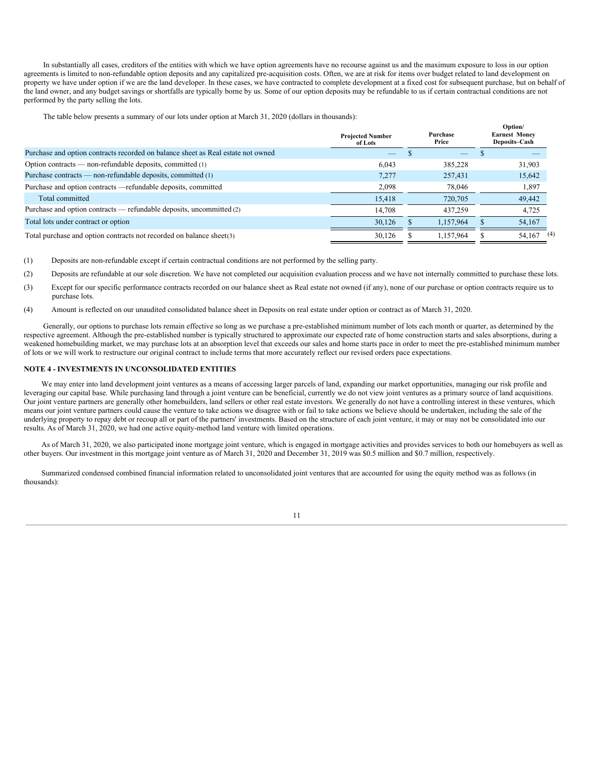In substantially all cases, creditors of the entities with which we have option agreements have no recourse against us and the maximum exposure to loss in our option agreements is limited to non-refundable option deposits and any capitalized pre-acquisition costs. Often, we are at risk for items over budget related to land development on property we have under option if we are the land developer. In these cases, we have contracted to complete development at a fixed cost for subsequent purchase, but on behalf of the land owner, and any budget savings or shortfalls are typically borne by us. Some of our option deposits may be refundable to us if certain contractual conditions are not performed by the party selling the lots.

**Option/**

The table below presents a summary of our lots under option at March 31, 2020 (dollars in thousands):

|                                                                                  | <b>Projected Number</b><br>of Lots | Purchase<br>Price | <b>Option</b><br><b>Earnest Money</b><br>Deposits–Cash |
|----------------------------------------------------------------------------------|------------------------------------|-------------------|--------------------------------------------------------|
| Purchase and option contracts recorded on balance sheet as Real estate not owned |                                    |                   |                                                        |
| Option contracts — non-refundable deposits, committed (1)                        | 6.043                              | 385.228           | 31,903                                                 |
| Purchase contracts — non-refundable deposits, committed (1)                      | 7.277                              | 257,431           | 15,642                                                 |
| Purchase and option contracts — refundable deposits, committed                   | 2,098                              | 78,046            | 1,897                                                  |
| Total committed                                                                  | 15.418                             | 720,705           | 49,442                                                 |
| Purchase and option contracts — refundable deposits, uncommitted (2)             | 14.708                             | 437.259           | 4,725                                                  |
| Total lots under contract or option                                              | 30.126                             | 1,157,964         | 54,167                                                 |
| Total purchase and option contracts not recorded on balance sheet(3)             | 30.126                             | 1,157,964         | (4)<br>54.167                                          |

(1) Deposits are non-refundable except if certain contractual conditions are not performed by the selling party.

(2) Deposits are refundable at our sole discretion. We have not completed our acquisition evaluation process and we have not internally committed to purchase these lots.

(3) Except for our specific performance contracts recorded on our balance sheet as Real estate not owned (if any), none of our purchase or option contracts require us to purchase lots.

(4) Amount is reflected on our unaudited consolidated balance sheet in Deposits on real estate under option or contract as of March 31, 2020.

Generally, our options to purchase lots remain effective so long as we purchase a pre-established minimum number of lots each month or quarter, as determined by the respective agreement. Although the pre-established number is typically structured to approximate our expected rate of home construction starts and sales absorptions, during a weakened homebuilding market, we may purchase lots at an absorption level that exceeds our sales and home starts pace in order to meet the pre-established minimum number of lots or we will work to restructure our original contract to include terms that more accurately reflect our revised orders pace expectations.

### **NOTE 4 - INVESTMENTS IN UNCONSOLIDATED ENTITIES**

We may enter into land development joint ventures as a means of accessing larger parcels of land, expanding our market opportunities, managing our risk profile and leveraging our capital base. While purchasing land through a joint venture can be beneficial, currently we do not view joint ventures as a primary source of land acquisitions. Our joint venture partners are generally other homebuilders, land sellers or other real estate investors. We generally do not have a controlling interest in these ventures, which means our joint venture partners could cause the venture to take actions we disagree with or fail to take actions we believe should be undertaken, including the sale of the underlying property to repay debt or recoup all or part of the partners' investments. Based on the structure of each joint venture, it may or may not be consolidated into our results. As of March 31, 2020, we had one active equity-method land venture with limited operations.

As of March 31, 2020, we also participated inone mortgage joint venture, which is engaged in mortgage activities and provides services to both our homebuyers as well as other buyers. Our investment in this mortgage joint venture as of March 31, 2020 and December 31, 2019 was \$0.5 million and \$0.7 million, respectively.

Summarized condensed combined financial information related to unconsolidated joint ventures that are accounted for using the equity method was as follows (in thousands):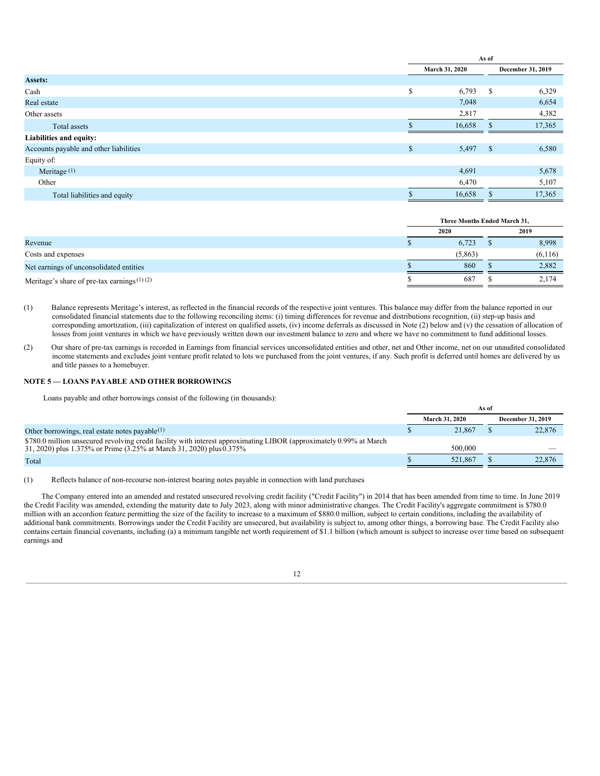|                                        |               | As of          |               |                   |  |
|----------------------------------------|---------------|----------------|---------------|-------------------|--|
|                                        |               | March 31, 2020 |               | December 31, 2019 |  |
| Assets:                                |               |                |               |                   |  |
| Cash                                   | <sup>\$</sup> | 6,793          | <sup>\$</sup> | 6,329             |  |
| Real estate                            |               | 7,048          |               | 6,654             |  |
| Other assets                           |               | 2,817          |               | 4,382             |  |
| <b>Total</b> assets                    |               | 16,658         |               | 17,365            |  |
| Liabilities and equity:                |               |                |               |                   |  |
| Accounts payable and other liabilities | \$            | 5,497          | $\mathbb{S}$  | 6,580             |  |
| Equity of:                             |               |                |               |                   |  |
| Meritage $(1)$                         |               | 4,691          |               | 5,678             |  |
| Other                                  |               | 6,470          |               | 5,107             |  |
| Total liabilities and equity           |               | 16,658         | <b>S</b>      | 17,365            |  |
|                                        |               |                |               |                   |  |

|                                               |         | Three Months Ended March 31. |         |  |  |  |  |
|-----------------------------------------------|---------|------------------------------|---------|--|--|--|--|
|                                               | 2020    |                              |         |  |  |  |  |
| Revenue                                       | 6,723   |                              | 8,998   |  |  |  |  |
| Costs and expenses                            | (5,863) |                              | (6,116) |  |  |  |  |
| Net earnings of unconsolidated entities       | 860     |                              | 2,882   |  |  |  |  |
| Meritage's share of pre-tax earnings $(1)(2)$ | 687     |                              | 2,174   |  |  |  |  |

(1) Balance represents Meritage's interest, as reflected in the financial records of the respective joint ventures. This balance may differ from the balance reported in our consolidated financial statements due to the following reconciling items: (i) timing differences for revenue and distributions recognition, (ii) step-up basis and corresponding amortization, (iii) capitalization of interest on qualified assets, (iv) income deferrals as discussed in Note (2) below and (v) the cessation of allocation of losses from joint ventures in which we have previously written down our investment balance to zero and where we have no commitment to fund additional losses.

(2) Our share of pre-tax earnings is recorded in Earnings from financial services unconsolidated entities and other, net and Other income, net on our unaudited consolidated income statements and excludes joint venture profit related to lots we purchased from the joint ventures, if any. Such profit is deferred until homes are delivered by us and title passes to a homebuyer.

### **NOTE 5 — LOANS PAYABLE AND OTHER BORROWINGS**

Loans payable and other borrowings consist of the following (in thousands):

|                                                                                                                                                                                             | As of                 |  |                   |  |  |
|---------------------------------------------------------------------------------------------------------------------------------------------------------------------------------------------|-----------------------|--|-------------------|--|--|
|                                                                                                                                                                                             | <b>March 31, 2020</b> |  | December 31, 2019 |  |  |
| Other borrowings, real estate notes payable $(1)$                                                                                                                                           | 21.867                |  | 22,876            |  |  |
| \$780.0 million unsecured revolving credit facility with interest approximating LIBOR (approximately 0.99% at March<br>31, 2020) plus 1.375% or Prime (3.25% at March 31, 2020) plus 0.375% | 500,000               |  |                   |  |  |
| Total                                                                                                                                                                                       | 521,867               |  | 22,876            |  |  |

(1) Reflects balance of non-recourse non-interest bearing notes payable in connection with land purchases.

The Company entered into an amended and restated unsecured revolving credit facility ("Credit Facility") in 2014 that has been amended from time to time. In June 2019 the Credit Facility was amended, extending the maturity date to July 2023, along with minor administrative changes. The Credit Facility's aggregate commitment is \$780.0 million with an accordion feature permitting the size of the facility to increase to a maximum of \$880.0 million, subject to certain conditions, including the availability of additional bank commitments. Borrowings under the Credit Facility are unsecured, but availability is subject to, among other things, a borrowing base. The Credit Facility also contains certain financial covenants, including (a) a minimum tangible net worth requirement of \$1.1 billion (which amount is subject to increase over time based on subsequent earnings and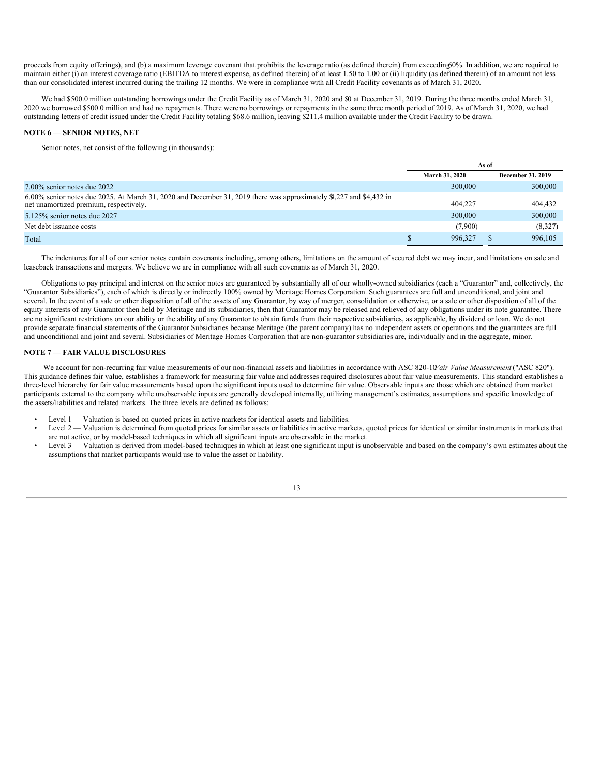proceeds from equity offerings), and (b) a maximum leverage covenant that prohibits the leverage ratio (as defined therein) from exceeding60%. In addition, we are required to maintain either (i) an interest coverage ratio (EBITDA to interest expense, as defined therein) of at least 1.50 to 1.00 or (ii) liquidity (as defined therein) of an amount not less than our consolidated interest incurred during the trailing 12 months. We were in compliance with all Credit Facility covenants as of March 31, 2020.

We had \$500.0 million outstanding borrowings under the Credit Facility as of March 31, 2020 and \$0 at December 31, 2019. During the three months ended March 31, 2020 we borrowed \$500.0 million and had no repayments. There were no borrowings or repayments in the same three month period of 2019. As of March 31, 2020, we had outstanding letters of credit issued under the Credit Facility totaling \$68.6 million, leaving \$211.4 million available under the Credit Facility to be drawn.

### **NOTE 6 — SENIOR NOTES, NET**

Senior notes, net consist of the following (in thousands):

|                                                                                                                                                               | As of                 |                   |  |  |
|---------------------------------------------------------------------------------------------------------------------------------------------------------------|-----------------------|-------------------|--|--|
|                                                                                                                                                               | <b>March 31, 2020</b> | December 31, 2019 |  |  |
| 7.00% senior notes due 2022                                                                                                                                   | 300,000               | 300,000           |  |  |
| 6.00% senior notes due 2025. At March 31, 2020 and December 31, 2019 there was approximately \$4.227 and \$4.432 in<br>net unamortized premium, respectively. | 404.227               | 404,432           |  |  |
| $5.125\%$ senior notes due 2027                                                                                                                               | 300,000               | 300,000           |  |  |
| Net debt issuance costs                                                                                                                                       | (7,900)               | (8,327)           |  |  |
| Total                                                                                                                                                         | 996,327               | 996,105           |  |  |

The indentures for all of our senior notes contain covenants including, among others, limitations on the amount of secured debt we may incur, and limitations on sale and leaseback transactions and mergers. We believe we are in compliance with all such covenants as of March 31, 2020.

Obligations to pay principal and interest on the senior notes are guaranteed by substantially all of our wholly-owned subsidiaries (each a "Guarantor" and, collectively, the "Guarantor Subsidiaries"), each of which is directly or indirectly 100% owned by Meritage Homes Corporation. Such guarantees are full and unconditional, and joint and several. In the event of a sale or other disposition of all of the assets of any Guarantor, by way of merger, consolidation or otherwise, or a sale or other disposition of all of the equity interests of any Guarantor then held by Meritage and its subsidiaries, then that Guarantor may be released and relieved of any obligations under its note guarantee. There are no significant restrictions on our ability of the ability of any Guarantor to obtain funds from their respective subsidiaries, as applicable, by dividend or loan. We do not provide separate financial statements of the Guarantor Subsidiaries because Meritage (the parent company) has no independent assets or operations and the guarantees are full and unconditional and joint and several. Subsidiaries of Meritage Homes Corporation that are non-guarantor subsidiaries are, individually and in the aggregate, minor.

#### **NOTE 7 — FAIR VALUE DISCLOSURES**

We account for non-recurring fair value measurements of our non-financial assets and liabilities in accordance with ASC 820-10*Fair Value Measurement* ("ASC 820"). This guidance defines fair value, establishes a framework for measuring fair value and addresses required disclosures about fair value measurements. This standard establishes a three-level hierarchy for fair value measurements based upon the significant inputs used to determine fair value. Observable inputs are those which are obtained from market participants external to the company while unobservable inputs are generally developed internally, utilizing management's estimates, assumptions and specific knowledge of the assets/liabilities and related markets. The three levels are defined as follows:

- Level 1 Valuation is based on quoted prices in active markets for identical assets and liabilities.
- Level 2 Valuation is determined from quoted prices for similar assets or liabilities in active markets, quoted prices for identical or similar instruments in markets that are not active, or by model-based techniques in which all significant inputs are observable in the market.
- Level 3 Valuation is derived from model-based techniques in which at least one significant input is unobservable and based on the company's own estimates about the assumptions that market participants would use to value the asset or liability.

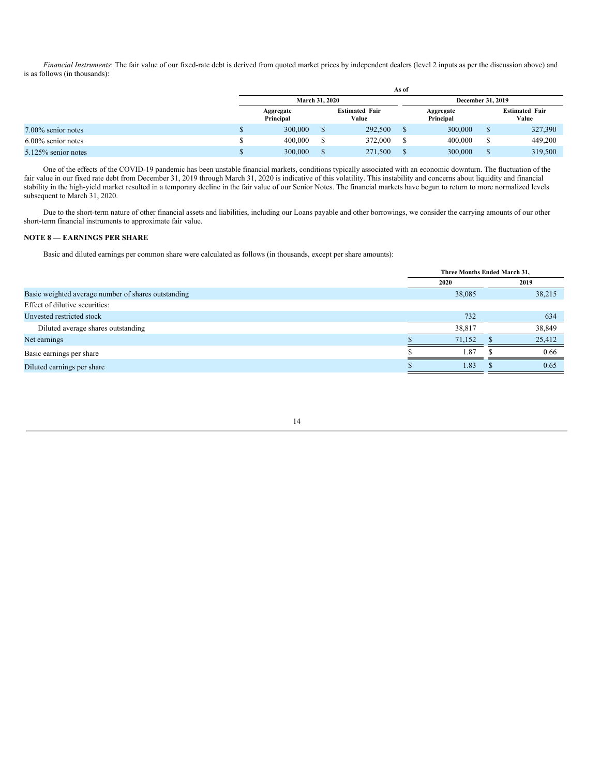*Financial Instruments*: The fair value of our fixed-rate debt is derived from quoted market prices by independent dealers (level 2 inputs as per the discussion above) and is as follows (in thousands):

|                       | As of                  |  |                                |                   |                        |   |                                |  |  |
|-----------------------|------------------------|--|--------------------------------|-------------------|------------------------|---|--------------------------------|--|--|
|                       | March 31, 2020         |  |                                | December 31, 2019 |                        |   |                                |  |  |
|                       | Aggregate<br>Principal |  | <b>Estimated Fair</b><br>Value |                   | Aggregate<br>Principal |   | <b>Estimated Fair</b><br>Value |  |  |
| 7.00% senior notes    | 300,000                |  | 292,500                        |                   | 300,000                | S | 327,390                        |  |  |
| $6.00\%$ senior notes | 400,000                |  | 372,000                        |                   | 400,000                |   | 449,200                        |  |  |
| 5.125% senior notes   | 300,000                |  | 271,500                        |                   | 300,000                |   | 319,500                        |  |  |

One of the effects of the COVID-19 pandemic has been unstable financial markets, conditions typically associated with an economic downturn. The fluctuation of the fair value in our fixed rate debt from December 31, 2019 through March 31, 2020 is indicative of this volatility. This instability and concerns about liquidity and financial stability in the high-yield market resulted in a temporary decline in the fair value of our Senior Notes. The financial markets have begun to return to more normalized levels subsequent to March 31, 2020.

Due to the short-term nature of other financial assets and liabilities, including our Loans payable and other borrowings, we consider the carrying amounts of our other short-term financial instruments to approximate fair value.

### **NOTE 8 — EARNINGS PER SHARE**

Basic and diluted earnings per common share were calculated as follows (in thousands, except per share amounts):

|                                                     | Three Months Ended March 31, |  |        |  |  |
|-----------------------------------------------------|------------------------------|--|--------|--|--|
|                                                     | 2020                         |  | 2019   |  |  |
| Basic weighted average number of shares outstanding | 38,085                       |  | 38,215 |  |  |
| Effect of dilutive securities:                      |                              |  |        |  |  |
| Unvested restricted stock                           | 732                          |  | 634    |  |  |
| Diluted average shares outstanding                  | 38,817                       |  | 38,849 |  |  |
| Net earnings                                        | 71,152                       |  | 25,412 |  |  |
| Basic earnings per share                            | 1.87                         |  | 0.66   |  |  |
| Diluted earnings per share                          | 1.83                         |  | 0.65   |  |  |
|                                                     |                              |  |        |  |  |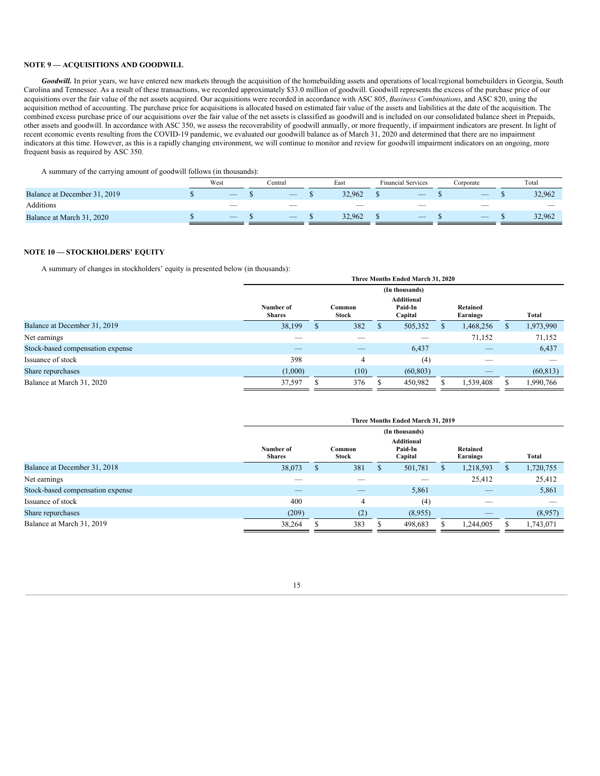### **NOTE 9 — ACQUISITIONS AND GOODWILL**

Goodwill. In prior years, we have entered new markets through the acquisition of the homebuilding assets and operations of local/regional homebuilders in Georgia, South Carolina and Tennessee. As a result of these transactions, we recorded approximately \$33.0 million of goodwill. Goodwill represents the excess of the purchase price of our acquisitions over the fair value of the net assets acquired. Our acquisitions were recorded in accordance with ASC 805, *Business Combinations*, and ASC 820, using the acquisition method of accounting. The purchase price for acquisitions is allocated based on estimated fair value of the assets and liabilities at the date of the acquisition. The combined excess purchase price of our acquisitions over the fair value of the net assets is classified as goodwill and is included on our consolidated balance sheet in Prepaids, other assets and goodwill. In accordance with ASC 350, we assess the recoverability of goodwill annually, or more frequently, if impairment indicators are present. In light of recent economic events resulting from the COVID-19 pandemic, we evaluated our goodwill balance as of March 31, 2020 and determined that there are no impairment indicators at this time. However, as this is a rapidly changing environment, we will continue to monitor and review for goodwill impairment indicators on an ongoing, more frequent basis as required by ASC 350.

A summary of the carrying amount of goodwill follows (in thousands):

|                              | West |                                 | ∵entral                  | East                     | <b>Financial Services</b> | Corporate                | Total                    |
|------------------------------|------|---------------------------------|--------------------------|--------------------------|---------------------------|--------------------------|--------------------------|
| Balance at December 31, 2019 |      | $\overline{\phantom{a}}$        |                          | 32.962                   | $\overline{\phantom{a}}$  | $\overline{\phantom{a}}$ | 32.962                   |
| Additions                    |      | $\overline{\phantom{a}}$        | $\overline{\phantom{a}}$ | $\overline{\phantom{a}}$ | $-$                       | $\overline{\phantom{a}}$ | $\overline{\phantom{a}}$ |
| Balance at March 31, 2020    |      | $\hspace{0.1mm}-\hspace{0.1mm}$ |                          | 32.962                   | $\overline{\phantom{a}}$  | $\qquad \qquad - \qquad$ | 32.962                   |

### **NOTE 10 — STOCKHOLDERS' EQUITY**

A summary of changes in stockholders' equity is presented below (in thousands):

|                                  | Three Months Ended March 31, 2020 |   |                        |   |                                         |   |                      |  |           |  |
|----------------------------------|-----------------------------------|---|------------------------|---|-----------------------------------------|---|----------------------|--|-----------|--|
|                                  | (In thousands)                    |   |                        |   |                                         |   |                      |  |           |  |
|                                  | Number of<br><b>Shares</b>        |   | Common<br><b>Stock</b> |   | <b>Additional</b><br>Paid-In<br>Capital |   | Retained<br>Earnings |  | Total     |  |
| Balance at December 31, 2019     | 38,199                            | S | 382                    | ъ | 505,352                                 | ъ | 1,468,256            |  | 1,973,990 |  |
| Net earnings                     |                                   |   |                        |   |                                         |   | 71,152               |  | 71,152    |  |
| Stock-based compensation expense |                                   |   |                        |   | 6,437                                   |   |                      |  | 6,437     |  |
| Issuance of stock                | 398                               |   | 4                      |   | (4)                                     |   | $\sim$               |  |           |  |
| Share repurchases                | (1,000)                           |   | (10)                   |   | (60, 803)                               |   |                      |  | (60, 813) |  |
| Balance at March 31, 2020        | 37,597                            |   | 376                    |   | 450.982                                 |   | 1,539,408            |  | 1,990,766 |  |

|                                  | Three Months Ended March 31, 2019 |   |                        |    |                                         |  |                      |  |           |
|----------------------------------|-----------------------------------|---|------------------------|----|-----------------------------------------|--|----------------------|--|-----------|
|                                  |                                   |   |                        |    | (In thousands)                          |  |                      |  |           |
|                                  | Number of<br><b>Shares</b>        |   | Common<br><b>Stock</b> |    | <b>Additional</b><br>Paid-In<br>Capital |  | Retained<br>Earnings |  | Total     |
| Balance at December 31, 2018     | 38,073                            | S | 381                    | Ъ. | 501,781                                 |  | 1,218,593            |  | 1,720,755 |
| Net earnings                     |                                   |   |                        |    |                                         |  | 25,412               |  | 25,412    |
| Stock-based compensation expense | _                                 |   |                        |    | 5,861                                   |  | _                    |  | 5,861     |
| Issuance of stock                | 400                               |   | 4                      |    | (4)                                     |  | -                    |  |           |
| Share repurchases                | (209)                             |   | (2)                    |    | (8,955)                                 |  |                      |  | (8,957)   |
| Balance at March 31, 2019        | 38,264                            |   | 383                    |    | 498,683                                 |  | 1,244,005            |  | 1,743,071 |

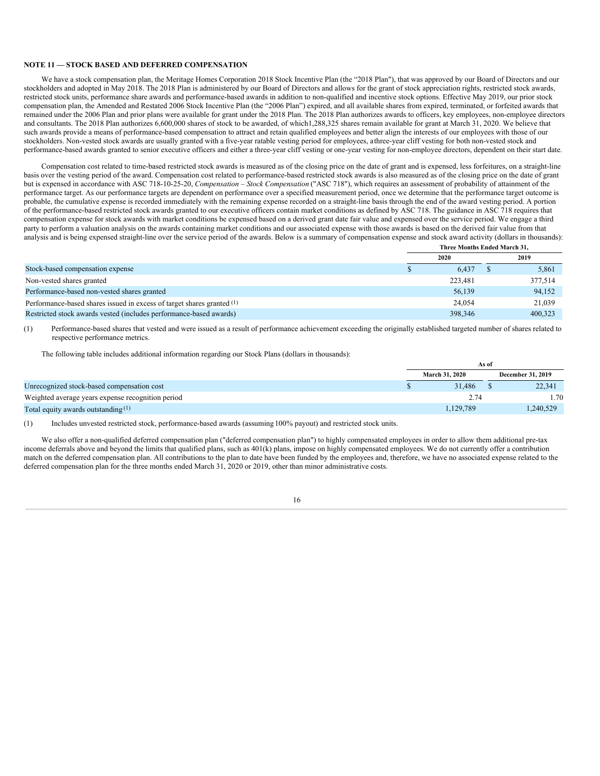#### **NOTE 11 — STOCK BASED AND DEFERRED COMPENSATION**

We have a stock compensation plan, the Meritage Homes Corporation 2018 Stock Incentive Plan (the "2018 Plan"), that was approved by our Board of Directors and our stockholders and adopted in May 2018. The 2018 Plan is administered by our Board of Directors and allows for the grant of stock appreciation rights, restricted stock awards, restricted stock units, performance share awards and performance-based awards in addition to non-qualified and incentive stock options. Effective May 2019, our prior stock compensation plan, the Amended and Restated 2006 Stock Incentive Plan (the "2006 Plan") expired, and all available shares from expired, terminated, or forfeited awards that remained under the 2006 Plan and prior plans were available for grant under the 2018 Plan. The 2018 Plan authorizes awards to officers, key employees, non-employee directors and consultants. The 2018 Plan authorizes 6,600,000 shares of stock to be awarded, of which1,288,325 shares remain available for grant at March 31, 2020. We believe that such awards provide a means of performance-based compensation to attract and retain qualified employees and better align the interests of our employees with those of our stockholders. Non-vested stock awards are usually granted with a five-year ratable vesting period for employees, athree-year cliff vesting for both non-vested stock and performance-based awards granted to senior executive officers and either a three-year cliff vesting or one-year vesting for non-employee directors, dependent on their start date.

Compensation cost related to time-based restricted stock awards is measured as of the closing price on the date of grant and is expensed, less forfeitures, on a straight-line basis over the vesting period of the award. Compensation cost related to performance-based restricted stock awards is also measured as of the closing price on the date of grant but is expensed in accordance with ASC 718-10-25-20, *Compensation – Stock Compensation* ("ASC 718"), which requires an assessment of probability of attainment of the performance target. As our performance targets are dependent on performance over a specified measurement period, once we determine that the performance target outcome is probable, the cumulative expense is recorded immediately with the remaining expense recorded on a straight-line basis through the end of the award vesting period. A portion of the performance-based restricted stock awards granted to our executive officers contain market conditions as defined by ASC 718. The guidance in ASC 718 requires that compensation expense for stock awards with market conditions be expensed based on a derived grant date fair value and expensed over the service period. We engage a third party to perform a valuation analysis on the awards containing market conditions and our associated expense with those awards is based on the derived fair value from that analysis and is being expensed straight-line over the service period of the awards. Below is a summary of compensation expense and stock award activity (dollars in thousands):

|                                                                          | Three Months Ended March 31. |  |         |  |  |  |
|--------------------------------------------------------------------------|------------------------------|--|---------|--|--|--|
|                                                                          | 2020                         |  | 2019    |  |  |  |
| Stock-based compensation expense                                         | 6.437                        |  | 5,861   |  |  |  |
| Non-vested shares granted                                                | 223.481                      |  | 377,514 |  |  |  |
| Performance-based non-vested shares granted                              | 56,139                       |  | 94,152  |  |  |  |
| Performance-based shares issued in excess of target shares granted $(1)$ | 24,054                       |  | 21,039  |  |  |  |
| Restricted stock awards vested (includes performance-based awards)       | 398,346                      |  | 400.323 |  |  |  |

(1) Performance-based shares that vested and were issued as a result of performance achievement exceeding the originally established targeted number of shares related to respective performance metrics.

The following table includes additional information regarding our Stock Plans (dollars in thousands):

|                                                   |      | As of                 |  |                          |  |  |
|---------------------------------------------------|------|-----------------------|--|--------------------------|--|--|
|                                                   |      | <b>March 31, 2020</b> |  | <b>December 31, 2019</b> |  |  |
| Unrecognized stock-based compensation cost        |      | 31.486                |  | 22,341                   |  |  |
| Weighted average years expense recognition period | 2.74 |                       |  | 1.70                     |  |  |
| Total equity awards outstanding $(1)$             |      | 1.129.789             |  | 1,240,529                |  |  |

(1) Includes unvested restricted stock, performance-based awards (assuming100% payout) and restricted stock units.

We also offer a non-qualified deferred compensation plan ("deferred compensation plan") to highly compensated employees in order to allow them additional pre-tax income deferrals above and beyond the limits that qualified plans, such as 401(k) plans, impose on highly compensated employees. We do not currently offer a contribution match on the deferred compensation plan. All contributions to the plan to date have been funded by the employees and, therefore, we have no associated expense related to the deferred compensation plan for the three months ended March 31, 2020 or 2019, other than minor administrative costs.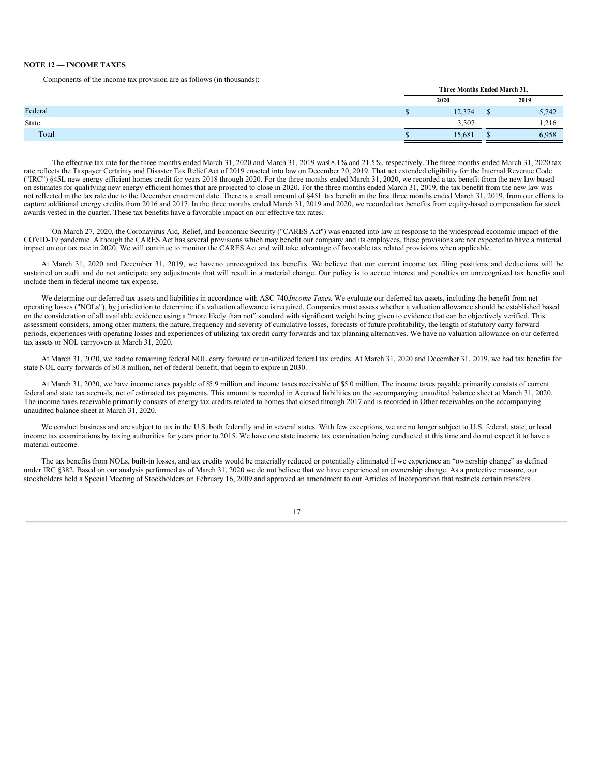### **NOTE 12 — INCOME TAXES**

Components of the income tax provision are as follows (in thousands):

|         | Three Months Ended March 31, |        |      |       |  |  |
|---------|------------------------------|--------|------|-------|--|--|
|         |                              | 2020   | 2019 |       |  |  |
| Federal |                              | 12,374 |      | 5,742 |  |  |
| State   |                              | 3,307  |      | .216  |  |  |
| Total   |                              | 15,681 |      | 6,958 |  |  |

The effective tax rate for the three months ended March 31, 2020 and March 31, 2019 was18.1% and 21.5%, respectively. The three months ended March 31, 2020 tax rate reflects the Taxpayer Certainty and Disaster Tax Relief Act of 2019 enacted into law on December 20, 2019. That act extended eligibility for the Internal Revenue Code ("IRC") §45L new energy efficient homes credit for years 2018 through 2020. For the three months ended March 31, 2020, we recorded a tax benefit from the new law based on estimates for qualifying new energy efficient homes that are projected to close in 2020. For the three months ended March 31, 2019, the tax benefit from the new law was not reflected in the tax rate due to the December enactment date. There is a small amount of §45L tax benefit in the first three months ended March 31, 2019, from our efforts to capture additional energy credits from 2016 and 2017. In the three months ended March 31, 2019 and 2020, we recorded tax benefits from equity-based compensation for stock awards vested in the quarter. These tax benefits have a favorable impact on our effective tax rates.

On March 27, 2020, the Coronavirus Aid, Relief, and Economic Security ("CARES Act") was enacted into law in response to the widespread economic impact of the COVID-19 pandemic. Although the CARES Act has several provisions which may benefit our company and its employees, these provisions are not expected to have a material impact on our tax rate in 2020. We will continue to monitor the CARES Act and will take advantage of favorable tax related provisions when applicable.

At March 31, 2020 and December 31, 2019, we haveno unrecognized tax benefits. We believe that our current income tax filing positions and deductions will be sustained on audit and do not anticipate any adjustments that will result in a material change. Our policy is to accrue interest and penalties on unrecognized tax benefits and include them in federal income tax expense.

We determine our deferred tax assets and liabilities in accordance with ASC 740,*Income Taxes*. We evaluate our deferred tax assets, including the benefit from net operating losses ("NOLs"), by jurisdiction to determine if a valuation allowance is required. Companies must assess whether a valuation allowance should be established based on the consideration of all available evidence using a "more likely than not" standard with significant weight being given to evidence that can be objectively verified. This assessment considers, among other matters, the nature, frequency and severity of cumulative losses, forecasts of future profitability, the length of statutory carry forward periods, experiences with operating losses and experiences of utilizing tax credit carry forwards and tax planning alternatives. We have no valuation allowance on our deferred tax assets or NOL carryovers at March 31, 2020.

At March 31, 2020, we hadno remaining federal NOL carry forward or un-utilized federal tax credits. At March 31, 2020 and December 31, 2019, we had tax benefits for state NOL carry forwards of \$0.8 million, net of federal benefit, that begin to expire in 2030.

At March 31, 2020, we have income taxes payable of \$5.9 million and income taxes receivable of \$5.0 million. The income taxes payable primarily consists of current federal and state tax accruals, net of estimated tax payments. This amount is recorded in Accrued liabilities on the accompanying unaudited balance sheet at March 31, 2020. The income taxes receivable primarily consists of energy tax credits related to homes that closed through 2017 and is recorded in Other receivables on the accompanying unaudited balance sheet at March 31, 2020.

We conduct business and are subject to tax in the U.S. both federally and in several states. With few exceptions, we are no longer subject to U.S. federal, state, or local income tax examinations by taxing authorities for years prior to 2015. We have one state income tax examination being conducted at this time and do not expect it to have a material outcome.

The tax benefits from NOLs, built-in losses, and tax credits would be materially reduced or potentially eliminated if we experience an "ownership change" as defined under IRC §382. Based on our analysis performed as of March 31, 2020 we do not believe that we have experienced an ownership change. As a protective measure, our stockholders held a Special Meeting of Stockholders on February 16, 2009 and approved an amendment to our Articles of Incorporation that restricts certain transfers

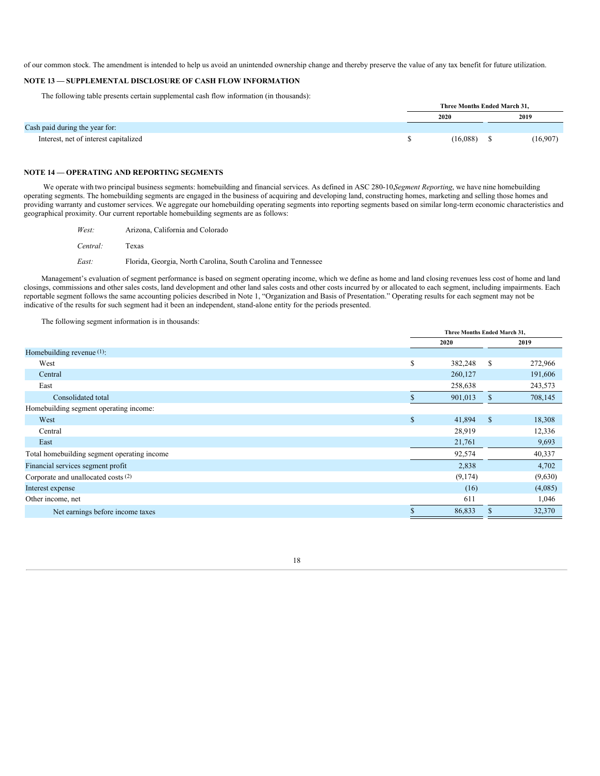of our common stock. The amendment is intended to help us avoid an unintended ownership change and thereby preserve the value of any tax benefit for future utilization.

### **NOTE 13 — SUPPLEMENTAL DISCLOSURE OF CASH FLOW INFORMATION**

The following table presents certain supplemental cash flow information (in thousands):

|                                       | Three Months Ended March 31, |  |          |  |
|---------------------------------------|------------------------------|--|----------|--|
|                                       | 2019<br>2020                 |  |          |  |
| Cash paid during the year for:        |                              |  |          |  |
| Interest, net of interest capitalized | (16.088)                     |  | (16,907) |  |

### **NOTE 14 — OPERATING AND REPORTING SEGMENTS**

We operate with two principal business segments: homebuilding and financial services. As defined in ASC 280-10,*Segment Reporting*, we have nine homebuilding operating segments. The homebuilding segments are engaged in the business of acquiring and developing land, constructing homes, marketing and selling those homes and providing warranty and customer services. We aggregate our homebuilding operating segments into reporting segments based on similar long-term economic characteristics and geographical proximity. Our current reportable homebuilding segments are as follows:

| West:    | Arizona, California and Colorado                               |
|----------|----------------------------------------------------------------|
| Central: | Texas                                                          |
| East:    | Florida, Georgia, North Carolina, South Carolina and Tennessee |

Management's evaluation of segment performance is based on segment operating income, which we define as home and land closing revenues less cost of home and land closings, commissions and other sales costs, land development and other land sales costs and other costs incurred by or allocated to each segment, including impairments. Each reportable segment follows the same accounting policies described in Note 1, "Organization and Basis of Presentation." Operating results for each segment may not be indicative of the results for such segment had it been an independent, stand-alone entity for the periods presented.

The following segment information is in thousands:

|                                             | Three Months Ended March 31, |         |               |         |  |  |
|---------------------------------------------|------------------------------|---------|---------------|---------|--|--|
|                                             | 2020                         |         |               | 2019    |  |  |
| Homebuilding revenue $(1)$ :                |                              |         |               |         |  |  |
| West                                        | \$                           | 382,248 | S             | 272,966 |  |  |
| Central                                     |                              | 260,127 |               | 191,606 |  |  |
| East                                        |                              | 258,638 |               | 243,573 |  |  |
| Consolidated total                          | \$                           | 901,013 | $\mathbb{S}$  | 708,145 |  |  |
| Homebuilding segment operating income:      |                              |         |               |         |  |  |
| West                                        | $\mathbb{S}$                 | 41,894  | <sup>\$</sup> | 18,308  |  |  |
| Central                                     |                              | 28,919  |               | 12,336  |  |  |
| East                                        |                              | 21,761  |               | 9,693   |  |  |
| Total homebuilding segment operating income |                              | 92,574  |               | 40,337  |  |  |
| Financial services segment profit           |                              | 2,838   |               | 4,702   |  |  |
| Corporate and unallocated costs (2)         |                              | (9,174) |               | (9,630) |  |  |
| Interest expense                            |                              | (16)    |               | (4,085) |  |  |
| Other income, net                           |                              | 611     |               | 1,046   |  |  |
| Net earnings before income taxes            |                              | 86,833  |               | 32,370  |  |  |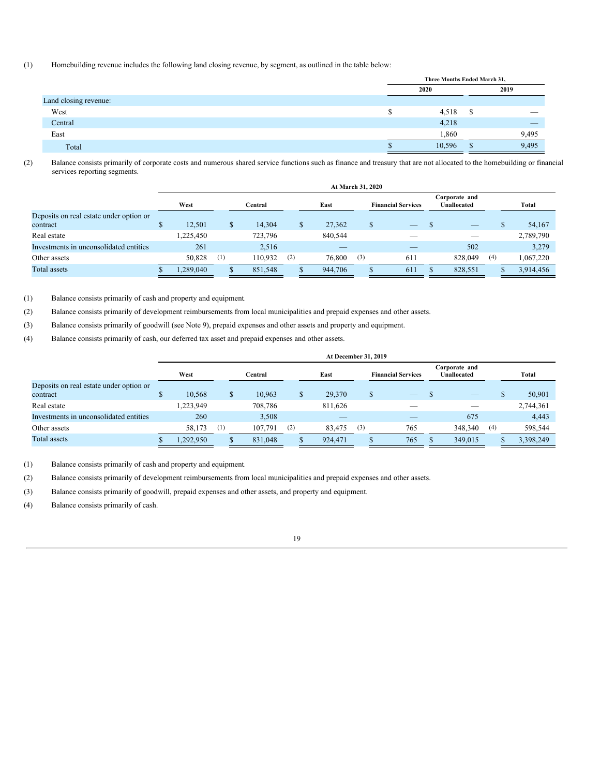### (1) Homebuilding revenue includes the following land closing revenue, by segment, as outlined in the table below:

|                       | Three Months Ended March 31, |      |                          |  |  |  |
|-----------------------|------------------------------|------|--------------------------|--|--|--|
|                       | 2020                         |      | 2019                     |  |  |  |
| Land closing revenue: |                              |      |                          |  |  |  |
| West                  | 4,518                        | - \$ | $\sim$                   |  |  |  |
| Central               | 4,218                        |      | $\overline{\phantom{a}}$ |  |  |  |
| East                  | 1,860                        |      | 9,495                    |  |  |  |
| Total                 | 10,596                       |      | 9.495                    |  |  |  |

(2) Balance consists primarily of corporate costs and numerous shared service functions such as finance and treasury that are not allocated to the homebuilding or financial services reporting segments.

|                                         |              | At March 31, 2020 |     |         |         |     |         |     |    |                           |  |                                     |     |       |           |
|-----------------------------------------|--------------|-------------------|-----|---------|---------|-----|---------|-----|----|---------------------------|--|-------------------------------------|-----|-------|-----------|
|                                         |              | West              |     | Central |         |     | East    |     |    | <b>Financial Services</b> |  | Corporate and<br><b>Unallocated</b> |     | Total |           |
| Deposits on real estate under option or |              |                   |     |         |         |     |         |     |    |                           |  |                                     |     |       |           |
| contract                                | $\mathbf{D}$ | 12.501            |     | \$      | 14.304  | \$  | 27,362  |     | \$ |                           |  | $\overline{\phantom{a}}$            |     |       | 54,167    |
| Real estate                             |              | 1,225,450         |     |         | 723,796 |     | 840,544 |     |    |                           |  |                                     |     |       | 2,789,790 |
| Investments in unconsolidated entities  |              | 261               |     |         | 2,516   |     | _       |     |    |                           |  | 502                                 |     |       | 3,279     |
| Other assets                            |              | 50,828            | (1) |         | 110,932 | (2) | 76,800  | (3) |    | 611                       |  | 828,049                             | (4) |       | 1,067,220 |
| Total assets                            |              | ,289,040          |     | S       | 851,548 |     | 944,706 |     | \$ | 611                       |  | 828,551                             |     |       | 3,914,456 |

(1) Balance consists primarily of cash and property and equipment.

(2) Balance consists primarily of development reimbursements from local municipalities and prepaid expenses and other assets.

(3) Balance consists primarily of goodwill (see Note 9), prepaid expenses and other assets and property and equipment.

(4) Balance consists primarily of cash, our deferred tax asset and prepaid expenses and other assets.

|                                         | <b>At December 31, 2019</b> |     |         |         |     |      |         |     |                                                           |     |  |         |       |  |           |
|-----------------------------------------|-----------------------------|-----|---------|---------|-----|------|---------|-----|-----------------------------------------------------------|-----|--|---------|-------|--|-----------|
|                                         | West                        |     | Central |         |     | East |         |     | Corporate and<br>Unallocated<br><b>Financial Services</b> |     |  |         | Total |  |           |
| Deposits on real estate under option or |                             |     |         |         |     |      |         |     |                                                           |     |  |         |       |  |           |
| contract                                | 10.568                      |     | \$      | 10.963  |     | \$   | 29,370  |     | \$                                                        |     |  |         |       |  | 50,901    |
| Real estate                             | 1,223,949                   |     |         | 708,786 |     |      | 811,626 |     |                                                           |     |  |         |       |  | 2,744,361 |
| Investments in unconsolidated entities  | 260                         |     |         | 3,508   |     |      | _       |     |                                                           |     |  | 675     |       |  | 4,443     |
| Other assets                            | 58,173                      | (1) |         | 107,791 | (2) |      | 83,475  | (3) |                                                           | 765 |  | 348,340 | (4)   |  | 598,544   |
| Total assets                            | 1,292,950                   |     |         | 831,048 |     |      | 924,471 |     |                                                           | 765 |  | 349,015 |       |  | 3,398,249 |

(1) Balance consists primarily of cash and property and equipment.

(2) Balance consists primarily of development reimbursements from local municipalities and prepaid expenses and other assets.

(3) Balance consists primarily of goodwill, prepaid expenses and other assets, and property and equipment.

(4) Balance consists primarily of cash.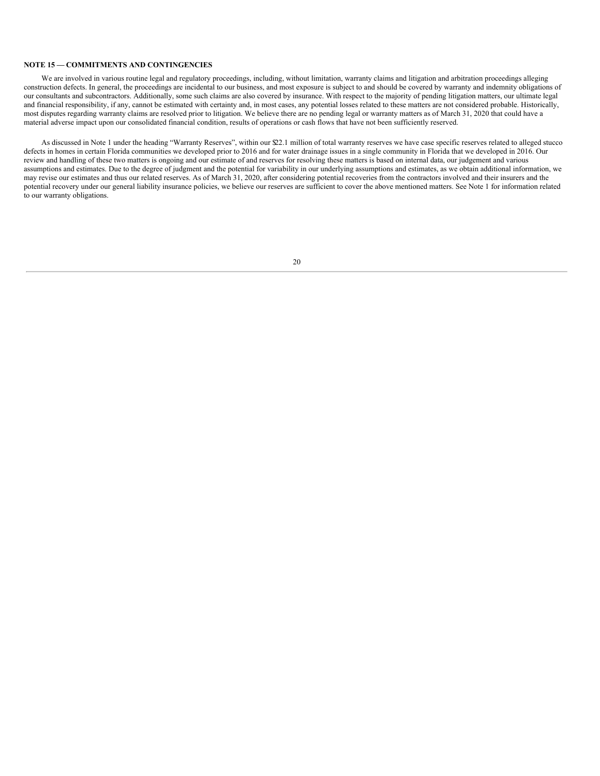### **NOTE 15 — COMMITMENTS AND CONTINGENCIES**

We are involved in various routine legal and regulatory proceedings, including, without limitation, warranty claims and litigation and arbitration proceedings alleging construction defects. In general, the proceedings are incidental to our business, and most exposure is subject to and should be covered by warranty and indemnity obligations of our consultants and subcontractors. Additionally, some such claims are also covered by insurance. With respect to the majority of pending litigation matters, our ultimate legal and financial responsibility, if any, cannot be estimated with certainty and, in most cases, any potential losses related to these matters are not considered probable. Historically, most disputes regarding warranty claims are resolved prior to litigation. We believe there are no pending legal or warranty matters as of March 31, 2020 that could have a material adverse impact upon our consolidated financial condition, results of operations or cash flows that have not been sufficiently reserved.

As discussed in Note 1 under the heading "Warranty Reserves", within our \$22.1 million of total warranty reserves we have case specific reserves related to alleged stucco defects in homes in certain Florida communities we developed prior to 2016 and for water drainage issues in a single community in Florida that we developed in 2016. Our review and handling of these two matters is ongoing and our estimate of and reserves for resolving these matters is based on internal data, our judgement and various assumptions and estimates. Due to the degree of judgment and the potential for variability in our underlying assumptions and estimates, as we obtain additional information, we may revise our estimates and thus our related reserves. As of March 31, 2020, after considering potential recoveries from the contractors involved and their insurers and the potential recovery under our general liability insurance policies, we believe our reserves are sufficient to cover the above mentioned matters. See Note 1 for information related to our warranty obligations.

| ł |   |    |
|---|---|----|
|   | × | ۰. |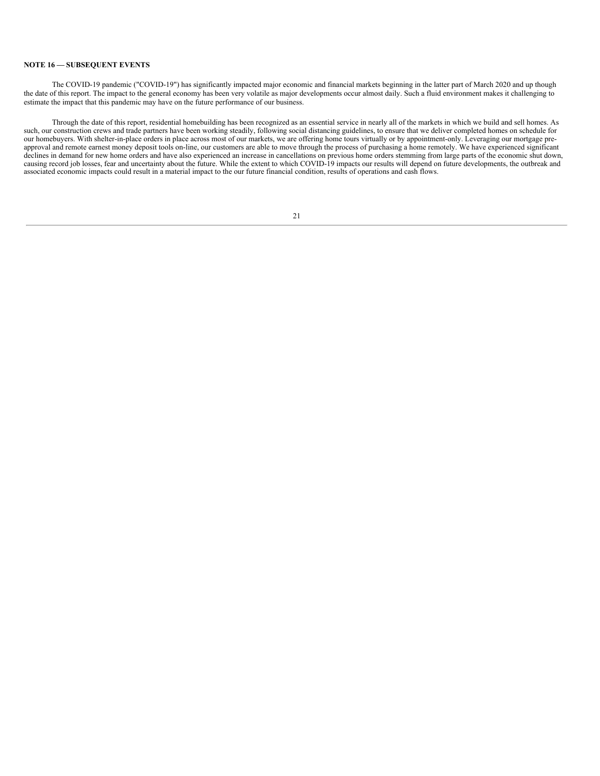### **NOTE 16 — SUBSEQUENT EVENTS**

The COVID-19 pandemic ("COVID-19") has significantly impacted major economic and financial markets beginning in the latter part of March 2020 and up though the date of this report. The impact to the general economy has been very volatile as major developments occur almost daily. Such a fluid environment makes it challenging to estimate the impact that this pandemic may have on the future performance of our business.

Through the date of this report, residential homebuilding has been recognized as an essential service in nearly all of the markets in which we build and sell homes. As such, our construction crews and trade partners have been working steadily, following social distancing guidelines, to ensure that we deliver completed homes on schedule for our homebuyers. With shelter-in-place orders in place across most of our markets, we are offering home tours virtually or by appointment-only. Leveraging our mortgage preapproval and remote earnest money deposit tools on-line, our customers are able to move through the process of purchasing a home remotely. We have experienced significant declines in demand for new home orders and have also experienced an increase in cancellations on previous home orders stemming from large parts of the economic shut down, causing record job losses, fear and uncertainty about the future. While the extent to which COVID-19 impacts our results will depend on future developments, the outbreak and associated economic impacts could result in a material impact to the our future financial condition, results of operations and cash flows.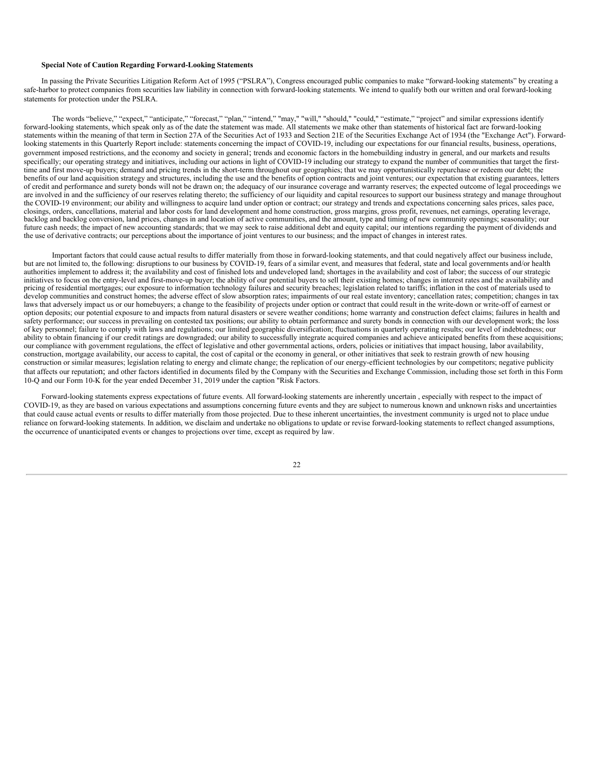### **Special Note of Caution Regarding Forward-Looking Statements**

In passing the Private Securities Litigation Reform Act of 1995 ("PSLRA"), Congress encouraged public companies to make "forward-looking statements" by creating a safe-harbor to protect companies from securities law liability in connection with forward-looking statements. We intend to qualify both our written and oral forward-looking statements for protection under the PSLRA.

The words "believe," "expect," "anticipate," "forecast," "plan," "intend," "may," "will," "should," "could," "estimate," "project" and similar expressions identify forward-looking statements, which speak only as of the date the statement was made. All statements we make other than statements of historical fact are forward-looking statements within the meaning of that term in Section 27A of the Securities Act of 1933 and Section 21E of the Securities Exchange Act of 1934 (the "Exchange Act"). Forwardlooking statements in this Quarterly Report include: statements concerning the impact of COVID-19, including our expectations for our financial results, business, operations, government imposed restrictions, and the economy and society in general; trends and economic factors in the homebuilding industry in general, and our markets and results specifically; our operating strategy and initiatives, including our actions in light of COVID-19 including our strategy to expand the number of communities that target the firsttime and first move-up buyers; demand and pricing trends in the short-term throughout our geographies; that we may opportunistically repurchase or redeem our debt; the benefits of our land acquisition strategy and structures, including the use and the benefits of option contracts and joint ventures; our expectation that existing guarantees, letters of credit and performance and surety bonds will not be drawn on; the adequacy of our insurance coverage and warranty reserves; the expected outcome of legal proceedings we are involved in and the sufficiency of our reserves relating thereto; the sufficiency of our liquidity and capital resources to support our business strategy and manage throughout the COVID-19 environment; our ability and willingness to acquire land under option or contract; our strategy and trends and expectations concerning sales prices, sales pace, closings, orders, cancellations, material and labor costs for land development and home construction, gross margins, gross profit, revenues, net earnings, operating leverage, backlog and backlog conversion, land prices, changes in and location of active communities, and the amount, type and timing of new community openings; seasonality; our future cash needs; the impact of new accounting standards; that we may seek to raise additional debt and equity capital; our intentions regarding the payment of dividends and the use of derivative contracts; our perceptions about the importance of joint ventures to our business; and the impact of changes in interest rates.

Important factors that could cause actual results to differ materially from those in forward-looking statements, and that could negatively affect our business include, but are not limited to, the following: disruptions to our business by COVID-19, fears of a similar event, and measures that federal, state and local governments and/or health authorities implement to address it; the availability and cost of finished lots and undeveloped land; shortages in the availability and cost of labor; the success of our strategic initiatives to focus on the entry-level and first-move-up buyer; the ability of our potential buyers to sell their existing homes; changes in interest rates and the availability and pricing of residential mortgages; our exposure to information technology failures and security breaches; legislation related to tariffs; inflation in the cost of materials used to develop communities and construct homes; the adverse effect of slow absorption rates; impairments of our real estate inventory; cancellation rates; competition; changes in tax laws that adversely impact us or our homebuyers; a change to the feasibility of projects under option or contract that could result in the write-down or write-off of earnest or option deposits; our potential exposure to and impacts from natural disasters or severe weather conditions; home warranty and construction defect claims; failures in health and safety performance; our success in prevailing on contested tax positions; our ability to obtain performance and surety bonds in connection with our development work; the loss of key personnel; failure to comply with laws and regulations; our limited geographic diversification; fluctuations in quarterly operating results; our level of indebtedness; our ability to obtain financing if our credit ratings are downgraded; our ability to successfully integrate acquired companies and achieve anticipated benefits from these acquisitions; our compliance with government regulations, the effect of legislative and other governmental actions, orders, policies or initiatives that impact housing, labor availability, construction, mortgage availability, our access to capital, the cost of capital or the economy in general, or other initiatives that seek to restrain growth of new housing construction or similar measures; legislation relating to energy and climate change; the replication of our energy-efficient technologies by our competitors; negative publicity that affects our reputation; and other factors identified in documents filed by the Company with the Securities and Exchange Commission, including those set forth in this Form 10-Q and our Form 10-K for the year ended December 31, 2019 under the caption "Risk Factors.

Forward-looking statements express expectations of future events. All forward-looking statements are inherently uncertain, especially with respect to the impact of COVID-19, as they are based on various expectations and assumptions concerning future events and they are subject to numerous known and unknown risks and uncertainties that could cause actual events or results to differ materially from those projected. Due to these inherent uncertainties, the investment community is urged not to place undue reliance on forward-looking statements. In addition, we disclaim and undertake no obligations to update or revise forward-looking statements to reflect changed assumptions, the occurrence of unanticipated events or changes to projections over time, except as required by law.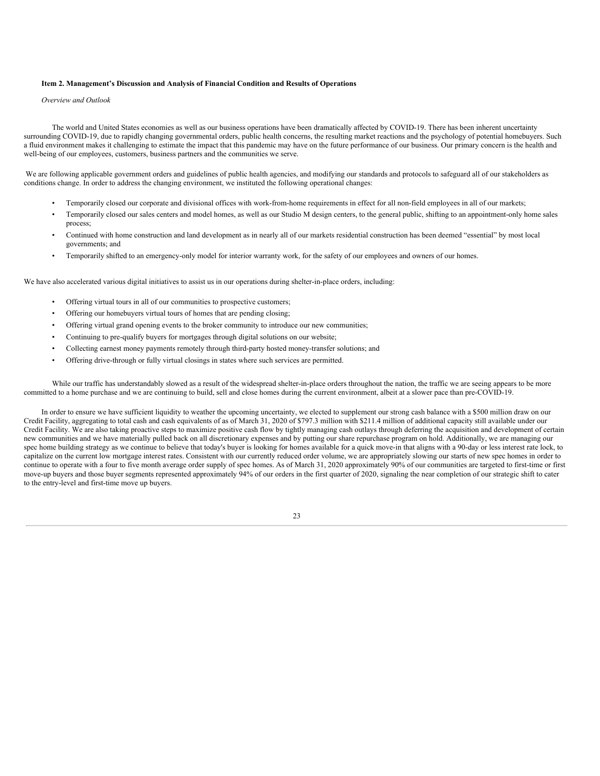### <span id="page-22-1"></span><span id="page-22-0"></span>**Item 2. Management's Discussion and Analysis of Financial Condition and Results of Operations**

*Overview and Outlook*

The world and United States economies as well as our business operations have been dramatically affected by COVID-19. There has been inherent uncertainty surrounding COVID-19, due to rapidly changing governmental orders, public health concerns, the resulting market reactions and the psychology of potential homebuyers. Such a fluid environment makes it challenging to estimate the impact that this pandemic may have on the future performance of our business. Our primary concern is the health and well-being of our employees, customers, business partners and the communities we serve.

We are following applicable government orders and guidelines of public health agencies, and modifying our standards and protocols to safeguard all of our stakeholders as conditions change. In order to address the changing environment, we instituted the following operational changes:

- Temporarily closed our corporate and divisional offices with work-from-home requirements in effect for all non-field employees in all of our markets;
- Temporarily closed our sales centers and model homes, as well as our Studio M design centers, to the general public, shifting to an appointment-only home sales process;
- Continued with home construction and land development as in nearly all of our markets residential construction has been deemed "essential" by most local governments; and
- Temporarily shifted to an emergency-only model for interior warranty work, for the safety of our employees and owners of our homes.

We have also accelerated various digital initiatives to assist us in our operations during shelter-in-place orders, including:

- Offering virtual tours in all of our communities to prospective customers;
- Offering our homebuyers virtual tours of homes that are pending closing;
- Offering virtual grand opening events to the broker community to introduce our new communities;
- Continuing to pre-qualify buyers for mortgages through digital solutions on our website;
- Collecting earnest money payments remotely through third-party hosted money-transfer solutions; and
- Offering drive-through or fully virtual closings in states where such services are permitted.

While our traffic has understandably slowed as a result of the widespread shelter-in-place orders throughout the nation, the traffic we are seeing appears to be more committed to a home purchase and we are continuing to build, sell and close homes during the current environment, albeit at a slower pace than pre-COVID-19.

In order to ensure we have sufficient liquidity to weather the upcoming uncertainty, we elected to supplement our strong cash balance with a \$500 million draw on our Credit Facility, aggregating to total cash and cash equivalents of as of March 31, 2020 of \$797.3 million with \$211.4 million of additional capacity still available under our Credit Facility. We are also taking proactive steps to maximize positive cash flow by tightly managing cash outlays through deferring the acquisition and development of certain new communities and we have materially pulled back on all discretionary expenses and by putting our share repurchase program on hold. Additionally, we are managing our spec home building strategy as we continue to believe that today's buyer is looking for homes available for a quick move-in that aligns with a 90-day or less interest rate lock, to capitalize on the current low mortgage interest rates. Consistent with our currently reduced order volume, we are appropriately slowing our starts of new spec homes in order to continue to operate with a four to five month average order supply of spec homes. As of March 31, 2020 approximately 90% of our communities are targeted to first-time or first move-up buyers and those buyer segments represented approximately 94% of our orders in the first quarter of 2020, signaling the near completion of our strategic shift to cater to the entry-level and first-time move up buyers.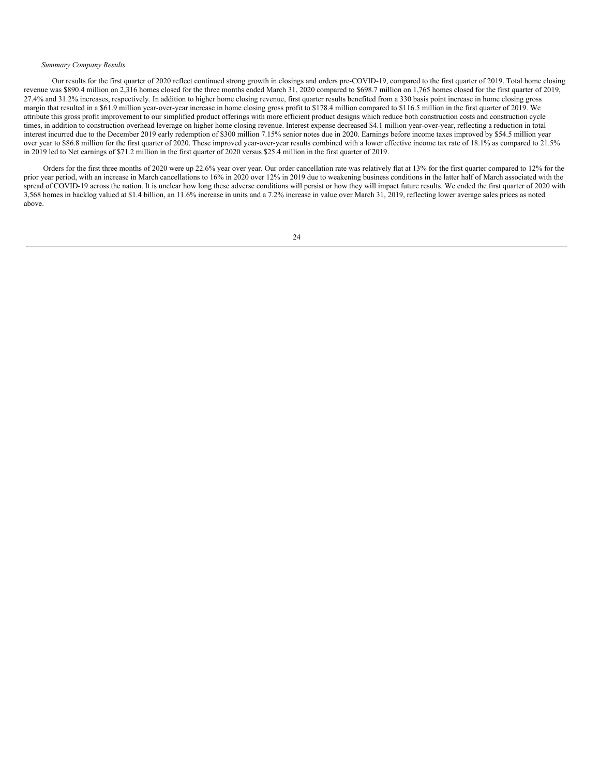#### *Summary Company Results*

Our results for the first quarter of 2020 reflect continued strong growth in closings and orders pre-COVID-19, compared to the first quarter of 2019. Total home closing revenue was \$890.4 million on 2,316 homes closed for the three months ended March 31, 2020 compared to \$698.7 million on 1,765 homes closed for the first quarter of 2019, 27.4% and 31.2% increases, respectively. In addition to higher home closing revenue, first quarter results benefited from a 330 basis point increase in home closing gross margin that resulted in a \$61.9 million year-over-year increase in home closing gross profit to \$178.4 million compared to \$116.5 million in the first quarter of 2019. We attribute this gross profit improvement to our simplified product offerings with more efficient product designs which reduce both construction costs and construction cycle times, in addition to construction overhead leverage on higher home closing revenue. Interest expense decreased \$4.1 million year-over-year, reflecting a reduction in total interest incurred due to the December 2019 early redemption of \$300 million 7.15% senior notes due in 2020. Earnings before income taxes improved by \$54.5 million year over year to \$86.8 million for the first quarter of 2020. These improved year-over-year results combined with a lower effective income tax rate of 18.1% as compared to 21.5% in 2019 led to Net earnings of \$71.2 million in the first quarter of 2020 versus \$25.4 million in the first quarter of 2019.

Orders for the first three months of 2020 were up 22.6% year over year. Our order cancellation rate was relatively flat at 13% for the first quarter compared to 12% for the prior year period, with an increase in March cancellations to 16% in 2020 over 12% in 2019 due to weakening business conditions in the latter half of March associated with the spread of COVID-19 across the nation. It is unclear how long these adverse conditions will persist or how they will impact future results. We ended the first quarter of 2020 with 3,568 homes in backlog valued at \$1.4 billion, an 11.6% increase in units and a 7.2% increase in value over March 31, 2019, reflecting lower average sales prices as noted above.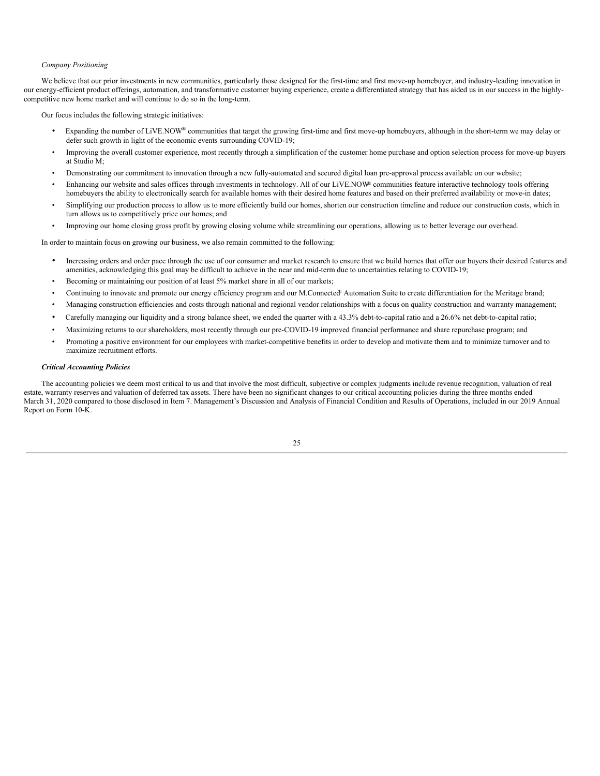### *Company Positioning*

We believe that our prior investments in new communities, particularly those designed for the first-time and first move-up homebuyer, and industry-leading innovation in our energy-efficient product offerings, automation, and transformative customer buying experience, create a differentiated strategy that has aided us in our success in the highlycompetitive new home market and will continue to do so in the long-term.

Our focus includes the following strategic initiatives:

- Expanding the number of LiVE.NOW<sup>®</sup> communities that target the growing first-time and first move-up homebuyers, although in the short-term we may delay or defer such growth in light of the economic events surrounding COVID-19;
- Improving the overall customer experience, most recently through a simplification of the customer home purchase and option selection process for move-up buyers at Studio M;
- Demonstrating our commitment to innovation through a new fully-automated and secured digital loan pre-approval process available on our website;
- Enhancing our website and sales offices through investments in technology. All of our LiVE.NOW® communities feature interactive technology tools offering homebuyers the ability to electronically search for available homes with their desired home features and based on their preferred availability or move-in dates;
- Simplifying our production process to allow us to more efficiently build our homes, shorten our construction timeline and reduce our construction costs, which in turn allows us to competitively price our homes; and
- Improving our home closing gross profit by growing closing volume while streamlining our operations, allowing us to better leverage our overhead.

In order to maintain focus on growing our business, we also remain committed to the following:

- Increasing orders and order pace through the use of our consumer and market research to ensure that we build homes that offer our buyers their desired features and amenities, acknowledging this goal may be difficult to achieve in the near and mid-term due to uncertainties relating to COVID-19;
- Becoming or maintaining our position of at least 5% market share in all of our markets;
- Continuing to innovate and promote our energy efficiency program and our M.Connected® Automation Suite to create differentiation for the Meritage brand;
- Managing construction efficiencies and costs through national and regional vendor relationships with a focus on quality construction and warranty management;
- Carefully managing our liquidity and a strong balance sheet, we ended the quarter with a 43.3% debt-to-capital ratio and a 26.6% net debt-to-capital ratio;
- Maximizing returns to our shareholders, most recently through our pre-COVID-19 improved financial performance and share repurchase program; and
- Promoting a positive environment for our employees with market-competitive benefits in order to develop and motivate them and to minimize turnover and to maximize recruitment efforts.

### *Critical Accounting Policies*

The accounting policies we deem most critical to us and that involve the most difficult, subjective or complex judgments include revenue recognition, valuation of real estate, warranty reserves and valuation of deferred tax assets. There have been no significant changes to our critical accounting policies during the three months ended March 31, 2020 compared to those disclosed in Item 7. Management's Discussion and Analysis of Financial Condition and Results of Operations, included in our 2019 Annual Report on Form 10-K.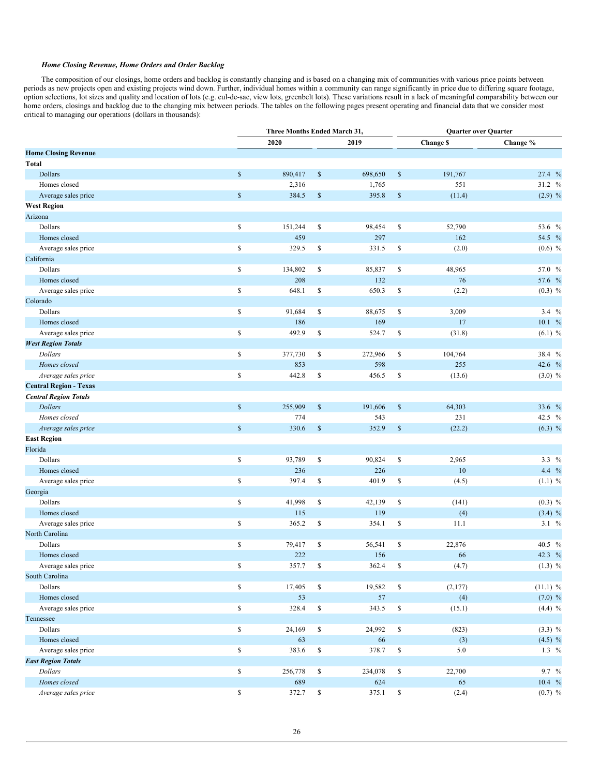### *Home Closing Revenue, Home Orders and Order Backlog*

The composition of our closings, home orders and backlog is constantly changing and is based on a changing mix of communities with various price points between periods as new projects open and existing projects wind down. Further, individual homes within a community can range significantly in price due to differing square footage, option selections, lot sizes and quality and location of lots (e.g. cul-de-sac, view lots, greenbelt lots). These variations result in a lack of meaningful comparability between our home orders, closings and backlog due to the changing mix between periods. The tables on the following pages present operating and financial data that we consider most critical to managing our operations (dollars in thousands):

|                                       |              | Three Months Ended March 31, |              |         |              | Quarter over Quarter |                      |  |  |
|---------------------------------------|--------------|------------------------------|--------------|---------|--------------|----------------------|----------------------|--|--|
|                                       |              | 2020                         |              | 2019    |              | <b>Change \$</b>     | Change %             |  |  |
| <b>Home Closing Revenue</b>           |              |                              |              |         |              |                      |                      |  |  |
| <b>Total</b>                          |              |                              |              |         |              |                      |                      |  |  |
| Dollars                               | $\mathbb{S}$ | 890,417                      | $\mathbb{S}$ | 698,650 | $\$$         | 191,767              | 27.4 %               |  |  |
| Homes closed                          |              | 2,316                        |              | 1,765   |              | 551                  | 31.2 %               |  |  |
| Average sales price                   | $\mathbb{S}$ | 384.5                        | $\mathbb{S}$ | 395.8   | $\mathbb{S}$ | (11.4)               | $(2.9)$ %            |  |  |
| <b>West Region</b>                    |              |                              |              |         |              |                      |                      |  |  |
| Arizona                               |              |                              |              |         |              |                      |                      |  |  |
| Dollars                               | \$           | 151,244                      | $\mathbb{S}$ | 98,454  | \$           | 52,790               | 53.6 %               |  |  |
| Homes closed                          |              | 459                          |              | 297     |              | 162                  | 54.5 %               |  |  |
| Average sales price                   | \$           | 329.5                        | \$           | 331.5   | \$           | (2.0)                | $(0.6)$ %            |  |  |
| California                            |              |                              |              |         |              |                      |                      |  |  |
| Dollars                               | \$           | 134,802                      | \$           | 85,837  | \$           | 48,965               | 57.0 %               |  |  |
| Homes closed                          |              | 208                          |              | 132     |              | 76                   | 57.6 %               |  |  |
| Average sales price                   | \$           | 648.1                        | \$           | 650.3   | \$           | (2.2)                | $(0.3)$ %            |  |  |
| Colorado                              |              |                              |              |         |              |                      |                      |  |  |
| Dollars                               | \$           | 91,684                       | $\mathbb{S}$ | 88,675  | \$           | 3,009                | 3.4 $%$              |  |  |
| Homes closed                          |              | 186                          |              | 169     |              | 17                   | 10.1 %               |  |  |
| Average sales price                   | \$           | 492.9                        | $\mathbb S$  | 524.7   | \$           | (31.8)               | $(6.1)$ %            |  |  |
| <b>West Region Totals</b>             |              |                              |              |         |              |                      |                      |  |  |
| <b>Dollars</b>                        | \$           | 377,730                      | \$           | 272,966 | \$           | 104,764              | 38.4 %               |  |  |
| Homes closed                          |              | 853                          |              | 598     |              | 255                  | 42.6 %               |  |  |
| Average sales price                   | \$           | 442.8                        | \$           | 456.5   | \$           | (13.6)               | $(3.0)$ %            |  |  |
| <b>Central Region - Texas</b>         |              |                              |              |         |              |                      |                      |  |  |
| <b>Central Region Totals</b>          |              |                              |              |         |              |                      |                      |  |  |
| <b>Dollars</b>                        | $\mathbb{S}$ | 255,909                      | $\mathbb{S}$ | 191,606 | $\mathbb{S}$ | 64,303               | 33.6 %               |  |  |
| Homes closed                          |              | 774                          |              | 543     |              | 231                  | 42.5 %               |  |  |
| Average sales price                   | $\mathbb{S}$ | 330.6                        | $\mathbb{S}$ | 352.9   | $\mathbb{S}$ | (22.2)               | $(6.3)$ %            |  |  |
| <b>East Region</b>                    |              |                              |              |         |              |                      |                      |  |  |
| Florida                               |              |                              |              |         |              |                      |                      |  |  |
| Dollars                               | \$           | 93,789                       | \$           | 90,824  | \$           | 2,965                | 3.3 $%$              |  |  |
| Homes closed                          |              | 236                          |              | 226     |              | 10                   | 4.4 %                |  |  |
| Average sales price                   | \$           | 397.4                        | \$           | 401.9   | \$           | (4.5)                | $(1.1)$ %            |  |  |
| Georgia                               |              |                              |              |         |              |                      |                      |  |  |
| Dollars                               | \$           | 41,998                       | \$           | 42,139  | \$           | (141)                | $(0.3)$ %            |  |  |
| Homes closed                          |              | 115                          |              | 119     |              | (4)                  | $(3.4)$ %            |  |  |
| Average sales price                   | \$           | 365.2                        | \$           | 354.1   | \$           | 11.1                 | 3.1 $%$              |  |  |
| North Carolina                        |              |                              |              |         |              | 22,876               |                      |  |  |
| Dollars                               | \$           | 79,417                       | \$           | 56,541  | \$           |                      | 40.5 %               |  |  |
| Homes closed                          |              | 222                          |              | 156     |              | 66                   | 42.3 %               |  |  |
| Average sales price<br>South Carolina | \$           | 357.7                        | \$           | 362.4   | \$           | (4.7)                | $(1.3) \%$           |  |  |
| Dollars                               | \$           | 17,405                       |              | 19,582  | $\mathbb{S}$ |                      | $(11.1)$ %           |  |  |
| Homes closed                          |              | 53                           | \$           | 57      |              | (2,177)              |                      |  |  |
| Average sales price                   | \$           | 328.4                        |              | 343.5   |              | (4)                  | $(7.0)$ %            |  |  |
| Tennessee                             |              |                              | $\mathbb S$  |         | $\mathbb S$  | (15.1)               | $(4.4)$ %            |  |  |
| Dollars                               | \$           | 24,169                       | \$           | 24,992  | \$           |                      | $(3.3)$ %            |  |  |
| Homes closed                          |              | 63                           |              | 66      |              | (823)                |                      |  |  |
| Average sales price                   | \$           | 383.6                        | \$           | 378.7   | $\mathbb S$  | (3)<br>5.0           | $(4.5)$ %<br>1.3 $%$ |  |  |
| <b>East Region Totals</b>             |              |                              |              |         |              |                      |                      |  |  |
| Dollars                               | \$           | 256,778                      | \$           | 234,078 | \$           | 22,700               | 9.7 %                |  |  |
| Homes closed                          |              | 689                          |              | 624     |              | 65                   | $10.4\ \%$           |  |  |
| Average sales price                   | \$           | 372.7                        |              | 375.1   |              |                      | $(0.7)$ %            |  |  |
|                                       |              |                              | \$           |         | \$           | (2.4)                |                      |  |  |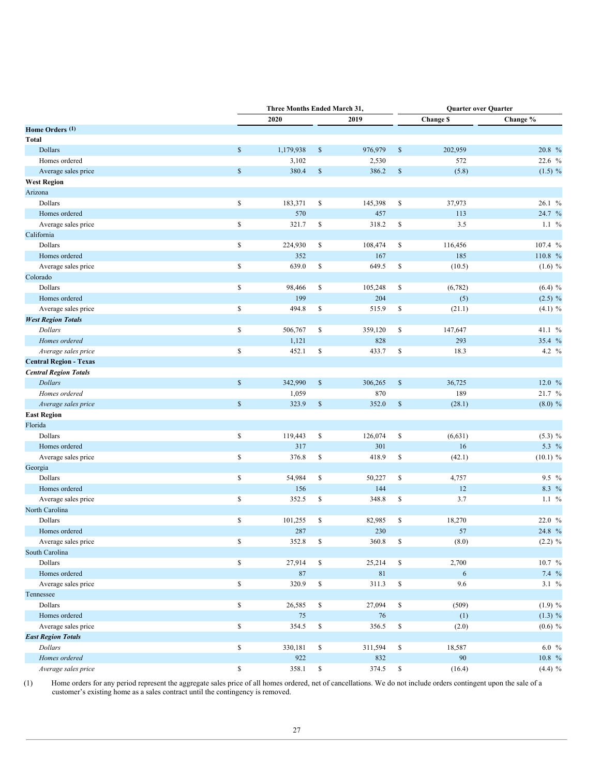|                                       |               | Three Months Ended March 31, |              |               |              | Quarter over Quarter |            |  |  |
|---------------------------------------|---------------|------------------------------|--------------|---------------|--------------|----------------------|------------|--|--|
|                                       |               | 2020                         |              | 2019          |              | <b>Change \$</b>     | Change %   |  |  |
| Home Orders (1)                       |               |                              |              |               |              |                      |            |  |  |
| <b>Total</b>                          |               |                              |              |               |              |                      |            |  |  |
| Dollars                               | $\mathbb{S}$  | 1,179,938                    | $\mathbb{S}$ | 976,979       | $\mathbb{S}$ | 202,959              | 20.8 %     |  |  |
| Homes ordered                         |               | 3,102                        |              | 2,530         |              | 572                  | 22.6 %     |  |  |
| Average sales price                   | $\mathbb{S}$  | 380.4                        | $\mathbb S$  | 386.2         | $\mathbb{S}$ | (5.8)                | $(1.5) \%$ |  |  |
| <b>West Region</b>                    |               |                              |              |               |              |                      |            |  |  |
| Arizona                               |               |                              |              |               |              |                      |            |  |  |
| Dollars                               | \$            | 183,371                      | \$           | 145,398       | \$           | 37,973               | 26.1 %     |  |  |
| Homes ordered                         |               | 570                          |              | 457           |              | 113                  | 24.7 %     |  |  |
| Average sales price                   | \$            | 321.7                        | \$           | 318.2         | \$           | 3.5                  | $1.1\%$    |  |  |
| California                            |               |                              |              |               |              |                      |            |  |  |
| Dollars                               | \$            | 224,930                      | \$           | 108,474       | \$           | 116,456              | 107.4 %    |  |  |
| Homes ordered                         |               | 352                          |              | 167           |              | 185                  | 110.8 %    |  |  |
| Average sales price                   | \$            | 639.0                        | \$           | 649.5         | \$           | (10.5)               | $(1.6) \%$ |  |  |
| Colorado                              |               |                              |              |               |              |                      |            |  |  |
| Dollars                               | \$            | 98,466                       | \$           | 105,248       | \$           | (6,782)              | $(6.4) \%$ |  |  |
| Homes ordered                         |               | 199                          |              | 204           |              | (5)                  | $(2.5) \%$ |  |  |
| Average sales price                   | \$            | 494.8                        | \$           | 515.9         | \$           | (21.1)               | $(4.1) \%$ |  |  |
| <b>West Region Totals</b>             |               |                              |              |               |              |                      |            |  |  |
| <b>Dollars</b>                        | \$            | 506,767                      | \$           | 359,120       | \$           | 147,647              | 41.1 %     |  |  |
| Homes ordered                         |               | 1,121                        |              | 828           |              | 293                  | 35.4 %     |  |  |
| Average sales price                   | \$            | 452.1                        | \$           | 433.7         | \$           | 18.3                 | 4.2 $%$    |  |  |
| <b>Central Region - Texas</b>         |               |                              |              |               |              |                      |            |  |  |
| <b>Central Region Totals</b>          |               |                              |              |               |              |                      |            |  |  |
| <b>Dollars</b>                        | $\mathbb{S}$  | 342,990                      | $\mathbb S$  | 306,265       | $\mathbb{S}$ | 36,725               | 12.0 $%$   |  |  |
| Homes ordered                         |               | 1,059                        |              | 870           |              | 189                  | 21.7 %     |  |  |
| Average sales price                   | $\mathsf{\$}$ | 323.9                        | $\mathbb S$  | 352.0         | $\mathbb{S}$ | (28.1)               | $(8.0)$ %  |  |  |
| <b>East Region</b>                    |               |                              |              |               |              |                      |            |  |  |
| Florida                               |               |                              |              |               |              |                      |            |  |  |
| Dollars                               | \$            | 119,443                      | \$           | 126,074       | \$           | (6, 631)             | $(5.3) \%$ |  |  |
| Homes ordered                         |               | 317                          |              | 301           |              | 16                   | 5.3 %      |  |  |
| Average sales price                   | \$            | 376.8                        | \$           | 418.9         | \$           | (42.1)               | $(10.1)$ % |  |  |
| Georgia<br>Dollars                    | \$            |                              |              |               |              |                      | 9.5 %      |  |  |
|                                       |               | 54,984<br>156                | \$           | 50,227<br>144 | \$           | 4,757<br>12          | 8.3 %      |  |  |
| Homes ordered                         | \$            | 352.5                        | \$           | 348.8         | \$           | 3.7                  | $1.1\%$    |  |  |
| Average sales price<br>North Carolina |               |                              |              |               |              |                      |            |  |  |
| Dollars                               | \$            | 101,255                      | \$           | 82,985        | \$           | 18,270               | 22.0 %     |  |  |
| Homes ordered                         |               | 287                          |              | 230           |              | 57                   | 24.8 %     |  |  |
| Average sales price                   | \$            | 352.8                        | \$           | 360.8         | \$           | (8.0)                | $(2.2) \%$ |  |  |
| South Carolina                        |               |                              |              |               |              |                      |            |  |  |
| Dollars                               | \$            | 27,914                       | \$           | 25,214        | \$           | 2,700                | 10.7 %     |  |  |
| Homes ordered                         |               | 87                           |              | $81\,$        |              | 6                    | 7.4 $%$    |  |  |
| Average sales price                   | \$            | 320.9                        | \$           | 311.3         | $\mathbb{S}$ | $9.6\,$              | $3.1~\%$   |  |  |
| Tennessee                             |               |                              |              |               |              |                      |            |  |  |
| Dollars                               | \$            | 26,585                       | \$           | 27,094        | \$           | (509)                | $(1.9) \%$ |  |  |
| Homes ordered                         |               | $75\,$                       |              | 76            |              | (1)                  | $(1.3) \%$ |  |  |
| Average sales price                   | \$            | 354.5                        | \$           | 356.5         | $\mathbb{S}$ | (2.0)                | $(0.6)$ %  |  |  |
| <b>East Region Totals</b>             |               |                              |              |               |              |                      |            |  |  |
| Dollars                               | \$            | 330,181                      | \$           | 311,594       | \$           | 18,587               | $6.0\ \%$  |  |  |
| Homes ordered                         |               | 922                          |              | 832           |              | 90                   | 10.8 %     |  |  |
| Average sales price                   | \$            | 358.1                        | \$           | 374.5         | $\$$         | (16.4)               | $(4.4) \%$ |  |  |

(1) Home orders for any period represent the aggregate sales price of all homes ordered, net of cancellations. We do not include orders contingent upon the sale of a customer's existing home as a sales contract until the contingency is removed.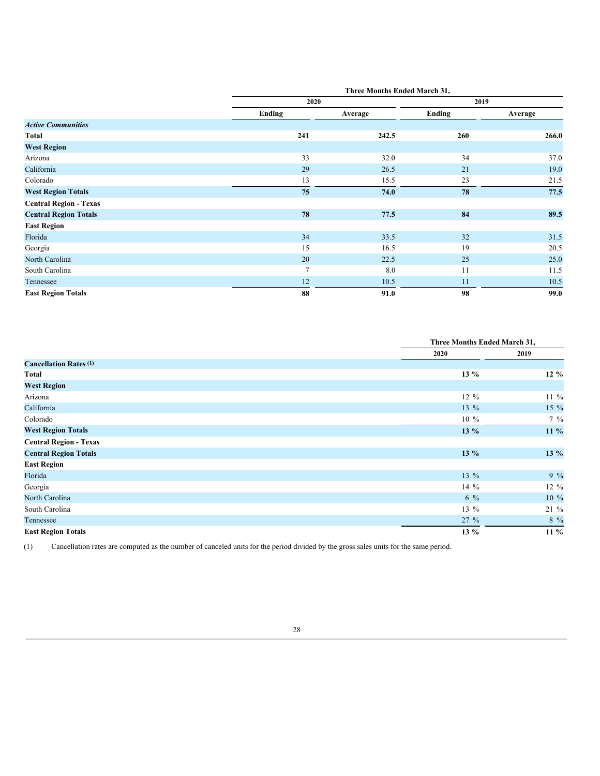|                               |                | Three Months Ended March 31, |        |         |  |  |  |  |  |  |  |
|-------------------------------|----------------|------------------------------|--------|---------|--|--|--|--|--|--|--|
|                               | 2020           |                              | 2019   |         |  |  |  |  |  |  |  |
|                               | Ending         | Average                      | Ending | Average |  |  |  |  |  |  |  |
| <b>Active Communities</b>     |                |                              |        |         |  |  |  |  |  |  |  |
| Total                         | 241            | 242.5                        | 260    | 266.0   |  |  |  |  |  |  |  |
| <b>West Region</b>            |                |                              |        |         |  |  |  |  |  |  |  |
| Arizona                       | 33             | 32.0                         | 34     | 37.0    |  |  |  |  |  |  |  |
| California                    | 29             | 26.5                         | 21     | 19.0    |  |  |  |  |  |  |  |
| Colorado                      | 13             | 15.5                         | 23     | 21.5    |  |  |  |  |  |  |  |
| <b>West Region Totals</b>     | 75             | 74.0                         | 78     | 77.5    |  |  |  |  |  |  |  |
| <b>Central Region - Texas</b> |                |                              |        |         |  |  |  |  |  |  |  |
| <b>Central Region Totals</b>  | 78             | 77.5                         | 84     | 89.5    |  |  |  |  |  |  |  |
| <b>East Region</b>            |                |                              |        |         |  |  |  |  |  |  |  |
| Florida                       | 34             | 33.5                         | 32     | 31.5    |  |  |  |  |  |  |  |
| Georgia                       | 15             | 16.5                         | 19     | 20.5    |  |  |  |  |  |  |  |
| North Carolina                | 20             | 22.5                         | 25     | 25.0    |  |  |  |  |  |  |  |
| South Carolina                | $\overline{7}$ | 8.0                          | 11     | 11.5    |  |  |  |  |  |  |  |
| Tennessee                     | 12             | 10.5                         | 11     | 10.5    |  |  |  |  |  |  |  |
| <b>East Region Totals</b>     | 88             | 91.0                         | 98     | 99.0    |  |  |  |  |  |  |  |

|                               | Three Months Ended March 31, |                  |
|-------------------------------|------------------------------|------------------|
|                               | 2020                         | 2019             |
| <b>Cancellation Rates (1)</b> |                              |                  |
| Total                         | $13\%$                       | $12\%$           |
| <b>West Region</b>            |                              |                  |
| Arizona                       | $12 \frac{9}{6}$             | $11\%$           |
| California                    | $13\%$                       | 15 %             |
| Colorado                      | $10 \frac{9}{6}$             | $7\%$            |
| <b>West Region Totals</b>     | $13\%$                       | 11 %             |
| <b>Central Region - Texas</b> |                              |                  |
| <b>Central Region Totals</b>  | $13\%$                       | 13 %             |
| <b>East Region</b>            |                              |                  |
| Florida                       | $13\%$                       | $9\%$            |
| Georgia                       | 14 $%$                       | $12 \frac{9}{6}$ |
| North Carolina                | $6\%$                        | 10 %             |
| South Carolina                | 13 $%$                       | $21 \%$          |
| Tennessee                     | $27\%$                       | 8 %              |
| <b>East Region Totals</b>     | $13\%$                       | $11\%$           |

(1) Cancellation rates are computed as the number of canceled units for the period divided by the gross sales units for the same period.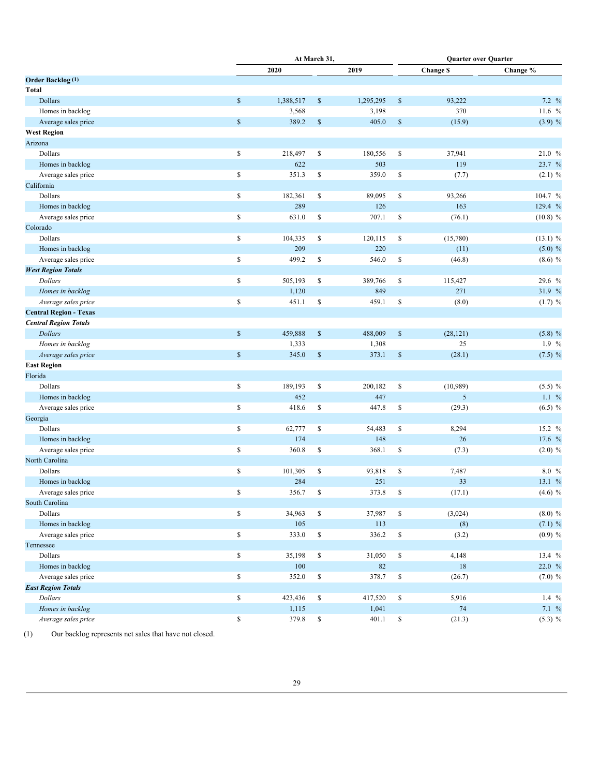|                               |              | At March 31, |              |           |              | Quarter over Quarter |             |  |  |
|-------------------------------|--------------|--------------|--------------|-----------|--------------|----------------------|-------------|--|--|
|                               |              | 2020         |              | 2019      |              | <b>Change \$</b>     | Change %    |  |  |
| <b>Order Backlog</b> (1)      |              |              |              |           |              |                      |             |  |  |
| <b>Total</b>                  |              |              |              |           |              |                      |             |  |  |
| Dollars                       | $\mathbb{S}$ | 1,388,517    | $\mathbb{S}$ | 1,295,295 | \$           | 93,222               | 7.2 %       |  |  |
| Homes in backlog              |              | 3,568        |              | 3,198     |              | 370                  | 11.6 $%$    |  |  |
| Average sales price           | $\mathbb{S}$ | 389.2        | $\mathbb{S}$ | 405.0     | $\mathbb{S}$ | (15.9)               | $(3.9) \%$  |  |  |
| <b>West Region</b>            |              |              |              |           |              |                      |             |  |  |
| Arizona                       |              |              |              |           |              |                      |             |  |  |
| Dollars                       | $\mathbb S$  | 218,497      | \$           | 180,556   | \$           | 37,941               | 21.0 %      |  |  |
| Homes in backlog              |              | 622          |              | 503       |              | 119                  | 23.7 %      |  |  |
| Average sales price           | $\mathbb{S}$ | 351.3        | \$           | 359.0     | \$           | (7.7)                | $(2.1) \%$  |  |  |
| California                    |              |              |              |           |              |                      |             |  |  |
| Dollars                       | \$           | 182,361      | \$           | 89,095    | \$           | 93,266               | 104.7 %     |  |  |
| Homes in backlog              |              | 289          |              | 126       |              | 163                  | 129.4 %     |  |  |
| Average sales price           | $\mathbb S$  | 631.0        | \$           | 707.1     | \$           | (76.1)               | (10.8) %    |  |  |
| Colorado                      |              |              |              |           |              |                      |             |  |  |
| Dollars                       | $\mathbb S$  | 104,335      | $\mathbb{S}$ | 120,115   | \$           | (15,780)             | $(13.1) \%$ |  |  |
| Homes in backlog              |              | 209          |              | 220       |              | (11)                 | $(5.0) \%$  |  |  |
| Average sales price           | $\mathbb S$  | 499.2        | \$           | 546.0     | \$           | (46.8)               | $(8.6)$ %   |  |  |
| <b>West Region Totals</b>     |              |              |              |           |              |                      |             |  |  |
| <b>Dollars</b>                | $\mathbb S$  | 505,193      | \$           | 389,766   | \$           | 115,427              | 29.6 %      |  |  |
| Homes in backlog              |              | 1,120        |              | 849       |              | 271                  | 31.9 %      |  |  |
| Average sales price           | \$           | 451.1        | \$           | 459.1     | \$           | (8.0)                | $(1.7) \%$  |  |  |
| <b>Central Region - Texas</b> |              |              |              |           |              |                      |             |  |  |
| <b>Central Region Totals</b>  |              |              |              |           |              |                      |             |  |  |
| <b>Dollars</b>                | $\mathbb{S}$ | 459,888      | $\mathbb{S}$ | 488,009   | $\mathbb{S}$ | (28, 121)            | $(5.8) \%$  |  |  |
| Homes in backlog              |              | 1,333        |              | 1,308     |              | 25                   | 1.9 %       |  |  |
| Average sales price           | $\mathbb{S}$ | 345.0        | $\mathbb{S}$ | 373.1     | $\mathbb{S}$ | (28.1)               | $(7.5) \%$  |  |  |
| <b>East Region</b>            |              |              |              |           |              |                      |             |  |  |
| Florida                       |              |              |              |           |              |                      |             |  |  |
| Dollars                       | $\mathbb{S}$ | 189,193      | \$           | 200,182   | \$           | (10,989)             | $(5.5) \%$  |  |  |
| Homes in backlog              |              | 452          |              | 447       |              | $\mathfrak{S}$       | $1.1\%$     |  |  |
| Average sales price           | \$           | 418.6        | \$           | 447.8     | \$           | (29.3)               | $(6.5) \%$  |  |  |
| Georgia                       |              |              |              |           |              |                      |             |  |  |
| Dollars                       | $\mathbb S$  | 62,777       | \$           | 54,483    | \$           | 8,294                | 15.2 %      |  |  |
| Homes in backlog              |              | 174          |              | 148       |              | 26                   | 17.6 %      |  |  |
| Average sales price           | $\mathbb S$  | 360.8        | \$           | 368.1     | \$           | (7.3)                | $(2.0) \%$  |  |  |
| North Carolina                |              |              |              |           |              |                      |             |  |  |
| Dollars                       | $\mathbb S$  | 101,305      | \$           | 93,818    | \$           | 7,487                | 8.0%        |  |  |
| Homes in backlog              |              | 284          |              | 251       |              | 33                   | 13.1 %      |  |  |
| Average sales price           | $\mathbb{S}$ | 356.7        | \$           | 373.8     | \$           | (17.1)               | (4.6) %     |  |  |
| South Carolina                |              |              |              |           |              |                      |             |  |  |
| Dollars                       | \$           | 34,963       | \$           | 37,987    | \$           | (3,024)              | $(8.0) \%$  |  |  |
| Homes in backlog              |              | 105          |              | 113       |              | (8)                  | $(7.1) \%$  |  |  |
| Average sales price           | $\mathbb S$  | 333.0        | $\mathbb{S}$ | 336.2     | $\mathbb{S}$ | (3.2)                | $(0.9)$ %   |  |  |
| Tennessee                     |              |              |              |           |              |                      |             |  |  |
| Dollars                       | \$           | 35,198       | \$           | 31,050    | \$           | 4,148                | 13.4 %      |  |  |
| Homes in backlog              |              | $100\,$      |              | $82\,$    |              | $18\,$               | 22.0 $%$    |  |  |
| Average sales price           | \$           | 352.0        | \$           | 378.7     | $\mathbb{S}$ | (26.7)               | $(7.0) \%$  |  |  |
| <b>East Region Totals</b>     |              |              |              |           |              |                      |             |  |  |
| Dollars                       | $\mathbb{S}$ | 423,436      | \$           | 417,520   | $\$$         | 5,916                | 1.4 $%$     |  |  |
| Homes in backlog              |              | 1,115        |              | 1,041     |              | 74                   | $7.1\%$     |  |  |
| Average sales price           | \$           | 379.8        | $\mathbb{S}$ | 401.1     | $\$$         | (21.3)               | $(5.3) \%$  |  |  |

(1) Our backlog represents net sales that have not closed.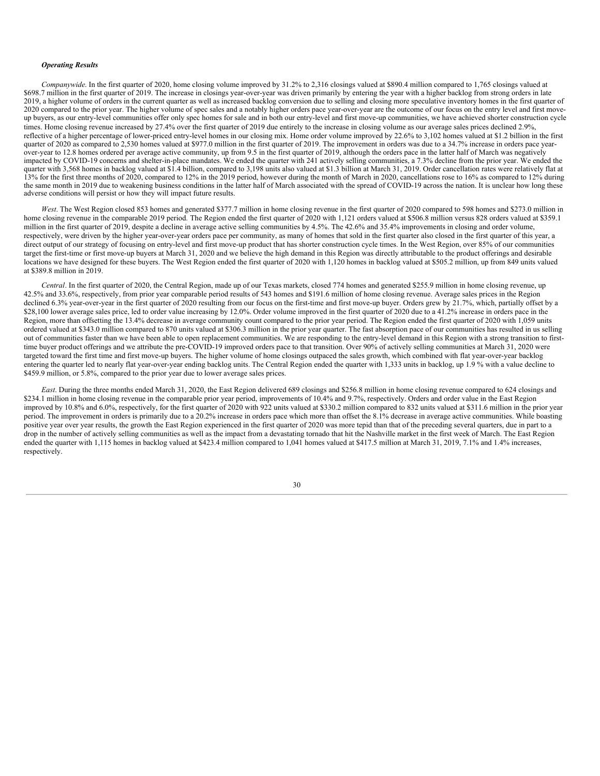### *Operating Results*

*Companywide*. In the first quarter of 2020, home closing volume improved by 31.2% to 2,316 closings valued at \$890.4 million compared to 1,765 closings valued at \$698.7 million in the first quarter of 2019. The increase in closings year-over-year was driven primarily by entering the year with a higher backlog from strong orders in late 2019, a higher volume of orders in the current quarter as well as increased backlog conversion due to selling and closing more speculative inventory homes in the first quarter of 2020 compared to the prior year. The higher volume of spec sales and a notably higher orders pace year-over-year are the outcome of our focus on the entry level and first moveup buyers, as our entry-level communities offer only spec homes for sale and in both our entry-level and first move-up communities, we have achieved shorter construction cycle times. Home closing revenue increased by 27.4% over the first quarter of 2019 due entirely to the increase in closing volume as our average sales prices declined 2.9%, reflective of a higher percentage of lower-priced entry-level homes in our closing mix. Home order volume improved by 22.6% to 3,102 homes valued at \$1.2 billion in the first quarter of 2020 as compared to 2,530 homes valued at \$977.0 million in the first quarter of 2019. The improvement in orders was due to a 34.7% increase in orders pace yearover-year to 12.8 homes ordered per average active community, up from 9.5 in the first quarter of 2019, although the orders pace in the latter half of March was negatively impacted by COVID-19 concerns and shelter-in-place mandates. We ended the quarter with 241 actively selling communities, a 7.3% decline from the prior year. We ended the quarter with 3,568 homes in backlog valued at \$1.4 billion, compared to 3,198 units also valued at \$1.3 billion at March 31, 2019. Order cancellation rates were relatively flat at 13% for the first three months of 2020, compared to 12% in the 2019 period, however during the month of March in 2020, cancellations rose to 16% as compared to 12% during the same month in 2019 due to weakening business conditions in the latter half of March associated with the spread of COVID-19 across the nation. It is unclear how long these adverse conditions will persist or how they will impact future results.

West. The West Region closed 853 homes and generated \$377.7 million in home closing revenue in the first quarter of 2020 compared to 598 homes and \$273.0 million in home closing revenue in the comparable 2019 period. The Region ended the first quarter of 2020 with 1,121 orders valued at \$506.8 million versus 828 orders valued at \$359.1 million in the first quarter of 2019, despite a decline in average active selling communities by 4.5%. The 42.6% and 35.4% improvements in closing and order volume, respectively, were driven by the higher year-over-year orders pace per community, as many of homes that sold in the first quarter also closed in the first quarter of this year, a direct output of our strategy of focusing on entry-level and first move-up product that has shorter construction cycle times. In the West Region, over 85% of our communities target the first-time or first move-up buyers at March 31, 2020 and we believe the high demand in this Region was directly attributable to the product offerings and desirable locations we have designed for these buyers. The West Region ended the first quarter of 2020 with 1,120 homes in backlog valued at \$505.2 million, up from 849 units valued at \$389.8 million in 2019.

*Central*. In the first quarter of 2020, the Central Region, made up of our Texas markets, closed 774 homes and generated \$255.9 million in home closing revenue, up 42.5% and 33.6%, respectively, from prior year comparable period results of 543 homes and \$191.6 million of home closing revenue. Average sales prices in the Region declined 6.3% year-over-year in the first quarter of 2020 resulting from our focus on the first-time and first move-up buyer. Orders grew by 21.7%, which, partially offset by a \$28,100 lower average sales price, led to order value increasing by 12.0%. Order volume improved in the first quarter of 2020 due to a 41.2% increase in orders pace in the Region, more than offsetting the 13.4% decrease in average community count compared to the prior year period. The Region ended the first quarter of 2020 with 1,059 units ordered valued at \$343.0 million compared to 870 units valued at \$306.3 million in the prior year quarter. The fast absorption pace of our communities has resulted in us selling out of communities faster than we have been able to open replacement communities. We are responding to the entry-level demand in this Region with a strong transition to firsttime buyer product offerings and we attribute the pre-COVID-19 improved orders pace to that transition. Over 90% of actively selling communities at March 31, 2020 were targeted toward the first time and first move-up buyers. The higher volume of home closings outpaced the sales growth, which combined with flat year-over-year backlog entering the quarter led to nearly flat year-over-year ending backlog units. The Central Region ended the quarter with 1,333 units in backlog, up 1.9 % with a value decline to \$459.9 million, or 5.8%, compared to the prior year due to lower average sales prices.

*East*. During the three months ended March 31, 2020, the East Region delivered 689 closings and \$256.8 million in home closing revenue compared to 624 closings and \$234.1 million in home closing revenue in the comparable prior year period, improvements of 10.4% and 9.7%, respectively. Orders and order value in the East Region improved by 10.8% and 6.0%, respectively, for the first quarter of 2020 with 922 units valued at \$330.2 million compared to 832 units valued at \$311.6 million in the prior year period. The improvement in orders is primarily due to a 20.2% increase in orders pace which more than offset the 8.1% decrease in average active communities. While boasting positive year over year results, the growth the East Region experienced in the first quarter of 2020 was more tepid than that of the preceding several quarters, due in part to a drop in the number of actively selling communities as well as the impact from a devastating tornado that hit the Nashville market in the first week of March. The East Region ended the quarter with 1,115 homes in backlog valued at \$423.4 million compared to 1,041 homes valued at \$417.5 million at March 31, 2019, 7.1% and 1.4% increases, respectively.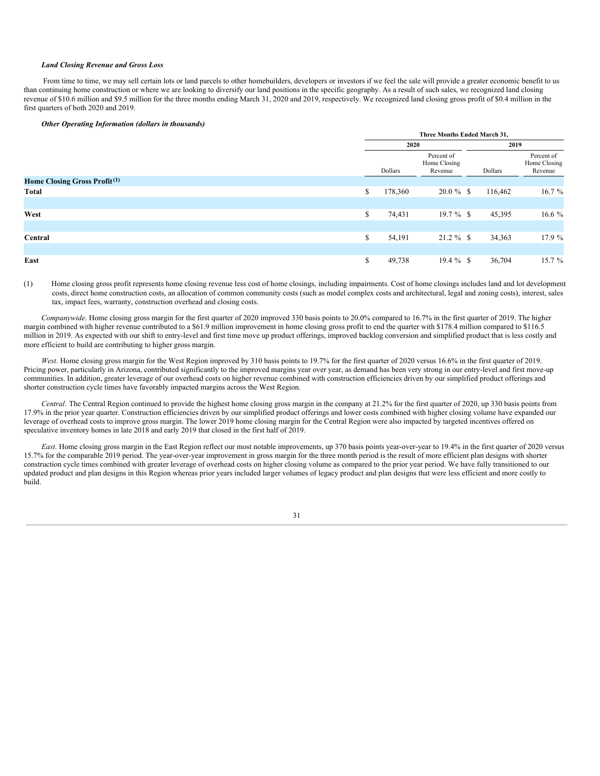### *Land Closing Revenue and Gross Loss*

From time to time, we may sell certain lots or land parcels to other homebuilders, developers or investors if we feel the sale will provide a greater economic benefit to us than continuing home construction or where we are looking to diversify our land positions in the specific geography. As a result of such sales, we recognized land closing revenue of \$10.6 million and \$9.5 million for the three months ending March 31, 2020 and 2019, respectively. We recognized land closing gross profit of \$0.4 million in the first quarters of both 2020 and 2019.

### *Other Operating Information (dollars in thousands)*

|                                          | Three Months Ended March 31, |                                       |         |                                       |  |
|------------------------------------------|------------------------------|---------------------------------------|---------|---------------------------------------|--|
|                                          | 2020                         |                                       | 2019    |                                       |  |
|                                          | Dollars                      | Percent of<br>Home Closing<br>Revenue | Dollars | Percent of<br>Home Closing<br>Revenue |  |
| Home Closing Gross Profit <sup>(1)</sup> |                              |                                       |         |                                       |  |
| Total                                    | \$<br>178,360                | $20.0 \%$ \$                          | 116,462 | $16.7 \%$                             |  |
|                                          |                              |                                       |         |                                       |  |
| West                                     | \$<br>74,431                 | $19.7 \%$ \$                          | 45,395  | 16.6 $%$                              |  |
|                                          |                              |                                       |         |                                       |  |
| Central                                  | \$<br>54,191                 | $21.2 \%$ \$                          | 34,363  | 17.9%                                 |  |
|                                          |                              |                                       |         |                                       |  |
| East                                     | \$<br>49,738                 | $19.4 \%$ \$                          | 36,704  | $15.7\%$                              |  |

(1) Home closing gross profit represents home closing revenue less cost of home closings, including impairments. Cost of home closings includes land and lot development costs, direct home construction costs, an allocation of common community costs (such as model complex costs and architectural, legal and zoning costs), interest, sales tax, impact fees, warranty, construction overhead and closing costs.

*Companywide*. Home closing gross margin for the first quarter of 2020 improved 330 basis points to 20.0% compared to 16.7% in the first quarter of 2019. The higher margin combined with higher revenue contributed to a \$61.9 million improvement in home closing gross profit to end the quarter with \$178.4 million compared to \$116.5 million in 2019. As expected with our shift to entry-level and first time move up product offerings, improved backlog conversion and simplified product that is less costly and more efficient to build are contributing to higher gross margin.

*West*. Home closing gross margin for the West Region improved by 310 basis points to 19.7% for the first quarter of 2020 versus 16.6% in the first quarter of 2019. Pricing power, particularly in Arizona, contributed significantly to the improved margins year over year, as demand has been very strong in our entry-level and first move-up communities. In addition, greater leverage of our overhead costs on higher revenue combined with construction efficiencies driven by our simplified product offerings and shorter construction cycle times have favorably impacted margins across the West Region.

*Central*. The Central Region continued to provide the highest home closing gross margin in the company at 21.2% for the first quarter of 2020, up 330 basis points from 17.9% in the prior year quarter. Construction efficiencies driven by our simplified product offerings and lower costs combined with higher closing volume have expanded our leverage of overhead costs to improve gross margin. The lower 2019 home closing margin for the Central Region were also impacted by targeted incentives offered on speculative inventory homes in late 2018 and early 2019 that closed in the first half of 2019.

*East*. Home closing gross margin in the East Region reflect our most notable improvements, up 370 basis points year-over-year to 19.4% in the first quarter of 2020 versus 15.7% for the comparable 2019 period. The year-over-year improvement in gross margin for the three month period is the result of more efficient plan designs with shorter construction cycle times combined with greater leverage of overhead costs on higher closing volume as compared to the prior year period. We have fully transitioned to our updated product and plan designs in this Region whereas prior years included larger volumes of legacy product and plan designs that were less efficient and more costly to build.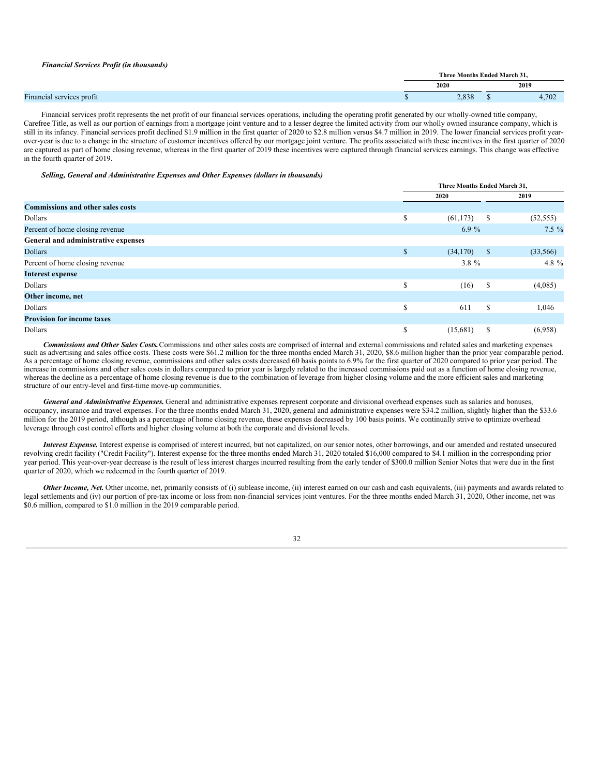### *Financial Services Profit (in thousands)*

|                           | Three Months Ended March 31, |  |       |  |
|---------------------------|------------------------------|--|-------|--|
|                           | 2020                         |  | 2019  |  |
| Financial services profit | 2,838                        |  | 4,702 |  |
|                           |                              |  |       |  |

Financial services profit represents the net profit of our financial services operations, including the operating profit generated by our wholly-owned title company, Carefree Title, as well as our portion of earnings from a mortgage joint venture and to a lesser degree the limited activity from our wholly owned insurance company, which is still in its infancy. Financial services profit declined \$1.9 million in the first quarter of 2020 to \$2.8 million versus \$4.7 million in 2019. The lower financial services profit yearover-year is due to a change in the structure of customer incentives offered by our mortgage joint venture. The profits associated with these incentives in the first quarter of 2020 are captured as part of home closing revenue, whereas in the first quarter of 2019 these incentives were captured through financial services earnings. This change was effective in the fourth quarter of 2019.

#### *Selling, General and Administrative Expenses and Other Expenses (dollars in thousands)*

|                                          | Three Months Ended March 31, |            |           |  |
|------------------------------------------|------------------------------|------------|-----------|--|
|                                          | 2020                         |            | 2019      |  |
| <b>Commissions and other sales costs</b> |                              |            |           |  |
| Dollars                                  | \$<br>(61, 173)              | S.         | (52, 555) |  |
| Percent of home closing revenue          | 6.9 $%$                      |            | $7.5\%$   |  |
| General and administrative expenses      |                              |            |           |  |
| <b>Dollars</b>                           | \$<br>(34,170)               | $^{\circ}$ | (33, 566) |  |
| Percent of home closing revenue          | $3.8 \%$                     |            | 4.8 $%$   |  |
| <b>Interest expense</b>                  |                              |            |           |  |
| Dollars                                  | \$<br>(16)                   | \$         | (4,085)   |  |
| Other income, net                        |                              |            |           |  |
| Dollars                                  | \$<br>611                    | S          | 1,046     |  |
| <b>Provision for income taxes</b>        |                              |            |           |  |
| Dollars                                  | \$<br>(15,681)               | S          | (6,958)   |  |

*Commissions and Other Sales Costs.*Commissions and other sales costs are comprised of internal and external commissions and related sales and marketing expenses such as advertising and sales office costs. These costs were \$61.2 million for the three months ended March 31, 2020, \$8.6 million higher than the prior year comparable period. As a percentage of home closing revenue, commissions and other sales costs decreased 60 basis points to 6.9% for the first quarter of 2020 compared to prior year period. The increase in commissions and other sales costs in dollars compared to prior year is largely related to the increased commissions paid out as a function of home closing revenue, whereas the decline as a percentage of home closing revenue is due to the combination of leverage from higher closing volume and the more efficient sales and marketing structure of our entry-level and first-time move-up communities.

*General and Administrative Expenses.* General and administrative expenses represent corporate and divisional overhead expenses such as salaries and bonuses, occupancy, insurance and travel expenses. For the three months ended March 31, 2020, general and administrative expenses were \$34.2 million, slightly higher than the \$33.6 million for the 2019 period, although as a percentage of home closing revenue, these expenses decreased by 100 basis points. We continually strive to optimize overhead leverage through cost control efforts and higher closing volume at both the corporate and divisional levels.

*Interest Expense.* Interest expense is comprised of interest incurred, but not capitalized, on our senior notes, other borrowings, and our amended and restated unsecured revolving credit facility ("Credit Facility"). Interest expense for the three months ended March 31, 2020 totaled \$16,000 compared to \$4.1 million in the corresponding prior year period. This year-over-year decrease is the result of less interest charges incurred resulting from the early tender of \$300.0 million Senior Notes that were due in the first quarter of 2020, which we redeemed in the fourth quarter of 2019.

*Other Income, Net.* Other income, net, primarily consists of (i) sublease income, (ii) interest earned on our cash and cash equivalents, (iii) payments and awards related to legal settlements and (iv) our portion of pre-tax income or loss from non-financial services joint ventures. For the three months ended March 31, 2020, Other income, net was \$0.6 million, compared to \$1.0 million in the 2019 comparable period.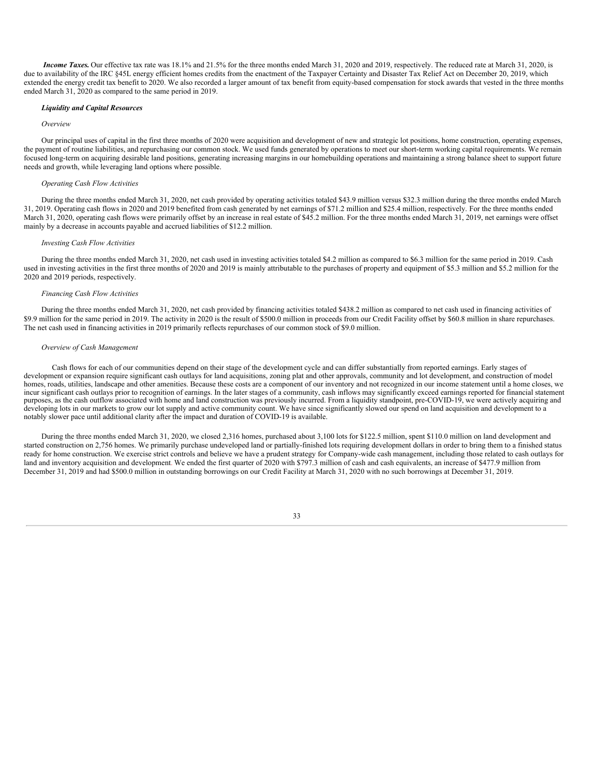*Income Taxes.* Our effective tax rate was 18.1% and 21.5% for the three months ended March 31, 2020 and 2019, respectively. The reduced rate at March 31, 2020, is due to availability of the IRC §45L energy efficient homes credits from the enactment of the Taxpayer Certainty and Disaster Tax Relief Act on December 20, 2019, which extended the energy credit tax benefit to 2020. We also recorded a larger amount of tax benefit from equity-based compensation for stock awards that vested in the three months ended March 31, 2020 as compared to the same period in 2019.

#### *Liquidity and Capital Resources*

#### *Overview*

Our principal uses of capital in the first three months of 2020 were acquisition and development of new and strategic lot positions, home construction, operating expenses, the payment of routine liabilities, and repurchasing our common stock. We used funds generated by operations to meet our short-term working capital requirements. We remain focused long-term on acquiring desirable land positions, generating increasing margins in our homebuilding operations and maintaining a strong balance sheet to support future needs and growth, while leveraging land options where possible.

#### *Operating Cash Flow Activities*

During the three months ended March 31, 2020, net cash provided by operating activities totaled \$43.9 million versus \$32.3 million during the three months ended March 31, 2019. Operating cash flows in 2020 and 2019 benefited from cash generated by net earnings of \$71.2 million and \$25.4 million, respectively. For the three months ended March 31, 2020, operating cash flows were primarily offset by an increase in real estate of \$45.2 million. For the three months ended March 31, 2019, net earnings were offset mainly by a decrease in accounts payable and accrued liabilities of \$12.2 million.

#### *Investing Cash Flow Activities*

During the three months ended March 31, 2020, net cash used in investing activities totaled \$4.2 million as compared to \$6.3 million for the same period in 2019. Cash used in investing activities in the first three months of 2020 and 2019 is mainly attributable to the purchases of property and equipment of \$5.3 million and \$5.2 million for the 2020 and 2019 periods, respectively.

#### *Financing Cash Flow Activities*

During the three months ended March 31, 2020, net cash provided by financing activities totaled \$438.2 million as compared to net cash used in financing activities of \$9.9 million for the same period in 2019. The activity in 2020 is the result of \$500.0 million in proceeds from our Credit Facility offset by \$60.8 million in share repurchases. The net cash used in financing activities in 2019 primarily reflects repurchases of our common stock of \$9.0 million.

#### *Overview of Cash Management*

Cash flows for each of our communities depend on their stage of the development cycle and can differ substantially from reported earnings. Early stages of development or expansion require significant cash outlays for land acquisitions, zoning plat and other approvals, community and lot development, and construction of model homes, roads, utilities, landscape and other amenities. Because these costs are a component of our inventory and not recognized in our income statement until a home closes, we incur significant cash outlays prior to recognition of earnings. In the later stages of a community, cash inflows may significantly exceed earnings reported for financial statement purposes, as the cash outflow associated with home and land construction was previously incurred. From a liquidity standpoint, pre-COVID-19, we were actively acquiring and developing lots in our markets to grow our lot supply and active community count. We have since significantly slowed our spend on land acquisition and development to a notably slower pace until additional clarity after the impact and duration of COVID-19 is available.

During the three months ended March 31, 2020, we closed 2,316 homes, purchased about 3,100 lots for \$122.5 million, spent \$110.0 million on land development and started construction on 2,756 homes. We primarily purchase undeveloped land or partially-finished lots requiring development dollars in order to bring them to a finished status ready for home construction. We exercise strict controls and believe we have a prudent strategy for Company-wide cash management, including those related to cash outlays for land and inventory acquisition and development. We ended the first quarter of 2020 with \$797.3 million of cash and cash equivalents, an increase of \$477.9 million from December 31, 2019 and had \$500.0 million in outstanding borrowings on our Credit Facility at March 31, 2020 with no such borrowings at December 31, 2019.

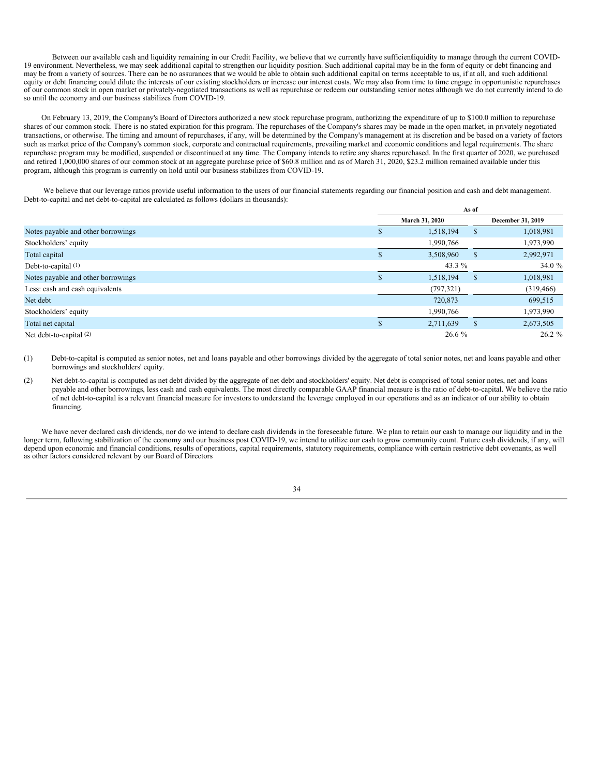Between our available cash and liquidity remaining in our Credit Facility, we believe that we currently have sufficientliquidity to manage through the current COVID-19 environment. Nevertheless, we may seek additional capital to strengthen our liquidity position. Such additional capital may be in the form of equity or debt financing and may be from a variety of sources. There can be no assurances that we would be able to obtain such additional capital on terms acceptable to us, if at all, and such additional equity or debt financing could dilute the interests of our existing stockholders or increase our interest costs. We may also from time to time engage in opportunistic repurchases of our common stock in open market or privately-negotiated transactions as well as repurchase or redeem our outstanding senior notes although we do not currently intend to do so until the economy and our business stabilizes from COVID-19.

On February 13, 2019, the Company's Board of Directors authorized a new stock repurchase program, authorizing the expenditure of up to \$100.0 million to repurchase shares of our common stock. There is no stated expiration for this program. The repurchases of the Company's shares may be made in the open market, in privately negotiated transactions, or otherwise. The timing and amount of repurchases, if any, will be determined by the Company's management at its discretion and be based on a variety of factors such as market price of the Company's common stock, corporate and contractual requirements, prevailing market and economic conditions and legal requirements. The share repurchase program may be modified, suspended or discontinued at any time. The Company intends to retire any shares repurchased. In the first quarter of 2020, we purchased and retired 1,000,000 shares of our common stock at an aggregate purchase price of \$60.8 million and as of March 31, 2020, \$23.2 million remained available under this program, although this program is currently on hold until our business stabilizes from COVID-19.

We believe that our leverage ratios provide useful information to the users of our financial statements regarding our financial position and cash and debt management. Debt-to-capital and net debt-to-capital are calculated as follows (dollars in thousands):

**As of**

|                                    | AS VI          |            |               |                   |
|------------------------------------|----------------|------------|---------------|-------------------|
|                                    | March 31, 2020 |            |               | December 31, 2019 |
| Notes payable and other borrowings |                | 1,518,194  | \$            | 1,018,981         |
| Stockholders' equity               |                | 1,990,766  |               | 1,973,990         |
| Total capital                      |                | 3,508,960  | \$            | 2,992,971         |
| Debt-to-capital $(1)$              |                | 43.3 %     |               | 34.0 %            |
| Notes payable and other borrowings |                | 1,518,194  | <sup>\$</sup> | 1,018,981         |
| Less: cash and cash equivalents    |                | (797, 321) |               | (319, 466)        |
| Net debt                           |                | 720,873    |               | 699,515           |
| Stockholders' equity               |                | 1,990,766  |               | 1,973,990         |
| Total net capital                  |                | 2,711,639  | \$            | 2,673,505         |
| Net debt-to-capital $(2)$          |                | $26.6\%$   |               | $26.2 \%$         |

(1) Debt-to-capital is computed as senior notes, net and loans payable and other borrowings divided by the aggregate of total senior notes, net and loans payable and other borrowings and stockholders' equity.

(2) Net debt-to-capital is computed as net debt divided by the aggregate of net debt and stockholders' equity. Net debt is comprised of total senior notes, net and loans payable and other borrowings, less cash and cash equivalents. The most directly comparable GAAP financial measure is the ratio of debt-to-capital. We believe the ratio of net debt-to-capital is a relevant financial measure for investors to understand the leverage employed in our operations and as an indicator of our ability to obtain financing.

We have never declared cash dividends, nor do we intend to declare cash dividends in the foreseeable future. We plan to retain our cash to manage our liquidity and in the longer term, following stabilization of the economy and our business post COVID-19, we intend to utilize our cash to grow community count. Future cash dividends, if any, will depend upon economic and financial conditions, results of operations, capital requirements, statutory requirements, compliance with certain restrictive debt covenants, as well as other factors considered relevant by our Board of Directors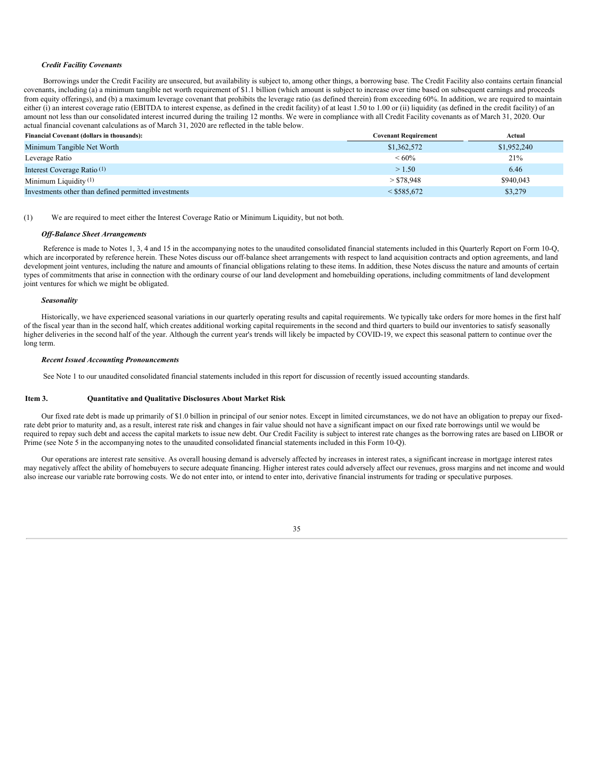### *Credit Facility Covenants*

Borrowings under the Credit Facility are unsecured, but availability is subject to, among other things, a borrowing base. The Credit Facility also contains certain financial covenants, including (a) a minimum tangible net worth requirement of \$1.1 billion (which amount is subject to increase over time based on subsequent earnings and proceeds from equity offerings), and (b) a maximum leverage covenant that prohibits the leverage ratio (as defined therein) from exceeding 60%. In addition, we are required to maintain either (i) an interest coverage ratio (EBITDA to interest expense, as defined in the credit facility) of at least 1.50 to 1.00 or (ii) liquidity (as defined in the credit facility) of an amount not less than our consolidated interest incurred during the trailing 12 months. We were in compliance with all Credit Facility covenants as of March 31, 2020. Our actual financial covenant calculations as of March 31, 2020 are reflected in the table below.

| Financial Covenant (dollars in thousands):           | <b>Covenant Requirement</b> | Actual      |  |  |
|------------------------------------------------------|-----------------------------|-------------|--|--|
| Minimum Tangible Net Worth                           | \$1,362,572                 | \$1,952,240 |  |  |
| Leverage Ratio                                       | ${}<60\%$                   | 21%         |  |  |
| Interest Coverage Ratio <sup>(1)</sup>               | >1.50                       | 6.46        |  |  |
| Minimum Liquidity $(1)$                              | > \$78.948                  | \$940,043   |  |  |
| Investments other than defined permitted investments | $<$ \$585,672               | \$3,279     |  |  |

#### (1) We are required to meet either the Interest Coverage Ratio or Minimum Liquidity, but not both.

#### *Of -Balance Sheet Arrangements*

Reference is made to Notes 1, 3, 4 and 15 in the accompanying notes to the unaudited consolidated financial statements included in this Quarterly Report on Form 10-Q, which are incorporated by reference herein. These Notes discuss our off-balance sheet arrangements with respect to land acquisition contracts and option agreements, and land development joint ventures, including the nature and amounts of financial obligations relating to these items. In addition, these Notes discuss the nature and amounts of certain types of commitments that arise in connection with the ordinary course of our land development and homebuilding operations, including commitments of land development joint ventures for which we might be obligated.

#### *Seasonality*

Historically, we have experienced seasonal variations in our quarterly operating results and capital requirements. We typically take orders for more homes in the first half of the fiscal year than in the second half, which creates additional working capital requirements in the second and third quarters to build our inventories to satisfy seasonally higher deliveries in the second half of the year. Although the current year's trends will likely be impacted by COVID-19, we expect this seasonal pattern to continue over the long term.

#### *Recent Issued Accounting Pronouncements*

See Note 1 to our unaudited consolidated financial statements included in this report for discussion of recently issued accounting standards.

#### <span id="page-34-0"></span>**Item 3. Quantitative and Qualitative Disclosures About Market Risk**

Our fixed rate debt is made up primarily of \$1.0 billion in principal of our senior notes. Except in limited circumstances, we do not have an obligation to prepay our fixedrate debt prior to maturity and, as a result, interest rate risk and changes in fair value should not have a significant impact on our fixed rate borrowings until we would be required to repay such debt and access the capital markets to issue new debt. Our Credit Facility is subject to interest rate changes as the borrowing rates are based on LIBOR or Prime (see Note 5 in the accompanying notes to the unaudited consolidated financial statements included in this Form 10-Q).

<span id="page-34-1"></span>Our operations are interest rate sensitive. As overall housing demand is adversely affected by increases in interest rates, a significant increase in mortgage interest rates may negatively affect the ability of homebuyers to secure adequate financing. Higher interest rates could adversely affect our revenues, gross margins and net income and would also increase our variable rate borrowing costs. We do not enter into, or intend to enter into, derivative financial instruments for trading or speculative purposes.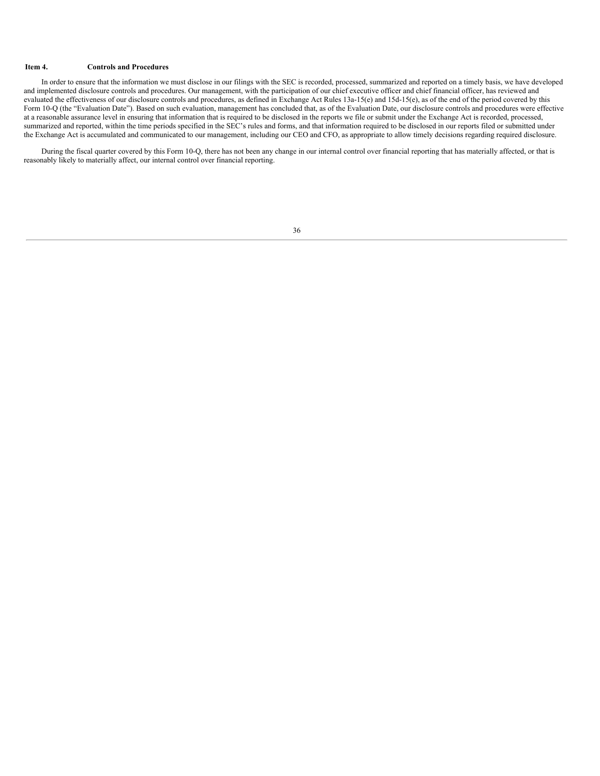### **Item 4. Controls and Procedures**

In order to ensure that the information we must disclose in our filings with the SEC is recorded, processed, summarized and reported on a timely basis, we have developed and implemented disclosure controls and procedures. Our management, with the participation of our chief executive officer and chief financial officer, has reviewed and evaluated the effectiveness of our disclosure controls and procedures, as defined in Exchange Act Rules 13a-15(e) and 15d-15(e), as of the end of the period covered by this Form 10-Q (the "Evaluation Date"). Based on such evaluation, management has concluded that, as of the Evaluation Date, our disclosure controls and procedures were effective at a reasonable assurance level in ensuring that information that is required to be disclosed in the reports we file or submit under the Exchange Act is recorded, processed, summarized and reported, within the time periods specified in the SEC's rules and forms, and that information required to be disclosed in our reports filed or submitted under the Exchange Act is accumulated and communicated to our management, including our CEO and CFO, as appropriate to allow timely decisions regarding required disclosure.

<span id="page-35-0"></span>During the fiscal quarter covered by this Form 10-Q, there has not been any change in our internal control over financial reporting that has materially affected, or that is reasonably likely to materially affect, our internal control over financial reporting.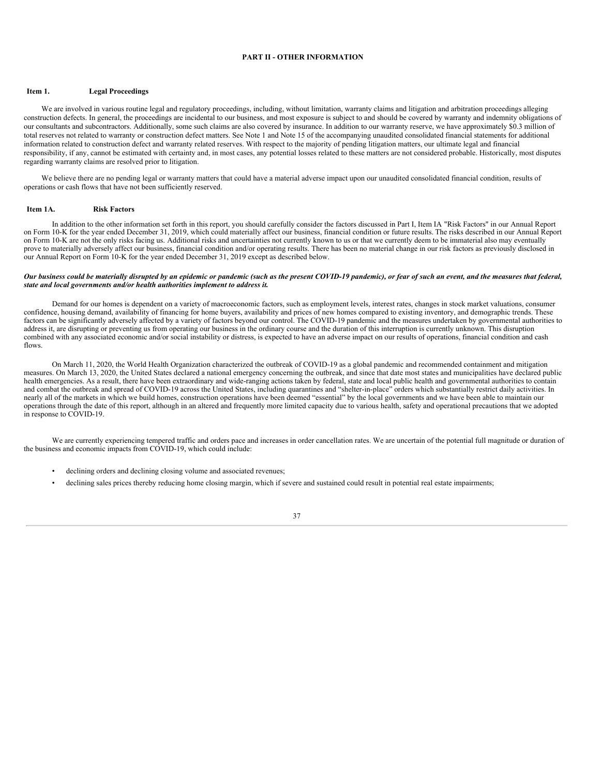### **PART II - OTHER INFORMATION**

#### <span id="page-36-0"></span>**Item 1. Legal Proceedings**

We are involved in various routine legal and regulatory proceedings, including, without limitation, warranty claims and litigation and arbitration proceedings alleging construction defects. In general, the proceedings are incidental to our business, and most exposure is subject to and should be covered by warranty and indemnity obligations of our consultants and subcontractors. Additionally, some such claims are also covered by insurance. In addition to our warranty reserve, we have approximately \$0.3 million of total reserves not related to warranty or construction defect matters. See Note 1 and Note 15 of the accompanying unaudited consolidated financial statements for additional information related to construction defect and warranty related reserves. With respect to the majority of pending litigation matters, our ultimate legal and financial responsibility, if any, cannot be estimated with certainty and, in most cases, any potential losses related to these matters are not considered probable. Historically, most disputes regarding warranty claims are resolved prior to litigation.

We believe there are no pending legal or warranty matters that could have a material adverse impact upon our unaudited consolidated financial condition, results of operations or cash flows that have not been sufficiently reserved.

#### <span id="page-36-1"></span>**Item 1A. Risk Factors**

In addition to the other information set forth in this report, you should carefully consider the factors discussed in Part I, Item IA "Risk Factors" in our Annual Report on Form 10-K for the year ended December 31, 2019, which could materially affect our business, financial condition or future results. The risks described in our Annual Report on Form 10-K are not the only risks facing us. Additional risks and uncertainties not currently known to us or that we currently deem to be immaterial also may eventually prove to materially adversely affect our business, financial condition and/or operating results. There has been no material change in our risk factors as previously disclosed in our Annual Report on Form 10-K for the year ended December 31, 2019 except as described below.

#### Our business could be materially disrupted by an epidemic or pandemic (such as the present COVID-19 pandemic), or fear of such an event, and the measures that federal, *state and local governments and/or health authorities implement to address it.*

Demand for our homes is dependent on a variety of macroeconomic factors, such as employment levels, interest rates, changes in stock market valuations, consumer confidence, housing demand, availability of financing for home buyers, availability and prices of new homes compared to existing inventory, and demographic trends. These factors can be significantly adversely affected by a variety of factors beyond our control. The COVID-19 pandemic and the measures undertaken by governmental authorities to address it, are disrupting or preventing us from operating our business in the ordinary course and the duration of this interruption is currently unknown. This disruption combined with any associated economic and/or social instability or distress, is expected to have an adverse impact on our results of operations, financial condition and cash flows.

On March 11, 2020, the World Health Organization characterized the outbreak of COVID-19 as a global pandemic and recommended containment and mitigation measures. On March 13, 2020, the United States declared a national emergency concerning the outbreak, and since that date most states and municipalities have declared public health emergencies. As a result, there have been extraordinary and wide-ranging actions taken by federal, state and local public health and governmental authorities to contain and combat the outbreak and spread of COVID-19 across the United States, including quarantines and "shelter-in-place" orders which substantially restrict daily activities. In nearly all of the markets in which we build homes, construction operations have been deemed "essential" by the local governments and we have been able to maintain our operations through the date of this report, although in an altered and frequently more limited capacity due to various health, safety and operational precautions that we adopted in response to COVID-19.

We are currently experiencing tempered traffic and orders pace and increases in order cancellation rates. We are uncertain of the potential full magnitude or duration of the business and economic impacts from COVID-19, which could include:

- declining orders and declining closing volume and associated revenues;
- declining sales prices thereby reducing home closing margin, which if severe and sustained could result in potential real estate impairments;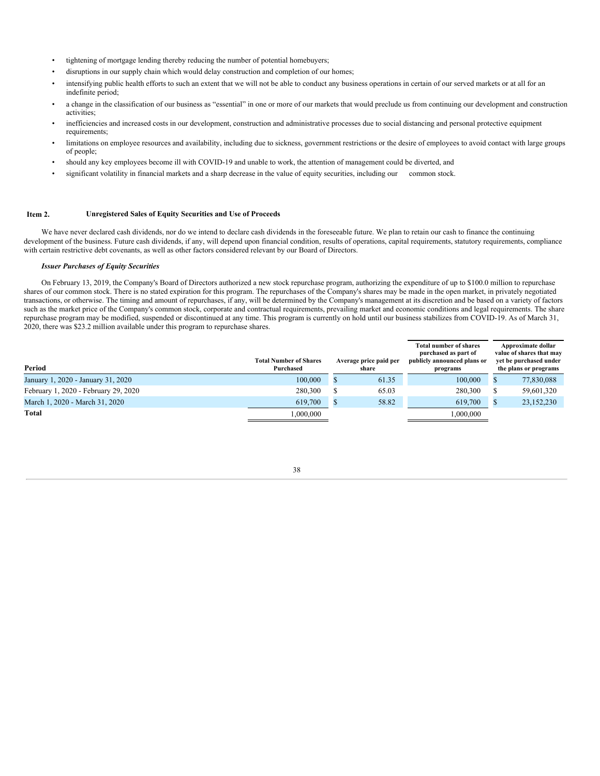- tightening of mortgage lending thereby reducing the number of potential homebuyers;
- disruptions in our supply chain which would delay construction and completion of our homes;
- intensifying public health efforts to such an extent that we will not be able to conduct any business operations in certain of our served markets or at all for an indefinite period;
- a change in the classification of our business as "essential" in one or more of our markets that would preclude us from continuing our development and construction activities;
- inefficiencies and increased costs in our development, construction and administrative processes due to social distancing and personal protective equipment requirements;
- limitations on employee resources and availability, including due to sickness, government restrictions or the desire of employees to avoid contact with large groups of people;
- should any key employees become ill with COVID-19 and unable to work, the attention of management could be diverted, and
- significant volatility in financial markets and a sharp decrease in the value of equity securities, including our common stock.

#### <span id="page-37-0"></span>**Item 2. Unregistered Sales of Equity Securities and Use of Proceeds**

We have never declared cash dividends, nor do we intend to declare cash dividends in the foreseeable future. We plan to retain our cash to finance the continuing development of the business. Future cash dividends, if any, will depend upon financial condition, results of operations, capital requirements, statutory requirements, compliance with certain restrictive debt covenants, as well as other factors considered relevant by our Board of Directors.

#### *Issuer Purchases of Equity Securities*

On February 13, 2019, the Company's Board of Directors authorized a new stock repurchase program, authorizing the expenditure of up to \$100.0 million to repurchase shares of our common stock. There is no stated expiration for this program. The repurchases of the Company's shares may be made in the open market, in privately negotiated transactions, or otherwise. The timing and amount of repurchases, if any, will be determined by the Company's management at its discretion and be based on a variety of factors such as the market price of the Company's common stock, corporate and contractual requirements, prevailing market and economic conditions and legal requirements. The share repurchase program may be modified, suspended or discontinued at any time. This program is currently on hold until our business stabilizes from COVID-19. As of March 31, 2020, there was \$23.2 million available under this program to repurchase shares.

| Period                               | <b>Total Number of Shares</b><br>Purchased | Average price paid per<br>share | <b>Total number of shares</b><br>purchased as part of<br>publicly announced plans or<br>programs | Approximate dollar<br>value of shares that may<br>vet be purchased under<br>the plans or programs |
|--------------------------------------|--------------------------------------------|---------------------------------|--------------------------------------------------------------------------------------------------|---------------------------------------------------------------------------------------------------|
| January 1, 2020 - January 31, 2020   | 100,000                                    | 61.35                           | 100,000                                                                                          | 77,830,088                                                                                        |
| February 1, 2020 - February 29, 2020 | 280,300                                    | 65.03                           | 280,300                                                                                          | 59,601,320                                                                                        |
| March 1, 2020 - March 31, 2020       | 619,700                                    | 58.82                           | 619,700                                                                                          | 23,152,230                                                                                        |
| <b>Total</b>                         | 1,000,000                                  |                                 | 1,000,000                                                                                        |                                                                                                   |

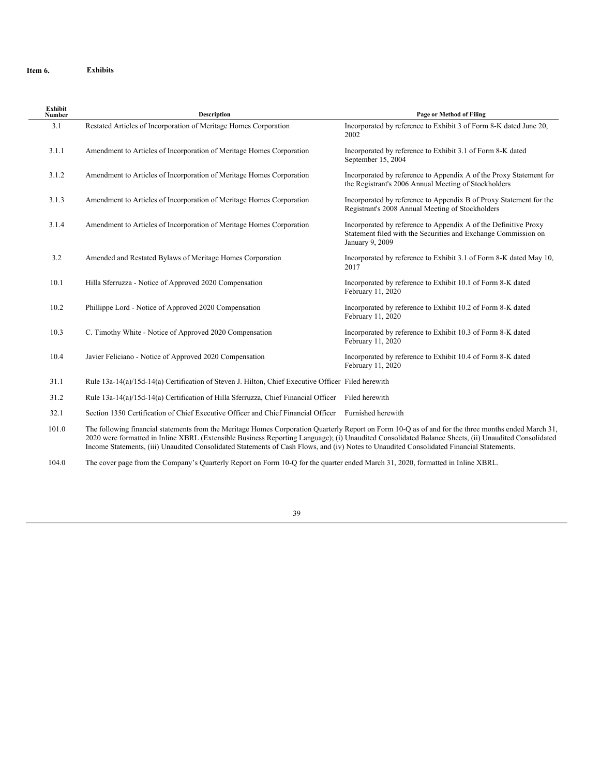<span id="page-38-0"></span>**Item 6. Exhibits**

| Exhibit<br>Number | Description                                                                                                                                                                                                                                                                                                | Page or Method of Filing                                                                                                                             |
|-------------------|------------------------------------------------------------------------------------------------------------------------------------------------------------------------------------------------------------------------------------------------------------------------------------------------------------|------------------------------------------------------------------------------------------------------------------------------------------------------|
| 3.1               | Restated Articles of Incorporation of Meritage Homes Corporation                                                                                                                                                                                                                                           | Incorporated by reference to Exhibit 3 of Form 8-K dated June 20,<br>2002                                                                            |
| 3.1.1             | Amendment to Articles of Incorporation of Meritage Homes Corporation                                                                                                                                                                                                                                       | Incorporated by reference to Exhibit 3.1 of Form 8-K dated<br>September 15, 2004                                                                     |
| 3.1.2             | Amendment to Articles of Incorporation of Meritage Homes Corporation                                                                                                                                                                                                                                       | Incorporated by reference to Appendix A of the Proxy Statement for<br>the Registrant's 2006 Annual Meeting of Stockholders                           |
| 3.1.3             | Amendment to Articles of Incorporation of Meritage Homes Corporation                                                                                                                                                                                                                                       | Incorporated by reference to Appendix B of Proxy Statement for the<br>Registrant's 2008 Annual Meeting of Stockholders                               |
| 3.1.4             | Amendment to Articles of Incorporation of Meritage Homes Corporation                                                                                                                                                                                                                                       | Incorporated by reference to Appendix A of the Definitive Proxy<br>Statement filed with the Securities and Exchange Commission on<br>January 9, 2009 |
| 3.2               | Amended and Restated Bylaws of Meritage Homes Corporation                                                                                                                                                                                                                                                  | Incorporated by reference to Exhibit 3.1 of Form 8-K dated May 10,<br>2017                                                                           |
| 10.1              | Hilla Sferruzza - Notice of Approved 2020 Compensation                                                                                                                                                                                                                                                     | Incorporated by reference to Exhibit 10.1 of Form 8-K dated<br>February 11, 2020                                                                     |
| 10.2              | Phillippe Lord - Notice of Approved 2020 Compensation                                                                                                                                                                                                                                                      | Incorporated by reference to Exhibit 10.2 of Form 8-K dated<br>February 11, 2020                                                                     |
| 10.3              | C. Timothy White - Notice of Approved 2020 Compensation                                                                                                                                                                                                                                                    | Incorporated by reference to Exhibit 10.3 of Form 8-K dated<br>February 11, 2020                                                                     |
| 10.4              | Javier Feliciano - Notice of Approved 2020 Compensation                                                                                                                                                                                                                                                    | Incorporated by reference to Exhibit 10.4 of Form 8-K dated<br>February 11, 2020                                                                     |
| 31.1              | Rule 13a-14(a)/15d-14(a) Certification of Steven J. Hilton, Chief Executive Officer Filed herewith                                                                                                                                                                                                         |                                                                                                                                                      |
| 31.2              | Rule 13a-14(a)/15d-14(a) Certification of Hilla Sferruzza, Chief Financial Officer Filed herewith                                                                                                                                                                                                          |                                                                                                                                                      |
| 32.1              | Section 1350 Certification of Chief Executive Officer and Chief Financial Officer Furnished herewith                                                                                                                                                                                                       |                                                                                                                                                      |
| 101.0             | The following financial statements from the Meritage Homes Corporation Quarterly Report on Form 10-Q as of and for the three months ended March 31,<br>2020 were formatted in Inline XBRL (Extensible Business Reporting Language); (i) Unaudited Consolidated Balance Sheets, (ii) Unaudited Consolidated |                                                                                                                                                      |

<span id="page-38-1"></span>104.0 The cover page from the Company's Quarterly Report on Form 10-Q for the quarter ended March 31, 2020, formatted in Inline XBRL.

39

Income Statements, (iii) Unaudited Consolidated Statements of Cash Flows, and (iv) Notes to Unaudited Consolidated Financial Statements.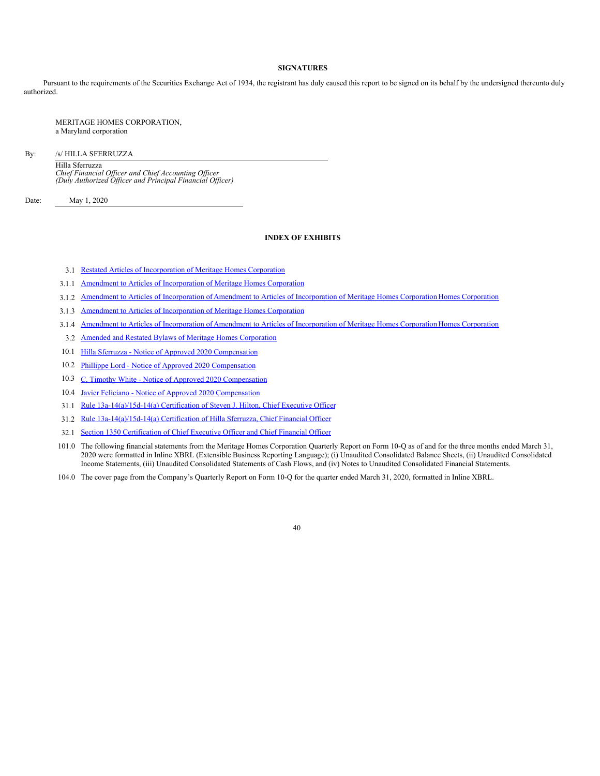### **SIGNATURES**

Pursuant to the requirements of the Securities Exchange Act of 1934, the registrant has duly caused this report to be signed on its behalf by the undersigned thereunto duly authorized.

MERITAGE HOMES CORPORATION, a Maryland corporation

By: /s/ HILLA SFERRUZZA

Hilla Sferruzza *Chief Financial Of icer and Chief Accounting Of icer (Duly Authorized Of icer and Principal Financial Of icer)*

<span id="page-39-0"></span>Date: May 1, 2020

### **INDEX OF EXHIBITS**

3.1 Restated Articles of [Incorporation](http://www.sec.gov/Archives/edgar/data/833079/000095015302001139/p66729exv3.txt) of Meritage Homes Corporation

- 3.1.1 Amendment to Articles of [Incorporation](http://www.sec.gov/Archives/edgar/data/833079/000110465904027692/a04-10468_1ex3d1.htm) of Meritage Homes Corporation
- 3.1.2 Amendment to Articles of [Incorporation](https://www.sec.gov/Archives/edgar/data/833079/000110465906023822/a06-7606_1def14a.htm) of Amendment to Articles of [Incorporation](https://www.sec.gov/Archives/edgar/data/833079/000110465906023822/a06-7606_1def14a.htm) of Meritage Homes Corporation Homes [Corporation](https://www.sec.gov/Archives/edgar/data/833079/000110465906023822/a06-7606_1def14a.htm)
- 3.1.3 Amendment to Articles of [Incorporation](https://www.sec.gov/Archives/edgar/data/833079/000104746908003906/a2184391zdef14a.htm) of Meritage Homes Corporation
- 3.1.4 Amendment to Articles of [Incorporation](https://www.sec.gov/Archives/edgar/data/833079/000095013409000313/p13800dedef14a.htm) of Amendment to Articles of [Incorporation](https://www.sec.gov/Archives/edgar/data/833079/000095013409000313/p13800dedef14a.htm) of Meritage Homes Corporation Homes [Corporation](https://www.sec.gov/Archives/edgar/data/833079/000095013409000313/p13800dedef14a.htm)
- 3.2 Amended and Restated Bylaws of Meritage Homes [Corporation](http://www.sec.gov/Archives/edgar/data/833079/000119312517165723/d388743dex31.htm)
- 10.1 Hilla Sferruzza Notice of Approved 2020 [Compensation](http://www.sec.gov/Archives/edgar/data/833079/000083307920000028/ex101-hillasferruzza20.htm)
- 10.2 Phillippe Lord Notice of Approved 2020 [Compensation](http://www.sec.gov/Archives/edgar/data/833079/000083307920000028/ex102-phillippelord202.htm)
- 10.3 C. Timothy White Notice of Approved 2020 [Compensation](http://www.sec.gov/Archives/edgar/data/833079/000083307920000028/ex103-timwhite2020comp.htm)
- 10.4 Javier Feliciano Notice of Approved 2020 [Compensation](http://www.sec.gov/Archives/edgar/data/833079/000083307920000028/ex104-javierfeliciano2.htm)
- 31.1 Rule [13a-14\(a\)/15d-14\(a\)](#page-40-0) Certification of Steven J. Hilton, Chief Executive Officer
- 31.2 Rule [13a-14\(a\)/15d-14\(a\)](#page-41-0) Certification of Hilla Sferruzza, Chief Financial Officer
- 32.1 Section 1350 [Certification](#page-42-0) of Chief Executive Officer and Chief Financial Officer
- 101.0 The following financial statements from the Meritage Homes Corporation Quarterly Report on Form 10-Q as of and for the three months ended March 31, 2020 were formatted in Inline XBRL (Extensible Business Reporting Language); (i) Unaudited Consolidated Balance Sheets, (ii) Unaudited Consolidated Income Statements, (iii) Unaudited Consolidated Statements of Cash Flows, and (iv) Notes to Unaudited Consolidated Financial Statements.
- 104.0 The cover page from the Company's Quarterly Report on Form 10-Q for the quarter ended March 31, 2020, formatted in Inline XBRL.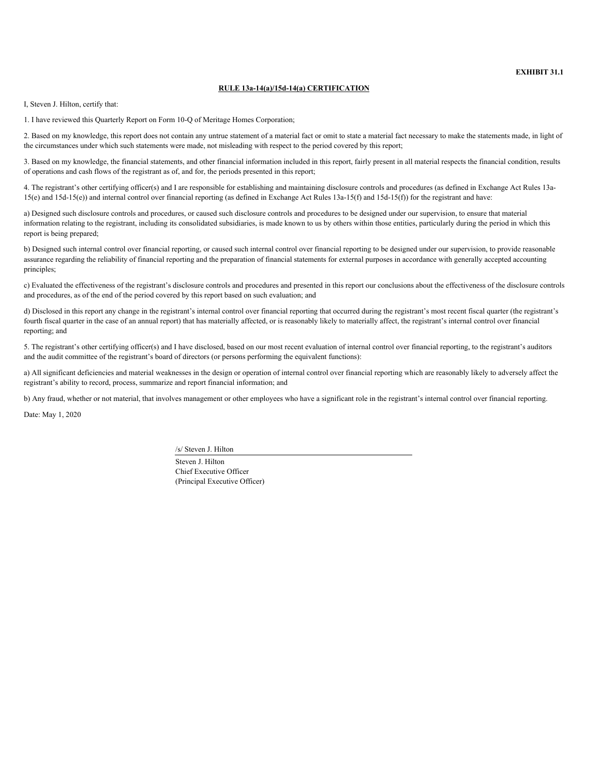**EXHIBIT 31.1**

### **RULE 13a-14(a)/15d-14(a) CERTIFICATION**

<span id="page-40-0"></span>I, Steven J. Hilton, certify that:

1. I have reviewed this Quarterly Report on Form 10-Q of Meritage Homes Corporation;

2. Based on my knowledge, this report does not contain any untrue statement of a material fact or omit to state a material fact necessary to make the statements made, in light of the circumstances under which such statements were made, not misleading with respect to the period covered by this report;

3. Based on my knowledge, the financial statements, and other financial information included in this report, fairly present in all material respects the financial condition, results of operations and cash flows of the registrant as of, and for, the periods presented in this report;

4. The registrant's other certifying officer(s) and I are responsible for establishing and maintaining disclosure controls and procedures (as defined in Exchange Act Rules 13a- $15(e)$  and  $15d-15(e)$  and internal control over financial reporting (as defined in Exchange Act Rules  $13a-15(f)$  and  $15d-15(f)$ ) for the registrant and have:

a) Designed such disclosure controls and procedures, or caused such disclosure controls and procedures to be designed under our supervision, to ensure that material information relating to the registrant, including its consolidated subsidiaries, is made known to us by others within those entities, particularly during the period in which this report is being prepared;

b) Designed such internal control over financial reporting, or caused such internal control over financial reporting to be designed under our supervision, to provide reasonable assurance regarding the reliability of financial reporting and the preparation of financial statements for external purposes in accordance with generally accepted accounting principles;

c) Evaluated the effectiveness of the registrant's disclosure controls and procedures and presented in this report our conclusions about the effectiveness of the disclosure controls and procedures, as of the end of the period covered by this report based on such evaluation; and

d) Disclosed in this report any change in the registrant's internal control over financial reporting that occurred during the registrant's most recent fiscal quarter (the registrant's fourth fiscal quarter in the case of an annual report) that has materially affected, or is reasonably likely to materially affect, the registrant's internal control over financial reporting; and

5. The registrant's other certifying officer(s) and I have disclosed, based on our most recent evaluation of internal control over financial reporting, to the registrant's auditors and the audit committee of the registrant's board of directors (or persons performing the equivalent functions):

a) All significant deficiencies and material weaknesses in the design or operation of internal control over financial reporting which are reasonably likely to adversely affect the registrant's ability to record, process, summarize and report financial information; and

b) Any fraud, whether or not material, that involves management or other employees who have a significant role in the registrant's internal control over financial reporting.

Date: May 1, 2020

/s/ Steven J. Hilton Steven J. Hilton

Chief Executive Officer (Principal Executive Officer)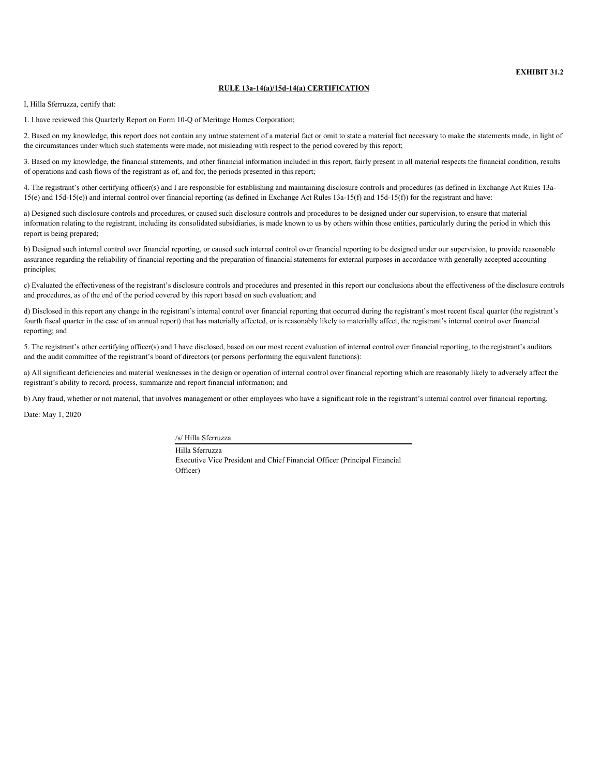**EXHIBIT 31.2**

### **RULE 13a-14(a)/15d-14(a) CERTIFICATION**

<span id="page-41-0"></span>I, Hilla Sferruzza, certify that:

1. I have reviewed this Quarterly Report on Form 10-Q of Meritage Homes Corporation;

2. Based on my knowledge, this report does not contain any untrue statement of a material fact or omit to state a material fact necessary to make the statements made, in light of the circumstances under which such statements were made, not misleading with respect to the period covered by this report;

3. Based on my knowledge, the financial statements, and other financial information included in this report, fairly present in all material respects the financial condition, results of operations and cash flows of the registrant as of, and for, the periods presented in this report;

4. The registrant's other certifying officer(s) and I are responsible for establishing and maintaining disclosure controls and procedures (as defined in Exchange Act Rules 13a- $15(e)$  and  $15d-15(e)$  and internal control over financial reporting (as defined in Exchange Act Rules  $13a-15(f)$  and  $15d-15(f)$ ) for the registrant and have:

a) Designed such disclosure controls and procedures, or caused such disclosure controls and procedures to be designed under our supervision, to ensure that material information relating to the registrant, including its consolidated subsidiaries, is made known to us by others within those entities, particularly during the period in which this report is being prepared;

b) Designed such internal control over financial reporting, or caused such internal control over financial reporting to be designed under our supervision, to provide reasonable assurance regarding the reliability of financial reporting and the preparation of financial statements for external purposes in accordance with generally accepted accounting principles;

c) Evaluated the effectiveness of the registrant's disclosure controls and procedures and presented in this report our conclusions about the effectiveness of the disclosure controls and procedures, as of the end of the period covered by this report based on such evaluation; and

d) Disclosed in this report any change in the registrant's internal control over financial reporting that occurred during the registrant's most recent fiscal quarter (the registrant's fourth fiscal quarter in the case of an annual report) that has materially affected, or is reasonably likely to materially affect, the registrant's internal control over financial reporting; and

5. The registrant's other certifying officer(s) and I have disclosed, based on our most recent evaluation of internal control over financial reporting, to the registrant's auditors and the audit committee of the registrant's board of directors (or persons performing the equivalent functions):

a) All significant deficiencies and material weaknesses in the design or operation of internal control over financial reporting which are reasonably likely to adversely affect the registrant's ability to record, process, summarize and report financial information; and

b) Any fraud, whether or not material, that involves management or other employees who have a significant role in the registrant's internal control over financial reporting.

Date: May 1, 2020

/s/ Hilla Sferruzza Hilla Sferruzza Executive Vice President and Chief Financial Officer (Principal Financial Officer)